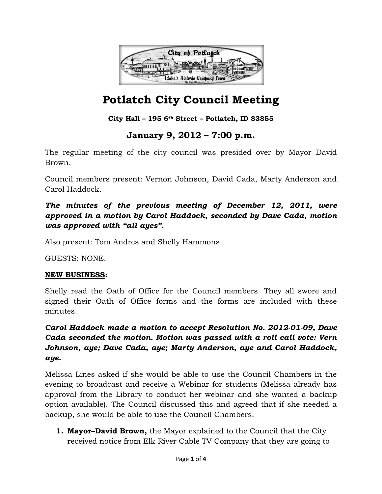

### **City Hall – 195 6th Street – Potlatch, ID 83855**

## **January 9, 2012 – 7:00 p.m.**

The regular meeting of the city council was presided over by Mayor David Brown.

Council members present: Vernon Johnson, David Cada, Marty Anderson and Carol Haddock.

*The minutes of the previous meeting of December 12, 2011, were approved in a motion by Carol Haddock, seconded by Dave Cada, motion was approved with "all ayes".* 

Also present: Tom Andres and Shelly Hammons.

GUESTS: NONE.

#### **NEW BUSINESS:**

Shelly read the Oath of Office for the Council members. They all swore and signed their Oath of Office forms and the forms are included with these minutes.

*Carol Haddock made a motion to accept Resolution No. 2012-01-09, Dave Cada seconded the motion. Motion was passed with a roll call vote: Vern Johnson, aye; Dave Cada, aye; Marty Anderson, aye and Carol Haddock, aye.* 

Melissa Lines asked if she would be able to use the Council Chambers in the evening to broadcast and receive a Webinar for students (Melissa already has approval from the Library to conduct her webinar and she wanted a backup option available). The Council discussed this and agreed that if she needed a backup, she would be able to use the Council Chambers.

**1. Mayor–David Brown,** the Mayor explained to the Council that the City received notice from Elk River Cable TV Company that they are going to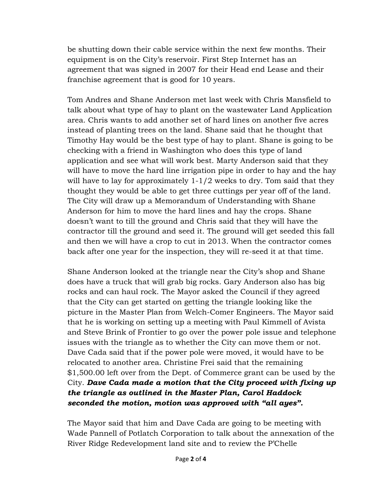be shutting down their cable service within the next few months. Their equipment is on the City's reservoir. First Step Internet has an agreement that was signed in 2007 for their Head end Lease and their franchise agreement that is good for 10 years.

Tom Andres and Shane Anderson met last week with Chris Mansfield to talk about what type of hay to plant on the wastewater Land Application area. Chris wants to add another set of hard lines on another five acres instead of planting trees on the land. Shane said that he thought that Timothy Hay would be the best type of hay to plant. Shane is going to be checking with a friend in Washington who does this type of land application and see what will work best. Marty Anderson said that they will have to move the hard line irrigation pipe in order to hay and the hay will have to lay for approximately 1-1/2 weeks to dry. Tom said that they thought they would be able to get three cuttings per year off of the land. The City will draw up a Memorandum of Understanding with Shane Anderson for him to move the hard lines and hay the crops. Shane doesn't want to till the ground and Chris said that they will have the contractor till the ground and seed it. The ground will get seeded this fall and then we will have a crop to cut in 2013. When the contractor comes back after one year for the inspection, they will re-seed it at that time.

Shane Anderson looked at the triangle near the City's shop and Shane does have a truck that will grab big rocks. Gary Anderson also has big rocks and can haul rock. The Mayor asked the Council if they agreed that the City can get started on getting the triangle looking like the picture in the Master Plan from Welch-Comer Engineers. The Mayor said that he is working on setting up a meeting with Paul Kimmell of Avista and Steve Brink of Frontier to go over the power pole issue and telephone issues with the triangle as to whether the City can move them or not. Dave Cada said that if the power pole were moved, it would have to be relocated to another area. Christine Frei said that the remaining \$1,500.00 left over from the Dept. of Commerce grant can be used by the City. *Dave Cada made a motion that the City proceed with fixing up the triangle as outlined in the Master Plan, Carol Haddock seconded the motion, motion was approved with "all ayes".* 

The Mayor said that him and Dave Cada are going to be meeting with Wade Pannell of Potlatch Corporation to talk about the annexation of the River Ridge Redevelopment land site and to review the P'Chelle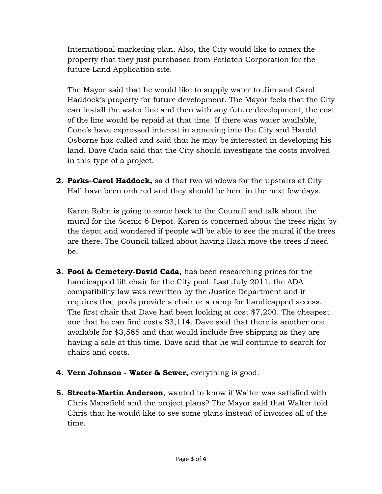International marketing plan. Also, the City would like to annex the property that they just purchased from Potlatch Corporation for the future Land Application site.

The Mayor said that he would like to supply water to Jim and Carol Haddock's property for future development. The Mayor feels that the City can install the water line and then with any future development, the cost of the line would be repaid at that time. If there was water available, Cone's have expressed interest in annexing into the City and Harold Osborne has called and said that he may be interested in developing his land. Dave Cada said that the City should investigate the costs involved in this type of a project.

**2. Parks–Carol Haddock,** said that two windows for the upstairs at City Hall have been ordered and they should be here in the next few days.

Karen Rohn is going to come back to the Council and talk about the mural for the Scenic 6 Depot. Karen is concerned about the trees right by the depot and wondered if people will be able to see the mural if the trees are there. The Council talked about having Hash move the trees if need be.

- **3. Pool & Cemetery-David Cada,** has been researching prices for the handicapped lift chair for the City pool. Last July 2011, the ADA compatibility law was rewritten by the Justice Department and it requires that pools provide a chair or a ramp for handicapped access. The first chair that Dave had been looking at cost \$7,200. The cheapest one that he can find costs \$3,114. Dave said that there is another one available for \$3,585 and that would include free shipping as they are having a sale at this time. Dave said that he will continue to search for chairs and costs.
- **4. Vern Johnson Water & Sewer,** everything is good.
- **5. Streets-Martin Anderson**, wanted to know if Walter was satisfied with Chris Mansfield and the project plans? The Mayor said that Walter told Chris that he would like to see some plans instead of invoices all of the time.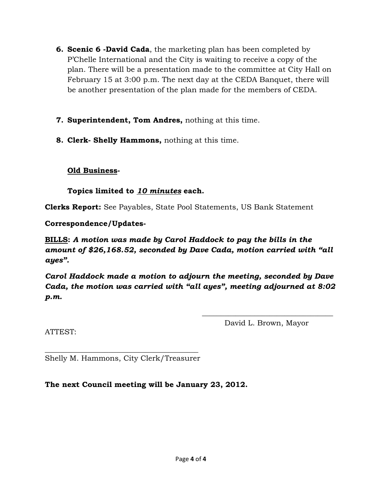- **6. Scenic 6 -David Cada**, the marketing plan has been completed by P'Chelle International and the City is waiting to receive a copy of the plan. There will be a presentation made to the committee at City Hall on February 15 at 3:00 p.m. The next day at the CEDA Banquet, there will be another presentation of the plan made for the members of CEDA.
- **7. Superintendent, Tom Andres,** nothing at this time.
- **8. Clerk- Shelly Hammons,** nothing at this time.

## **Old Business-**

**Topics limited to** *10 minutes* **each.** 

**Clerks Report:** See Payables, State Pool Statements, US Bank Statement

**Correspondence/Updates-**

**BILLS:** *A motion was made by Carol Haddock to pay the bills in the amount of \$26,168.52, seconded by Dave Cada, motion carried with "all ayes".* 

*Carol Haddock made a motion to adjourn the meeting, seconded by Dave Cada, the motion was carried with "all ayes", meeting adjourned at 8:02 p.m.* 

 $\frac{1}{\sqrt{2}}$  ,  $\frac{1}{\sqrt{2}}$  ,  $\frac{1}{\sqrt{2}}$  ,  $\frac{1}{\sqrt{2}}$  ,  $\frac{1}{\sqrt{2}}$  ,  $\frac{1}{\sqrt{2}}$  ,  $\frac{1}{\sqrt{2}}$  ,  $\frac{1}{\sqrt{2}}$  ,  $\frac{1}{\sqrt{2}}$  ,  $\frac{1}{\sqrt{2}}$  ,  $\frac{1}{\sqrt{2}}$  ,  $\frac{1}{\sqrt{2}}$  ,  $\frac{1}{\sqrt{2}}$  ,  $\frac{1}{\sqrt{2}}$  ,  $\frac{1}{\sqrt{2}}$ 

ATTEST:

David L. Brown, Mayor

 $\frac{1}{2}$  ,  $\frac{1}{2}$  ,  $\frac{1}{2}$  ,  $\frac{1}{2}$  ,  $\frac{1}{2}$  ,  $\frac{1}{2}$  ,  $\frac{1}{2}$  ,  $\frac{1}{2}$  ,  $\frac{1}{2}$  ,  $\frac{1}{2}$  ,  $\frac{1}{2}$  ,  $\frac{1}{2}$  ,  $\frac{1}{2}$  ,  $\frac{1}{2}$  ,  $\frac{1}{2}$  ,  $\frac{1}{2}$  ,  $\frac{1}{2}$  ,  $\frac{1}{2}$  ,  $\frac{1$ Shelly M. Hammons, City Clerk/Treasurer

**The next Council meeting will be January 23, 2012.**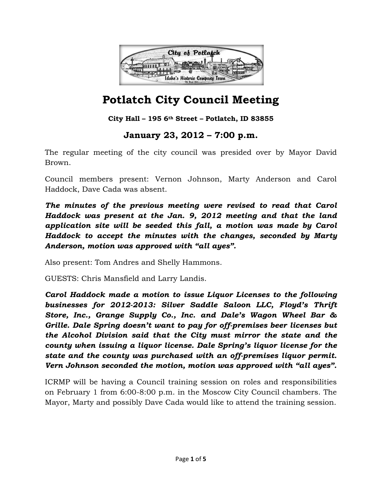

**City Hall – 195 6th Street – Potlatch, ID 83855**

## **January 23, 2012 – 7:00 p.m.**

The regular meeting of the city council was presided over by Mayor David Brown.

Council members present: Vernon Johnson, Marty Anderson and Carol Haddock, Dave Cada was absent.

*The minutes of the previous meeting were revised to read that Carol Haddock was present at the Jan. 9, 2012 meeting and that the land application site will be seeded this fall, a motion was made by Carol Haddock to accept the minutes with the changes, seconded by Marty Anderson, motion was approved with "all ayes".* 

Also present: Tom Andres and Shelly Hammons.

GUESTS: Chris Mansfield and Larry Landis.

*Carol Haddock made a motion to issue Liquor Licenses to the following businesses for 2012-2013: Silver Saddle Saloon LLC, Floyd's Thrift Store, Inc., Grange Supply Co., Inc. and Dale's Wagon Wheel Bar & Grille. Dale Spring doesn't want to pay for off-premises beer licenses but the Alcohol Division said that the City must mirror the state and the county when issuing a liquor license. Dale Spring's liquor license for the state and the county was purchased with an off-premises liquor permit. Vern Johnson seconded the motion, motion was approved with "all ayes".* 

ICRMP will be having a Council training session on roles and responsibilities on February 1 from 6:00-8:00 p.m. in the Moscow City Council chambers. The Mayor, Marty and possibly Dave Cada would like to attend the training session.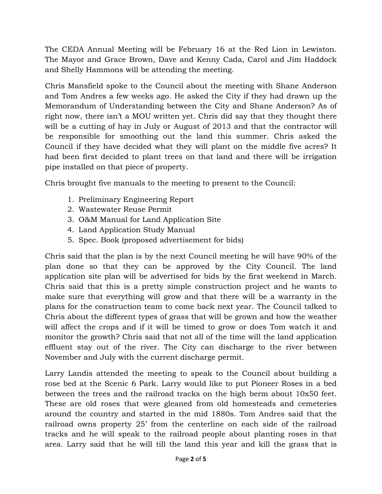The CEDA Annual Meeting will be February 16 at the Red Lion in Lewiston. The Mayor and Grace Brown, Dave and Kenny Cada, Carol and Jim Haddock and Shelly Hammons will be attending the meeting.

Chris Mansfield spoke to the Council about the meeting with Shane Anderson and Tom Andres a few weeks ago. He asked the City if they had drawn up the Memorandum of Understanding between the City and Shane Anderson? As of right now, there isn't a MOU written yet. Chris did say that they thought there will be a cutting of hay in July or August of 2013 and that the contractor will be responsible for smoothing out the land this summer. Chris asked the Council if they have decided what they will plant on the middle five acres? It had been first decided to plant trees on that land and there will be irrigation pipe installed on that piece of property.

Chris brought five manuals to the meeting to present to the Council:

- 1. Preliminary Engineering Report
- 2. Wastewater Reuse Permit
- 3. O&M Manual for Land Application Site
- 4. Land Application Study Manual
- 5. Spec. Book (proposed advertisement for bids)

Chris said that the plan is by the next Council meeting he will have 90% of the plan done so that they can be approved by the City Council. The land application site plan will be advertised for bids by the first weekend in March. Chris said that this is a pretty simple construction project and he wants to make sure that everything will grow and that there will be a warranty in the plans for the construction team to come back next year. The Council talked to Chris about the different types of grass that will be grown and how the weather will affect the crops and if it will be timed to grow or does Tom watch it and monitor the growth? Chris said that not all of the time will the land application effluent stay out of the river. The City can discharge to the river between November and July with the current discharge permit.

Larry Landis attended the meeting to speak to the Council about building a rose bed at the Scenic 6 Park. Larry would like to put Pioneer Roses in a bed between the trees and the railroad tracks on the high berm about 10x50 feet. These are old roses that were gleaned from old homesteads and cemeteries around the country and started in the mid 1880s. Tom Andres said that the railroad owns property 25' from the centerline on each side of the railroad tracks and he will speak to the railroad people about planting roses in that area. Larry said that he will till the land this year and kill the grass that is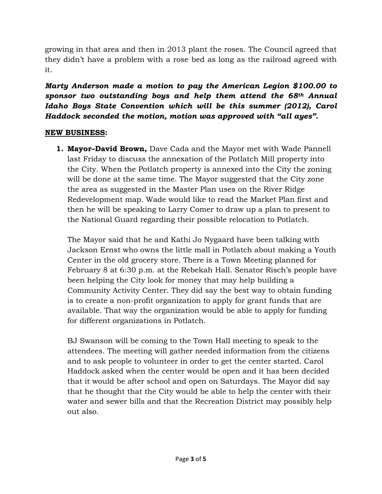growing in that area and then in 2013 plant the roses. The Council agreed that they didn't have a problem with a rose bed as long as the railroad agreed with it.

*Marty Anderson made a motion to pay the American Legion \$100.00 to sponsor two outstanding boys and help them attend the 68th Annual Idaho Boys State Convention which will be this summer (2012), Carol Haddock seconded the motion, motion was approved with "all ayes".* 

#### **NEW BUSINESS:**

**1. Mayor–David Brown,** Dave Cada and the Mayor met with Wade Pannell last Friday to discuss the annexation of the Potlatch Mill property into the City. When the Potlatch property is annexed into the City the zoning will be done at the same time. The Mayor suggested that the City zone the area as suggested in the Master Plan uses on the River Ridge Redevelopment map. Wade would like to read the Market Plan first and then he will be speaking to Larry Comer to draw up a plan to present to the National Guard regarding their possible relocation to Potlatch.

The Mayor said that he and Kathi Jo Nygaard have been talking with Jackson Ernst who owns the little mall in Potlatch about making a Youth Center in the old grocery store. There is a Town Meeting planned for February 8 at 6:30 p.m. at the Rebekah Hall. Senator Risch's people have been helping the City look for money that may help building a Community Activity Center. They did say the best way to obtain funding is to create a non-profit organization to apply for grant funds that are available. That way the organization would be able to apply for funding for different organizations in Potlatch.

BJ Swanson will be coming to the Town Hall meeting to speak to the attendees. The meeting will gather needed information from the citizens and to ask people to volunteer in order to get the center started. Carol Haddock asked when the center would be open and it has been decided that it would be after school and open on Saturdays. The Mayor did say that he thought that the City would be able to help the center with their water and sewer bills and that the Recreation District may possibly help out also.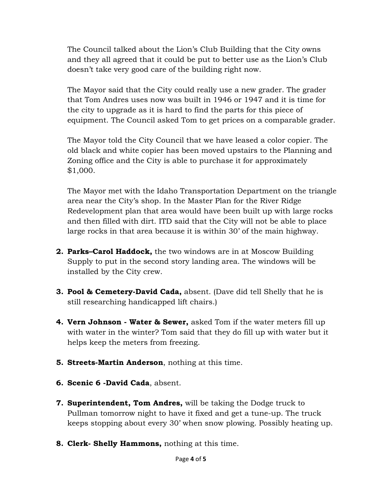The Council talked about the Lion's Club Building that the City owns and they all agreed that it could be put to better use as the Lion's Club doesn't take very good care of the building right now.

The Mayor said that the City could really use a new grader. The grader that Tom Andres uses now was built in 1946 or 1947 and it is time for the city to upgrade as it is hard to find the parts for this piece of equipment. The Council asked Tom to get prices on a comparable grader.

The Mayor told the City Council that we have leased a color copier. The old black and white copier has been moved upstairs to the Planning and Zoning office and the City is able to purchase it for approximately \$1,000.

The Mayor met with the Idaho Transportation Department on the triangle area near the City's shop. In the Master Plan for the River Ridge Redevelopment plan that area would have been built up with large rocks and then filled with dirt. ITD said that the City will not be able to place large rocks in that area because it is within 30' of the main highway.

- **2. Parks–Carol Haddock,** the two windows are in at Moscow Building Supply to put in the second story landing area. The windows will be installed by the City crew.
- **3. Pool & Cemetery-David Cada,** absent. (Dave did tell Shelly that he is still researching handicapped lift chairs.)
- **4. Vern Johnson Water & Sewer,** asked Tom if the water meters fill up with water in the winter? Tom said that they do fill up with water but it helps keep the meters from freezing.
- **5. Streets-Martin Anderson**, nothing at this time.
- **6. Scenic 6 -David Cada**, absent.
- **7. Superintendent, Tom Andres,** will be taking the Dodge truck to Pullman tomorrow night to have it fixed and get a tune-up. The truck keeps stopping about every 30' when snow plowing. Possibly heating up.
- **8. Clerk- Shelly Hammons,** nothing at this time.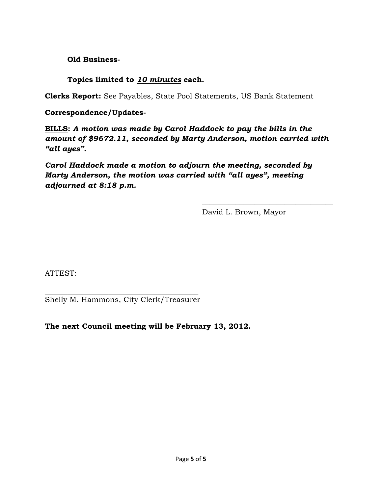### **Old Business-**

**Topics limited to** *10 minutes* **each.** 

**Clerks Report:** See Payables, State Pool Statements, US Bank Statement

**Correspondence/Updates-**

**BILLS:** *A motion was made by Carol Haddock to pay the bills in the amount of \$9672.11, seconded by Marty Anderson, motion carried with "all ayes".* 

 $\frac{1}{\sqrt{2}}$  ,  $\frac{1}{\sqrt{2}}$  ,  $\frac{1}{\sqrt{2}}$  ,  $\frac{1}{\sqrt{2}}$  ,  $\frac{1}{\sqrt{2}}$  ,  $\frac{1}{\sqrt{2}}$  ,  $\frac{1}{\sqrt{2}}$  ,  $\frac{1}{\sqrt{2}}$  ,  $\frac{1}{\sqrt{2}}$  ,  $\frac{1}{\sqrt{2}}$  ,  $\frac{1}{\sqrt{2}}$  ,  $\frac{1}{\sqrt{2}}$  ,  $\frac{1}{\sqrt{2}}$  ,  $\frac{1}{\sqrt{2}}$  ,  $\frac{1}{\sqrt{2}}$ 

*Carol Haddock made a motion to adjourn the meeting, seconded by Marty Anderson, the motion was carried with "all ayes", meeting adjourned at 8:18 p.m.* 

David L. Brown, Mayor

ATTEST:

 $\frac{1}{2}$  ,  $\frac{1}{2}$  ,  $\frac{1}{2}$  ,  $\frac{1}{2}$  ,  $\frac{1}{2}$  ,  $\frac{1}{2}$  ,  $\frac{1}{2}$  ,  $\frac{1}{2}$  ,  $\frac{1}{2}$  ,  $\frac{1}{2}$  ,  $\frac{1}{2}$  ,  $\frac{1}{2}$  ,  $\frac{1}{2}$  ,  $\frac{1}{2}$  ,  $\frac{1}{2}$  ,  $\frac{1}{2}$  ,  $\frac{1}{2}$  ,  $\frac{1}{2}$  ,  $\frac{1$ Shelly M. Hammons, City Clerk/Treasurer

**The next Council meeting will be February 13, 2012.**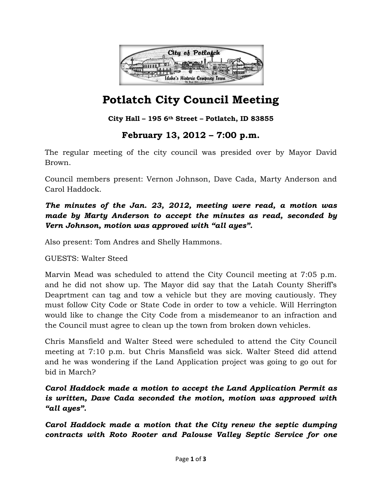

**City Hall – 195 6th Street – Potlatch, ID 83855**

## **February 13, 2012 – 7:00 p.m.**

The regular meeting of the city council was presided over by Mayor David Brown.

Council members present: Vernon Johnson, Dave Cada, Marty Anderson and Carol Haddock.

## *The minutes of the Jan. 23, 2012, meeting were read, a motion was made by Marty Anderson to accept the minutes as read, seconded by Vern Johnson, motion was approved with "all ayes".*

Also present: Tom Andres and Shelly Hammons.

GUESTS: Walter Steed

Marvin Mead was scheduled to attend the City Council meeting at 7:05 p.m. and he did not show up. The Mayor did say that the Latah County Sheriff's Deaprtment can tag and tow a vehicle but they are moving cautiously. They must follow City Code or State Code in order to tow a vehicle. Will Herrington would like to change the City Code from a misdemeanor to an infraction and the Council must agree to clean up the town from broken down vehicles.

Chris Mansfield and Walter Steed were scheduled to attend the City Council meeting at 7:10 p.m. but Chris Mansfield was sick. Walter Steed did attend and he was wondering if the Land Application project was going to go out for bid in March?

## *Carol Haddock made a motion to accept the Land Application Permit as is written, Dave Cada seconded the motion, motion was approved with "all ayes".*

*Carol Haddock made a motion that the City renew the septic dumping contracts with Roto Rooter and Palouse Valley Septic Service for one*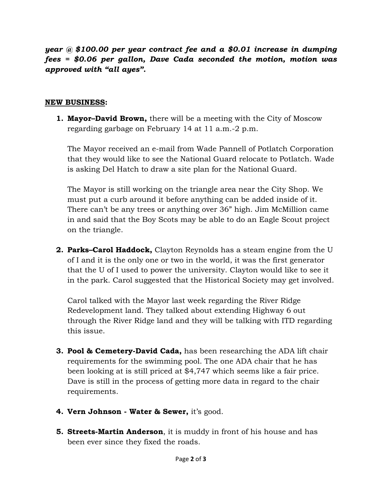*year @ \$100.00 per year contract fee and a \$0.01 increase in dumping fees = \$0.06 per gallon, Dave Cada seconded the motion, motion was approved with "all ayes".* 

#### **NEW BUSINESS:**

**1. Mayor–David Brown,** there will be a meeting with the City of Moscow regarding garbage on February 14 at 11 a.m.-2 p.m.

The Mayor received an e-mail from Wade Pannell of Potlatch Corporation that they would like to see the National Guard relocate to Potlatch. Wade is asking Del Hatch to draw a site plan for the National Guard.

The Mayor is still working on the triangle area near the City Shop. We must put a curb around it before anything can be added inside of it. There can't be any trees or anything over 36" high. Jim McMillion came in and said that the Boy Scots may be able to do an Eagle Scout project on the triangle.

**2. Parks–Carol Haddock,** Clayton Reynolds has a steam engine from the U of I and it is the only one or two in the world, it was the first generator that the U of I used to power the university. Clayton would like to see it in the park. Carol suggested that the Historical Society may get involved.

Carol talked with the Mayor last week regarding the River Ridge Redevelopment land. They talked about extending Highway 6 out through the River Ridge land and they will be talking with ITD regarding this issue.

- **3. Pool & Cemetery-David Cada,** has been researching the ADA lift chair requirements for the swimming pool. The one ADA chair that he has been looking at is still priced at \$4,747 which seems like a fair price. Dave is still in the process of getting more data in regard to the chair requirements.
- **4. Vern Johnson Water & Sewer,** it's good.
- **5. Streets-Martin Anderson**, it is muddy in front of his house and has been ever since they fixed the roads.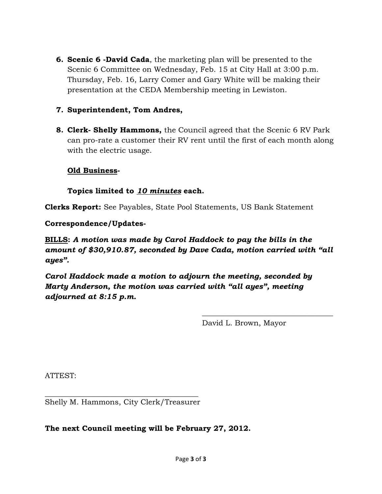**6. Scenic 6 -David Cada**, the marketing plan will be presented to the Scenic 6 Committee on Wednesday, Feb. 15 at City Hall at 3:00 p.m. Thursday, Feb. 16, Larry Comer and Gary White will be making their presentation at the CEDA Membership meeting in Lewiston.

#### **7. Superintendent, Tom Andres,**

**8. Clerk- Shelly Hammons,** the Council agreed that the Scenic 6 RV Park can pro-rate a customer their RV rent until the first of each month along with the electric usage.

#### **Old Business-**

#### **Topics limited to** *10 minutes* **each.**

**Clerks Report:** See Payables, State Pool Statements, US Bank Statement

#### **Correspondence/Updates-**

**BILLS:** *A motion was made by Carol Haddock to pay the bills in the amount of \$30,910.87, seconded by Dave Cada, motion carried with "all ayes".* 

 $\frac{1}{\sqrt{2}}$  ,  $\frac{1}{\sqrt{2}}$  ,  $\frac{1}{\sqrt{2}}$  ,  $\frac{1}{\sqrt{2}}$  ,  $\frac{1}{\sqrt{2}}$  ,  $\frac{1}{\sqrt{2}}$  ,  $\frac{1}{\sqrt{2}}$  ,  $\frac{1}{\sqrt{2}}$  ,  $\frac{1}{\sqrt{2}}$  ,  $\frac{1}{\sqrt{2}}$  ,  $\frac{1}{\sqrt{2}}$  ,  $\frac{1}{\sqrt{2}}$  ,  $\frac{1}{\sqrt{2}}$  ,  $\frac{1}{\sqrt{2}}$  ,  $\frac{1}{\sqrt{2}}$ 

*Carol Haddock made a motion to adjourn the meeting, seconded by Marty Anderson, the motion was carried with "all ayes", meeting adjourned at 8:15 p.m.* 

David L. Brown, Mayor

ATTEST:

\_\_\_\_\_\_\_\_\_\_\_\_\_\_\_\_\_\_\_\_\_\_\_\_\_\_\_\_\_\_\_\_\_\_\_\_\_\_\_\_\_ Shelly M. Hammons, City Clerk/Treasurer

#### **The next Council meeting will be February 27, 2012.**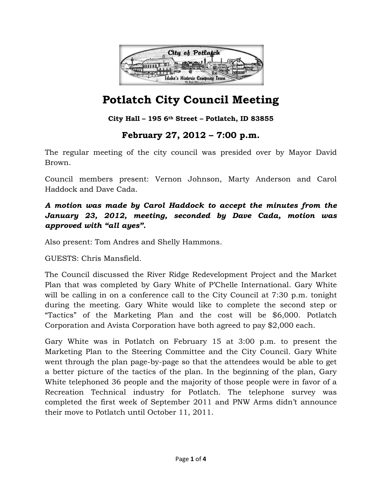

**City Hall – 195 6th Street – Potlatch, ID 83855**

## **February 27, 2012 – 7:00 p.m.**

The regular meeting of the city council was presided over by Mayor David Brown.

Council members present: Vernon Johnson, Marty Anderson and Carol Haddock and Dave Cada.

## *A motion was made by Carol Haddock to accept the minutes from the January 23, 2012, meeting, seconded by Dave Cada, motion was approved with "all ayes".*

Also present: Tom Andres and Shelly Hammons.

GUESTS: Chris Mansfield.

The Council discussed the River Ridge Redevelopment Project and the Market Plan that was completed by Gary White of P'Chelle International. Gary White will be calling in on a conference call to the City Council at 7:30 p.m. tonight during the meeting. Gary White would like to complete the second step or "Tactics" of the Marketing Plan and the cost will be \$6,000. Potlatch Corporation and Avista Corporation have both agreed to pay \$2,000 each.

Gary White was in Potlatch on February 15 at 3:00 p.m. to present the Marketing Plan to the Steering Committee and the City Council. Gary White went through the plan page-by-page so that the attendees would be able to get a better picture of the tactics of the plan. In the beginning of the plan, Gary White telephoned 36 people and the majority of those people were in favor of a Recreation Technical industry for Potlatch. The telephone survey was completed the first week of September 2011 and PNW Arms didn't announce their move to Potlatch until October 11, 2011.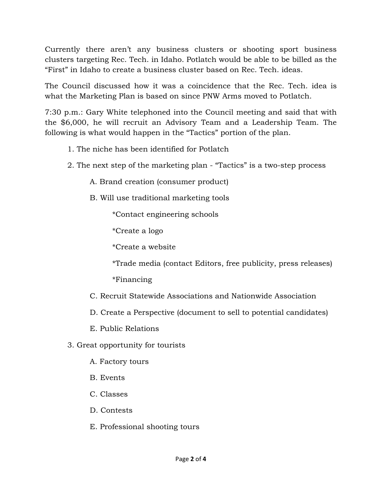Currently there aren't any business clusters or shooting sport business clusters targeting Rec. Tech. in Idaho. Potlatch would be able to be billed as the "First" in Idaho to create a business cluster based on Rec. Tech. ideas.

The Council discussed how it was a coincidence that the Rec. Tech. idea is what the Marketing Plan is based on since PNW Arms moved to Potlatch.

7:30 p.m.: Gary White telephoned into the Council meeting and said that with the \$6,000, he will recruit an Advisory Team and a Leadership Team. The following is what would happen in the "Tactics" portion of the plan.

- 1. The niche has been identified for Potlatch
- 2. The next step of the marketing plan "Tactics" is a two-step process

A. Brand creation (consumer product)

B. Will use traditional marketing tools

\*Contact engineering schools

\*Create a logo

\*Create a website

\*Trade media (contact Editors, free publicity, press releases)

\*Financing

- C. Recruit Statewide Associations and Nationwide Association
- D. Create a Perspective (document to sell to potential candidates)
- E. Public Relations
- 3. Great opportunity for tourists
	- A. Factory tours
	- B. Events
	- C. Classes
	- D. Contests
	- E. Professional shooting tours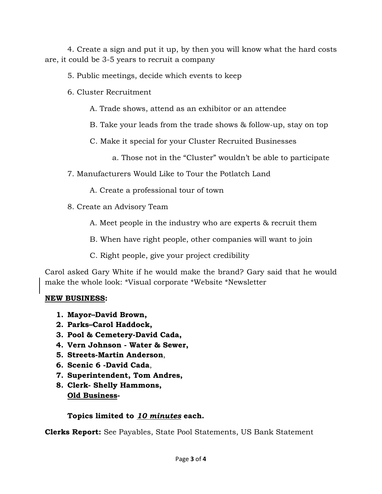4. Create a sign and put it up, by then you will know what the hard costs are, it could be 3-5 years to recruit a company

5. Public meetings, decide which events to keep

6. Cluster Recruitment

A. Trade shows, attend as an exhibitor or an attendee

B. Take your leads from the trade shows & follow-up, stay on top

C. Make it special for your Cluster Recruited Businesses

- a. Those not in the "Cluster" wouldn't be able to participate
- 7. Manufacturers Would Like to Tour the Potlatch Land
	- A. Create a professional tour of town
- 8. Create an Advisory Team
	- A. Meet people in the industry who are experts & recruit them
	- B. When have right people, other companies will want to join
	- C. Right people, give your project credibility

Carol asked Gary White if he would make the brand? Gary said that he would make the whole look: \*Visual corporate \*Website \*Newsletter

## **NEW BUSINESS:**

- **1. Mayor–David Brown,**
- **2. Parks–Carol Haddock,**
- **3. Pool & Cemetery-David Cada,**
- **4. Vern Johnson Water & Sewer,**
- **5. Streets-Martin Anderson**,
- **6. Scenic 6 -David Cada**,
- **7. Superintendent, Tom Andres,**
- **8. Clerk- Shelly Hammons, Old Business-**

## **Topics limited to** *10 minutes* **each.**

**Clerks Report:** See Payables, State Pool Statements, US Bank Statement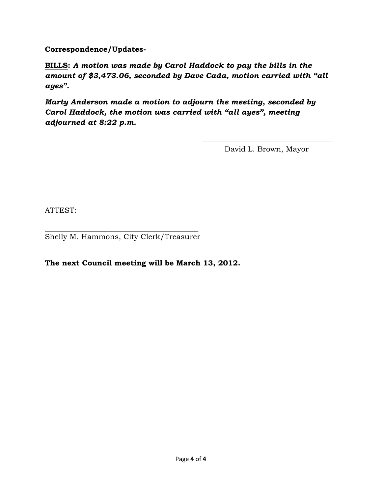**Correspondence/Updates-**

**BILLS:** *A motion was made by Carol Haddock to pay the bills in the amount of \$3,473.06, seconded by Dave Cada, motion carried with "all ayes".* 

*Marty Anderson made a motion to adjourn the meeting, seconded by Carol Haddock, the motion was carried with "all ayes", meeting adjourned at 8:22 p.m.* 

 $\frac{1}{\sqrt{2}}$  ,  $\frac{1}{\sqrt{2}}$  ,  $\frac{1}{\sqrt{2}}$  ,  $\frac{1}{\sqrt{2}}$  ,  $\frac{1}{\sqrt{2}}$  ,  $\frac{1}{\sqrt{2}}$  ,  $\frac{1}{\sqrt{2}}$  ,  $\frac{1}{\sqrt{2}}$  ,  $\frac{1}{\sqrt{2}}$  ,  $\frac{1}{\sqrt{2}}$  ,  $\frac{1}{\sqrt{2}}$  ,  $\frac{1}{\sqrt{2}}$  ,  $\frac{1}{\sqrt{2}}$  ,  $\frac{1}{\sqrt{2}}$  ,  $\frac{1}{\sqrt{2}}$ 

David L. Brown, Mayor

ATTEST:

 $\frac{1}{2}$  ,  $\frac{1}{2}$  ,  $\frac{1}{2}$  ,  $\frac{1}{2}$  ,  $\frac{1}{2}$  ,  $\frac{1}{2}$  ,  $\frac{1}{2}$  ,  $\frac{1}{2}$  ,  $\frac{1}{2}$  ,  $\frac{1}{2}$  ,  $\frac{1}{2}$  ,  $\frac{1}{2}$  ,  $\frac{1}{2}$  ,  $\frac{1}{2}$  ,  $\frac{1}{2}$  ,  $\frac{1}{2}$  ,  $\frac{1}{2}$  ,  $\frac{1}{2}$  ,  $\frac{1$ Shelly M. Hammons, City Clerk/Treasurer

**The next Council meeting will be March 13, 2012.**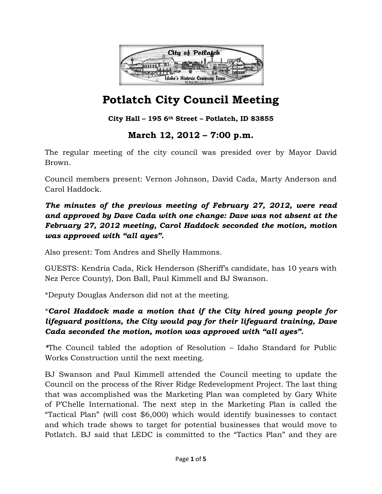

**City Hall – 195 6th Street – Potlatch, ID 83855**

## **March 12, 2012 – 7:00 p.m.**

The regular meeting of the city council was presided over by Mayor David Brown.

Council members present: Vernon Johnson, David Cada, Marty Anderson and Carol Haddock.

*The minutes of the previous meeting of February 27, 2012, were read and approved by Dave Cada with one change: Dave was not absent at the February 27, 2012 meeting, Carol Haddock seconded the motion, motion was approved with "all ayes".* 

Also present: Tom Andres and Shelly Hammons.

GUESTS: Kendria Cada, Rick Henderson (Sheriff's candidate, has 10 years with Nez Perce County), Don Ball, Paul Kimmell and BJ Swanson.

\*Deputy Douglas Anderson did not at the meeting.

\**Carol Haddock made a motion that if the City hired young people for lifeguard positions, the City would pay for their lifeguard training, Dave Cada seconded the motion, motion was approved with "all ayes".* 

*\**The Council tabled the adoption of Resolution – Idaho Standard for Public Works Construction until the next meeting.

BJ Swanson and Paul Kimmell attended the Council meeting to update the Council on the process of the River Ridge Redevelopment Project. The last thing that was accomplished was the Marketing Plan was completed by Gary White of P'Chelle International. The next step in the Marketing Plan is called the "Tactical Plan" (will cost \$6,000) which would identify businesses to contact and which trade shows to target for potential businesses that would move to Potlatch. BJ said that LEDC is committed to the "Tactics Plan" and they are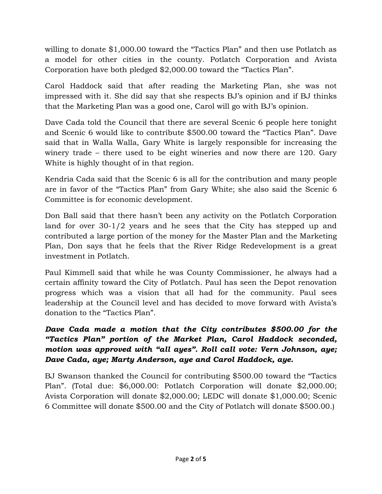willing to donate \$1,000.00 toward the "Tactics Plan" and then use Potlatch as a model for other cities in the county. Potlatch Corporation and Avista Corporation have both pledged \$2,000.00 toward the "Tactics Plan".

Carol Haddock said that after reading the Marketing Plan, she was not impressed with it. She did say that she respects BJ's opinion and if BJ thinks that the Marketing Plan was a good one, Carol will go with BJ's opinion.

Dave Cada told the Council that there are several Scenic 6 people here tonight and Scenic 6 would like to contribute \$500.00 toward the "Tactics Plan". Dave said that in Walla Walla, Gary White is largely responsible for increasing the winery trade – there used to be eight wineries and now there are 120. Gary White is highly thought of in that region.

Kendria Cada said that the Scenic 6 is all for the contribution and many people are in favor of the "Tactics Plan" from Gary White; she also said the Scenic 6 Committee is for economic development.

Don Ball said that there hasn't been any activity on the Potlatch Corporation land for over 30-1/2 years and he sees that the City has stepped up and contributed a large portion of the money for the Master Plan and the Marketing Plan, Don says that he feels that the River Ridge Redevelopment is a great investment in Potlatch.

Paul Kimmell said that while he was County Commissioner, he always had a certain affinity toward the City of Potlatch. Paul has seen the Depot renovation progress which was a vision that all had for the community. Paul sees leadership at the Council level and has decided to move forward with Avista's donation to the "Tactics Plan".

## *Dave Cada made a motion that the City contributes \$500.00 for the "Tactics Plan" portion of the Market Plan, Carol Haddock seconded, motion was approved with "all ayes". Roll call vote: Vern Johnson, aye; Dave Cada, aye; Marty Anderson, aye and Carol Haddock, aye.*

BJ Swanson thanked the Council for contributing \$500.00 toward the "Tactics Plan". (Total due: \$6,000.00: Potlatch Corporation will donate \$2,000.00; Avista Corporation will donate \$2,000.00; LEDC will donate \$1,000.00; Scenic 6 Committee will donate \$500.00 and the City of Potlatch will donate \$500.00.)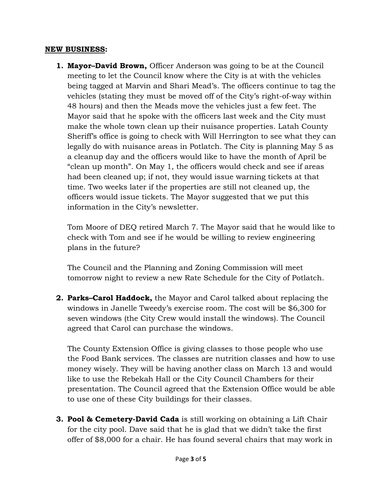#### **NEW BUSINESS:**

**1. Mayor–David Brown,** Officer Anderson was going to be at the Council meeting to let the Council know where the City is at with the vehicles being tagged at Marvin and Shari Mead's. The officers continue to tag the vehicles (stating they must be moved off of the City's right-of-way within 48 hours) and then the Meads move the vehicles just a few feet. The Mayor said that he spoke with the officers last week and the City must make the whole town clean up their nuisance properties. Latah County Sheriff's office is going to check with Will Herrington to see what they can legally do with nuisance areas in Potlatch. The City is planning May 5 as a cleanup day and the officers would like to have the month of April be "clean up month". On May 1, the officers would check and see if areas had been cleaned up; if not, they would issue warning tickets at that time. Two weeks later if the properties are still not cleaned up, the officers would issue tickets. The Mayor suggested that we put this information in the City's newsletter.

Tom Moore of DEQ retired March 7. The Mayor said that he would like to check with Tom and see if he would be willing to review engineering plans in the future?

The Council and the Planning and Zoning Commission will meet tomorrow night to review a new Rate Schedule for the City of Potlatch.

**2. Parks–Carol Haddock,** the Mayor and Carol talked about replacing the windows in Janelle Tweedy's exercise room. The cost will be \$6,300 for seven windows (the City Crew would install the windows). The Council agreed that Carol can purchase the windows.

The County Extension Office is giving classes to those people who use the Food Bank services. The classes are nutrition classes and how to use money wisely. They will be having another class on March 13 and would like to use the Rebekah Hall or the City Council Chambers for their presentation. The Council agreed that the Extension Office would be able to use one of these City buildings for their classes.

**3. Pool & Cemetery-David Cada** is still working on obtaining a Lift Chair for the city pool. Dave said that he is glad that we didn't take the first offer of \$8,000 for a chair. He has found several chairs that may work in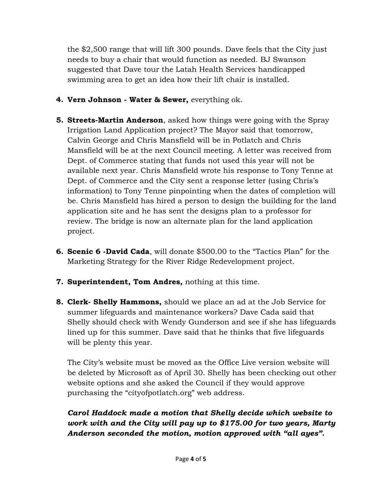the \$2,500 range that will lift 300 pounds. Dave feels that the City just needs to buy a chair that would function as needed. BJ Swanson suggested that Dave tour the Latah Health Services handicapped swimming area to get an idea how their lift chair is installed.

- **4. Vern Johnson Water & Sewer,** everything ok.
- **5. Streets-Martin Anderson**, asked how things were going with the Spray Irrigation Land Application project? The Mayor said that tomorrow, Calvin George and Chris Mansfield will be in Potlatch and Chris Mansfield will be at the next Council meeting. A letter was received from Dept. of Commerce stating that funds not used this year will not be available next year. Chris Mansfield wrote his response to Tony Tenne at Dept. of Commerce and the City sent a response letter (using Chris's information) to Tony Tenne pinpointing when the dates of completion will be. Chris Mansfield has hired a person to design the building for the land application site and he has sent the designs plan to a professor for review. The bridge is now an alternate plan for the land application project.
- **6. Scenic 6 -David Cada**, will donate \$500.00 to the "Tactics Plan" for the Marketing Strategy for the River Ridge Redevelopment project.
- **7. Superintendent, Tom Andres,** nothing at this time.
- **8. Clerk- Shelly Hammons,** should we place an ad at the Job Service for summer lifeguards and maintenance workers? Dave Cada said that Shelly should check with Wendy Gunderson and see if she has lifeguards lined up for this summer. Dave said that he thinks that five lifeguards will be plenty this year.

The City's website must be moved as the Office Live version website will be deleted by Microsoft as of April 30. Shelly has been checking out other website options and she asked the Council if they would approve purchasing the "cityofpotlatch.org" web address.

## *Carol Haddock made a motion that Shelly decide which website to work with and the City will pay up to \$175.00 for two years, Marty Anderson seconded the motion, motion approved with "all ayes".*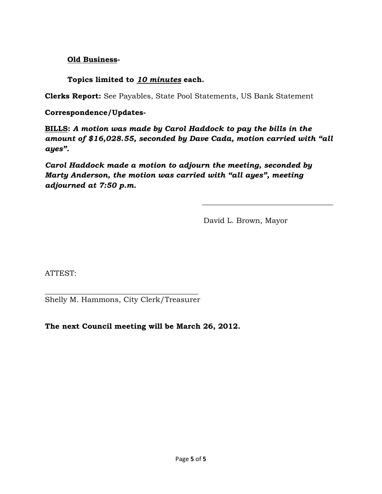### **Old Business-**

**Topics limited to** *10 minutes* **each.** 

**Clerks Report:** See Payables, State Pool Statements, US Bank Statement

**Correspondence/Updates-**

**BILLS:** *A motion was made by Carol Haddock to pay the bills in the amount of \$16,028.55, seconded by Dave Cada, motion carried with "all ayes".* 

 $\frac{1}{\sqrt{2}}$  ,  $\frac{1}{\sqrt{2}}$  ,  $\frac{1}{\sqrt{2}}$  ,  $\frac{1}{\sqrt{2}}$  ,  $\frac{1}{\sqrt{2}}$  ,  $\frac{1}{\sqrt{2}}$  ,  $\frac{1}{\sqrt{2}}$  ,  $\frac{1}{\sqrt{2}}$  ,  $\frac{1}{\sqrt{2}}$  ,  $\frac{1}{\sqrt{2}}$  ,  $\frac{1}{\sqrt{2}}$  ,  $\frac{1}{\sqrt{2}}$  ,  $\frac{1}{\sqrt{2}}$  ,  $\frac{1}{\sqrt{2}}$  ,  $\frac{1}{\sqrt{2}}$ 

*Carol Haddock made a motion to adjourn the meeting, seconded by Marty Anderson, the motion was carried with "all ayes", meeting adjourned at 7:50 p.m.* 

David L. Brown, Mayor

ATTEST:

 $\frac{1}{2}$  ,  $\frac{1}{2}$  ,  $\frac{1}{2}$  ,  $\frac{1}{2}$  ,  $\frac{1}{2}$  ,  $\frac{1}{2}$  ,  $\frac{1}{2}$  ,  $\frac{1}{2}$  ,  $\frac{1}{2}$  ,  $\frac{1}{2}$  ,  $\frac{1}{2}$  ,  $\frac{1}{2}$  ,  $\frac{1}{2}$  ,  $\frac{1}{2}$  ,  $\frac{1}{2}$  ,  $\frac{1}{2}$  ,  $\frac{1}{2}$  ,  $\frac{1}{2}$  ,  $\frac{1$ Shelly M. Hammons, City Clerk/Treasurer

**The next Council meeting will be March 26, 2012.**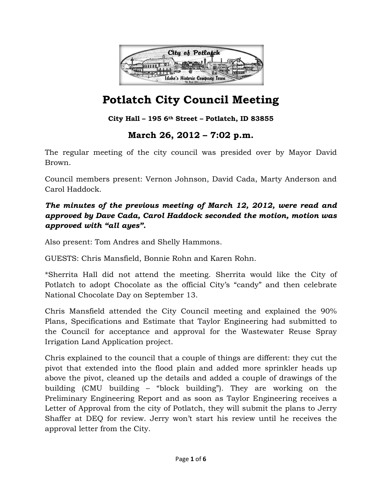![](_page_21_Picture_0.jpeg)

**City Hall – 195 6th Street – Potlatch, ID 83855**

## **March 26, 2012 – 7:02 p.m.**

The regular meeting of the city council was presided over by Mayor David Brown.

Council members present: Vernon Johnson, David Cada, Marty Anderson and Carol Haddock.

## *The minutes of the previous meeting of March 12, 2012, were read and approved by Dave Cada, Carol Haddock seconded the motion, motion was approved with "all ayes".*

Also present: Tom Andres and Shelly Hammons.

GUESTS: Chris Mansfield, Bonnie Rohn and Karen Rohn.

\*Sherrita Hall did not attend the meeting. Sherrita would like the City of Potlatch to adopt Chocolate as the official City's "candy" and then celebrate National Chocolate Day on September 13.

Chris Mansfield attended the City Council meeting and explained the 90% Plans, Specifications and Estimate that Taylor Engineering had submitted to the Council for acceptance and approval for the Wastewater Reuse Spray Irrigation Land Application project.

Chris explained to the council that a couple of things are different: they cut the pivot that extended into the flood plain and added more sprinkler heads up above the pivot, cleaned up the details and added a couple of drawings of the building (CMU building – "block building"). They are working on the Preliminary Engineering Report and as soon as Taylor Engineering receives a Letter of Approval from the city of Potlatch, they will submit the plans to Jerry Shaffer at DEQ for review. Jerry won't start his review until he receives the approval letter from the City.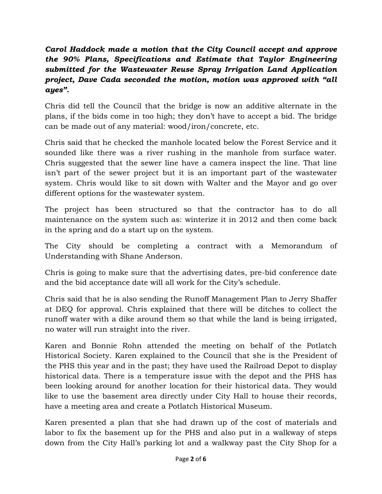## *Carol Haddock made a motion that the City Council accept and approve the 90% Plans, Specifications and Estimate that Taylor Engineering submitted for the Wastewater Reuse Spray Irrigation Land Application project, Dave Cada seconded the motion, motion was approved with "all ayes".*

Chris did tell the Council that the bridge is now an additive alternate in the plans, if the bids come in too high; they don't have to accept a bid. The bridge can be made out of any material: wood/iron/concrete, etc.

Chris said that he checked the manhole located below the Forest Service and it sounded like there was a river rushing in the manhole from surface water. Chris suggested that the sewer line have a camera inspect the line. That line isn't part of the sewer project but it is an important part of the wastewater system. Chris would like to sit down with Walter and the Mayor and go over different options for the wastewater system.

The project has been structured so that the contractor has to do all maintenance on the system such as: winterize it in 2012 and then come back in the spring and do a start up on the system.

The City should be completing a contract with a Memorandum of Understanding with Shane Anderson.

Chris is going to make sure that the advertising dates, pre-bid conference date and the bid acceptance date will all work for the City's schedule.

Chris said that he is also sending the Runoff Management Plan to Jerry Shaffer at DEQ for approval. Chris explained that there will be ditches to collect the runoff water with a dike around them so that while the land is being irrigated, no water will run straight into the river.

Karen and Bonnie Rohn attended the meeting on behalf of the Potlatch Historical Society. Karen explained to the Council that she is the President of the PHS this year and in the past; they have used the Railroad Depot to display historical data. There is a temperature issue with the depot and the PHS has been looking around for another location for their historical data. They would like to use the basement area directly under City Hall to house their records, have a meeting area and create a Potlatch Historical Museum.

Karen presented a plan that she had drawn up of the cost of materials and labor to fix the basement up for the PHS and also put in a walkway of steps down from the City Hall's parking lot and a walkway past the City Shop for a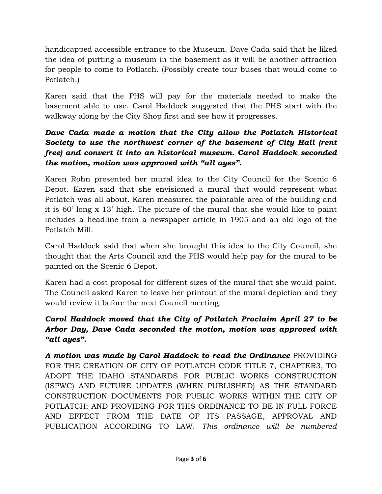handicapped accessible entrance to the Museum. Dave Cada said that he liked the idea of putting a museum in the basement as it will be another attraction for people to come to Potlatch. (Possibly create tour buses that would come to Potlatch.)

Karen said that the PHS will pay for the materials needed to make the basement able to use. Carol Haddock suggested that the PHS start with the walkway along by the City Shop first and see how it progresses.

## *Dave Cada made a motion that the City allow the Potlatch Historical Society to use the northwest corner of the basement of City Hall (rent free) and convert it into an historical museum. Carol Haddock seconded the motion, motion was approved with "all ayes".*

Karen Rohn presented her mural idea to the City Council for the Scenic 6 Depot. Karen said that she envisioned a mural that would represent what Potlatch was all about. Karen measured the paintable area of the building and it is 60' long x 13' high. The picture of the mural that she would like to paint includes a headline from a newspaper article in 1905 and an old logo of the Potlatch Mill.

Carol Haddock said that when she brought this idea to the City Council, she thought that the Arts Council and the PHS would help pay for the mural to be painted on the Scenic 6 Depot.

Karen had a cost proposal for different sizes of the mural that she would paint. The Council asked Karen to leave her printout of the mural depiction and they would review it before the next Council meeting.

## *Carol Haddock moved that the City of Potlatch Proclaim April 27 to be Arbor Day, Dave Cada seconded the motion, motion was approved with "all ayes".*

*A motion was made by Carol Haddock to read the Ordinance* PROVIDING FOR THE CREATION OF CITY OF POTLATCH CODE TITLE 7, CHAPTER3, TO ADOPT THE IDAHO STANDARDS FOR PUBLIC WORKS CONSTRUCTION (ISPWC) AND FUTURE UPDATES (WHEN PUBLISHED) AS THE STANDARD CONSTRUCTION DOCUMENTS FOR PUBLIC WORKS WITHIN THE CITY OF POTLATCH; AND PROVIDING FOR THIS ORDINANCE TO BE IN FULL FORCE AND EFFECT FROM THE DATE OF ITS PASSAGE, APPROVAL AND PUBLICATION ACCORDING TO LAW. *This ordinance will be numbered*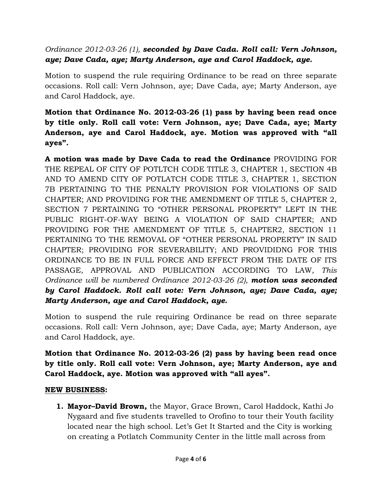## *Ordinance 2012-03-26 (1), seconded by Dave Cada. Roll call: Vern Johnson, aye; Dave Cada, aye; Marty Anderson, aye and Carol Haddock, aye.*

Motion to suspend the rule requiring Ordinance to be read on three separate occasions. Roll call: Vern Johnson, aye; Dave Cada, aye; Marty Anderson, aye and Carol Haddock, aye.

## **Motion that Ordinance No. 2012-03-26 (1) pass by having been read once by title only. Roll call vote: Vern Johnson, aye; Dave Cada, aye; Marty Anderson, aye and Carol Haddock, aye. Motion was approved with "all ayes".**

**A motion was made by Dave Cada to read the Ordinance** PROVIDING FOR THE REPEAL OF CITY OF POTLTCH CODE TITLE 3, CHAPTER 1, SECTION 4B AND TO AMEND CITY OF POTLATCH CODE TITLE 3, CHAPTER 1, SECTION 7B PERTAINING TO THE PENALTY PROVISION FOR VIOLATIONS OF SAID CHAPTER; AND PROVIDING FOR THE AMENDMENT OF TITLE 5, CHAPTER 2, SECTION 7 PERTAINING TO "OTHER PERSONAL PROPERTY" LEFT IN THE PUBLIC RIGHT-OF-WAY BEING A VIOLATION OF SAID CHAPTER; AND PROVIDING FOR THE AMENDMENT OF TITLE 5, CHAPTER2, SECTION 11 PERTAINING TO THE REMOVAL OF "OTHER PERSONAL PROPERTY" IN SAID CHAPTER; PROVIDING FOR SEVERABILITY; AND PROVIDIDNG FOR THIS ORDINANCE TO BE IN FULL FORCE AND EFFECT FROM THE DATE OF ITS PASSAGE, APPROVAL AND PUBLICATION ACCORDING TO LAW, *This Ordinance will be numbered Ordinance 2012-03-26 (2), motion was seconded by Carol Haddock. Roll call vote: Vern Johnson, aye; Dave Cada, aye; Marty Anderson, aye and Carol Haddock, aye.* 

Motion to suspend the rule requiring Ordinance be read on three separate occasions. Roll call: Vern Johnson, aye; Dave Cada, aye; Marty Anderson, aye and Carol Haddock, aye.

## **Motion that Ordinance No. 2012-03-26 (2) pass by having been read once by title only. Roll call vote: Vern Johnson, aye; Marty Anderson, aye and Carol Haddock, aye. Motion was approved with "all ayes".**

#### **NEW BUSINESS:**

**1. Mayor–David Brown,** the Mayor, Grace Brown, Carol Haddock, Kathi Jo Nygaard and five students travelled to Orofino to tour their Youth facility located near the high school. Let's Get It Started and the City is working on creating a Potlatch Community Center in the little mall across from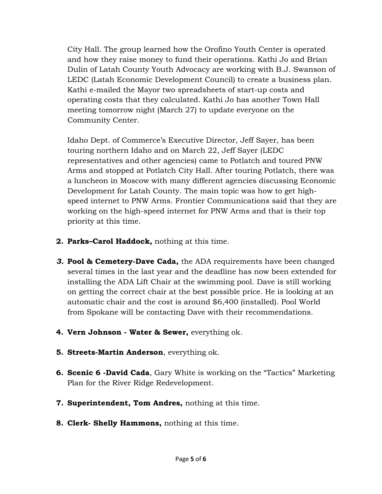City Hall. The group learned how the Orofino Youth Center is operated and how they raise money to fund their operations. Kathi Jo and Brian Dulin of Latah County Youth Advocacy are working with B.J. Swanson of LEDC (Latah Economic Development Council) to create a business plan. Kathi e-mailed the Mayor two spreadsheets of start-up costs and operating costs that they calculated. Kathi Jo has another Town Hall meeting tomorrow night (March 27) to update everyone on the Community Center.

Idaho Dept. of Commerce's Executive Director, Jeff Sayer, has been touring northern Idaho and on March 22, Jeff Sayer (LEDC representatives and other agencies) came to Potlatch and toured PNW Arms and stopped at Potlatch City Hall. After touring Potlatch, there was a luncheon in Moscow with many different agencies discussing Economic Development for Latah County. The main topic was how to get highspeed internet to PNW Arms. Frontier Communications said that they are working on the high-speed internet for PNW Arms and that is their top priority at this time.

- **2. Parks–Carol Haddock,** nothing at this time.
- *3.* **Pool & Cemetery-Dave Cada,** the ADA requirements have been changed several times in the last year and the deadline has now been extended for installing the ADA Lift Chair at the swimming pool. Dave is still working on getting the correct chair at the best possible price. He is looking at an automatic chair and the cost is around \$6,400 (installed). Pool World from Spokane will be contacting Dave with their recommendations.
- **4. Vern Johnson Water & Sewer,** everything ok.
- **5. Streets-Martin Anderson**, everything ok.
- **6. Scenic 6 -David Cada**, Gary White is working on the "Tactics" Marketing Plan for the River Ridge Redevelopment.
- **7. Superintendent, Tom Andres,** nothing at this time.
- **8. Clerk- Shelly Hammons,** nothing at this time.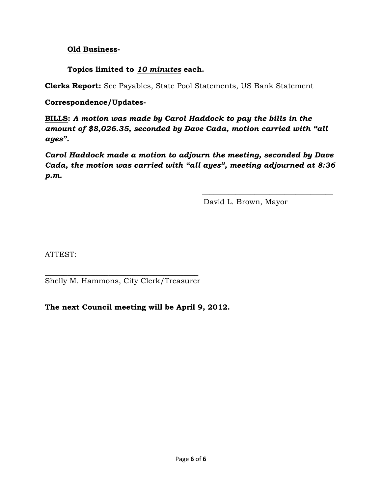#### **Old Business-**

## **Topics limited to** *10 minutes* **each.**

**Clerks Report:** See Payables, State Pool Statements, US Bank Statement

#### **Correspondence/Updates-**

**BILLS:** *A motion was made by Carol Haddock to pay the bills in the amount of \$8,026.35, seconded by Dave Cada, motion carried with "all ayes".* 

*Carol Haddock made a motion to adjourn the meeting, seconded by Dave Cada, the motion was carried with "all ayes", meeting adjourned at 8:36 p.m.* 

 $\frac{1}{\sqrt{2}}$  ,  $\frac{1}{\sqrt{2}}$  ,  $\frac{1}{\sqrt{2}}$  ,  $\frac{1}{\sqrt{2}}$  ,  $\frac{1}{\sqrt{2}}$  ,  $\frac{1}{\sqrt{2}}$  ,  $\frac{1}{\sqrt{2}}$  ,  $\frac{1}{\sqrt{2}}$  ,  $\frac{1}{\sqrt{2}}$  ,  $\frac{1}{\sqrt{2}}$  ,  $\frac{1}{\sqrt{2}}$  ,  $\frac{1}{\sqrt{2}}$  ,  $\frac{1}{\sqrt{2}}$  ,  $\frac{1}{\sqrt{2}}$  ,  $\frac{1}{\sqrt{2}}$ 

David L. Brown, Mayor

ATTEST:

\_\_\_\_\_\_\_\_\_\_\_\_\_\_\_\_\_\_\_\_\_\_\_\_\_\_\_\_\_\_\_\_\_\_\_\_\_\_\_\_\_ Shelly M. Hammons, City Clerk/Treasurer

**The next Council meeting will be April 9, 2012.**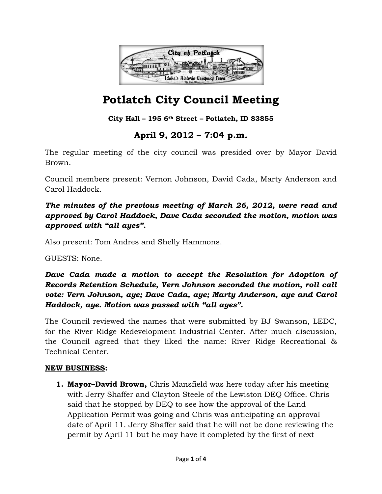![](_page_27_Picture_0.jpeg)

## **City Hall – 195 6th Street – Potlatch, ID 83855**

## **April 9, 2012 – 7:04 p.m.**

The regular meeting of the city council was presided over by Mayor David Brown.

Council members present: Vernon Johnson, David Cada, Marty Anderson and Carol Haddock.

*The minutes of the previous meeting of March 26, 2012, were read and approved by Carol Haddock, Dave Cada seconded the motion, motion was approved with "all ayes".* 

Also present: Tom Andres and Shelly Hammons.

GUESTS: None.

*Dave Cada made a motion to accept the Resolution for Adoption of Records Retention Schedule, Vern Johnson seconded the motion, roll call vote: Vern Johnson, aye; Dave Cada, aye; Marty Anderson, aye and Carol Haddock, aye. Motion was passed with "all ayes".* 

The Council reviewed the names that were submitted by BJ Swanson, LEDC, for the River Ridge Redevelopment Industrial Center. After much discussion, the Council agreed that they liked the name: River Ridge Recreational & Technical Center.

#### **NEW BUSINESS:**

**1. Mayor–David Brown,** Chris Mansfield was here today after his meeting with Jerry Shaffer and Clayton Steele of the Lewiston DEQ Office. Chris said that he stopped by DEQ to see how the approval of the Land Application Permit was going and Chris was anticipating an approval date of April 11. Jerry Shaffer said that he will not be done reviewing the permit by April 11 but he may have it completed by the first of next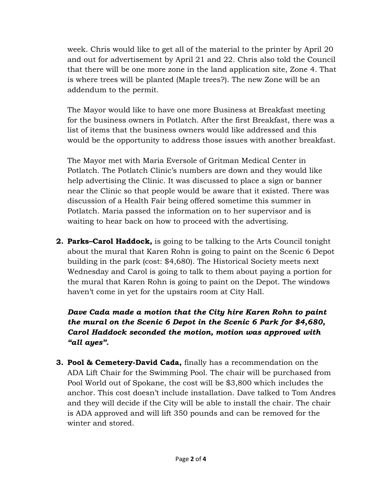week. Chris would like to get all of the material to the printer by April 20 and out for advertisement by April 21 and 22. Chris also told the Council that there will be one more zone in the land application site, Zone 4. That is where trees will be planted (Maple trees?). The new Zone will be an addendum to the permit.

The Mayor would like to have one more Business at Breakfast meeting for the business owners in Potlatch. After the first Breakfast, there was a list of items that the business owners would like addressed and this would be the opportunity to address those issues with another breakfast.

The Mayor met with Maria Eversole of Gritman Medical Center in Potlatch. The Potlatch Clinic's numbers are down and they would like help advertising the Clinic. It was discussed to place a sign or banner near the Clinic so that people would be aware that it existed. There was discussion of a Health Fair being offered sometime this summer in Potlatch. Maria passed the information on to her supervisor and is waiting to hear back on how to proceed with the advertising.

**2. Parks–Carol Haddock,** is going to be talking to the Arts Council tonight about the mural that Karen Rohn is going to paint on the Scenic 6 Depot building in the park (cost: \$4,680). The Historical Society meets next Wednesday and Carol is going to talk to them about paying a portion for the mural that Karen Rohn is going to paint on the Depot. The windows haven't come in yet for the upstairs room at City Hall.

*Dave Cada made a motion that the City hire Karen Rohn to paint the mural on the Scenic 6 Depot in the Scenic 6 Park for \$4,680, Carol Haddock seconded the motion, motion was approved with "all ayes".* 

**3. Pool & Cemetery-David Cada,** finally has a recommendation on the ADA Lift Chair for the Swimming Pool. The chair will be purchased from Pool World out of Spokane, the cost will be \$3,800 which includes the anchor. This cost doesn't include installation. Dave talked to Tom Andres and they will decide if the City will be able to install the chair. The chair is ADA approved and will lift 350 pounds and can be removed for the winter and stored.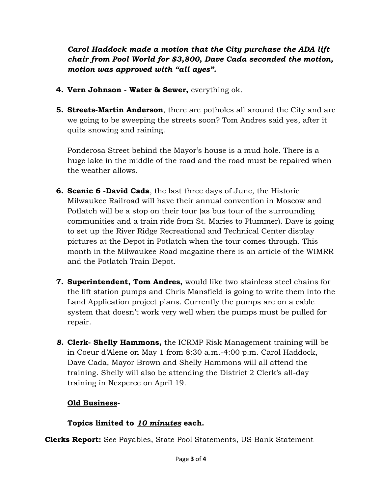*Carol Haddock made a motion that the City purchase the ADA lift chair from Pool World for \$3,800, Dave Cada seconded the motion, motion was approved with "all ayes".* 

- **4. Vern Johnson Water & Sewer,** everything ok.
- **5. Streets-Martin Anderson**, there are potholes all around the City and are we going to be sweeping the streets soon? Tom Andres said yes, after it quits snowing and raining.

Ponderosa Street behind the Mayor's house is a mud hole. There is a huge lake in the middle of the road and the road must be repaired when the weather allows.

- **6. Scenic 6 -David Cada**, the last three days of June, the Historic Milwaukee Railroad will have their annual convention in Moscow and Potlatch will be a stop on their tour (as bus tour of the surrounding communities and a train ride from St. Maries to Plummer). Dave is going to set up the River Ridge Recreational and Technical Center display pictures at the Depot in Potlatch when the tour comes through. This month in the Milwaukee Road magazine there is an article of the WIMRR and the Potlatch Train Depot.
- **7. Superintendent, Tom Andres,** would like two stainless steel chains for the lift station pumps and Chris Mansfield is going to write them into the Land Application project plans. Currently the pumps are on a cable system that doesn't work very well when the pumps must be pulled for repair.
- *8.* **Clerk- Shelly Hammons,** the ICRMP Risk Management training will be in Coeur d'Alene on May 1 from 8:30 a.m.-4:00 p.m. Carol Haddock, Dave Cada, Mayor Brown and Shelly Hammons will all attend the training. Shelly will also be attending the District 2 Clerk's all-day training in Nezperce on April 19.

## **Old Business-**

## **Topics limited to** *10 minutes* **each.**

**Clerks Report:** See Payables, State Pool Statements, US Bank Statement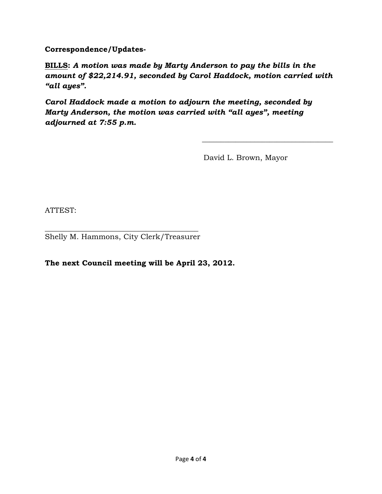**Correspondence/Updates-**

**BILLS:** *A motion was made by Marty Anderson to pay the bills in the amount of \$22,214.91, seconded by Carol Haddock, motion carried with "all ayes".* 

 $\frac{1}{\sqrt{2}}$  ,  $\frac{1}{\sqrt{2}}$  ,  $\frac{1}{\sqrt{2}}$  ,  $\frac{1}{\sqrt{2}}$  ,  $\frac{1}{\sqrt{2}}$  ,  $\frac{1}{\sqrt{2}}$  ,  $\frac{1}{\sqrt{2}}$  ,  $\frac{1}{\sqrt{2}}$  ,  $\frac{1}{\sqrt{2}}$  ,  $\frac{1}{\sqrt{2}}$  ,  $\frac{1}{\sqrt{2}}$  ,  $\frac{1}{\sqrt{2}}$  ,  $\frac{1}{\sqrt{2}}$  ,  $\frac{1}{\sqrt{2}}$  ,  $\frac{1}{\sqrt{2}}$ 

*Carol Haddock made a motion to adjourn the meeting, seconded by Marty Anderson, the motion was carried with "all ayes", meeting adjourned at 7:55 p.m.* 

David L. Brown, Mayor

ATTEST:

 $\frac{1}{2}$  ,  $\frac{1}{2}$  ,  $\frac{1}{2}$  ,  $\frac{1}{2}$  ,  $\frac{1}{2}$  ,  $\frac{1}{2}$  ,  $\frac{1}{2}$  ,  $\frac{1}{2}$  ,  $\frac{1}{2}$  ,  $\frac{1}{2}$  ,  $\frac{1}{2}$  ,  $\frac{1}{2}$  ,  $\frac{1}{2}$  ,  $\frac{1}{2}$  ,  $\frac{1}{2}$  ,  $\frac{1}{2}$  ,  $\frac{1}{2}$  ,  $\frac{1}{2}$  ,  $\frac{1$ Shelly M. Hammons, City Clerk/Treasurer

**The next Council meeting will be April 23, 2012.**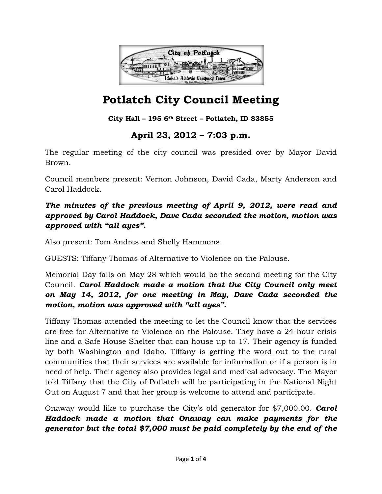![](_page_31_Picture_0.jpeg)

### **City Hall – 195 6th Street – Potlatch, ID 83855**

## **April 23, 2012 – 7:03 p.m.**

The regular meeting of the city council was presided over by Mayor David Brown.

Council members present: Vernon Johnson, David Cada, Marty Anderson and Carol Haddock.

## *The minutes of the previous meeting of April 9, 2012, were read and approved by Carol Haddock, Dave Cada seconded the motion, motion was approved with "all ayes".*

Also present: Tom Andres and Shelly Hammons.

GUESTS: Tiffany Thomas of Alternative to Violence on the Palouse.

Memorial Day falls on May 28 which would be the second meeting for the City Council. *Carol Haddock made a motion that the City Council only meet on May 14, 2012, for one meeting in May, Dave Cada seconded the motion, motion was approved with "all ayes".* 

Tiffany Thomas attended the meeting to let the Council know that the services are free for Alternative to Violence on the Palouse. They have a 24-hour crisis line and a Safe House Shelter that can house up to 17. Their agency is funded by both Washington and Idaho. Tiffany is getting the word out to the rural communities that their services are available for information or if a person is in need of help. Their agency also provides legal and medical advocacy. The Mayor told Tiffany that the City of Potlatch will be participating in the National Night Out on August 7 and that her group is welcome to attend and participate.

Onaway would like to purchase the City's old generator for \$7,000.00. *Carol Haddock made a motion that Onaway can make payments for the generator but the total \$7,000 must be paid completely by the end of the*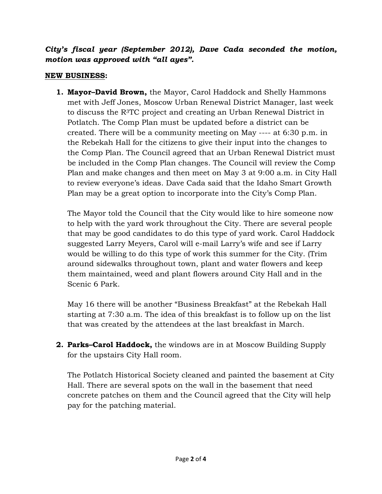*City's fiscal year (September 2012), Dave Cada seconded the motion, motion was approved with "all ayes".* 

#### **NEW BUSINESS:**

**1. Mayor–David Brown,** the Mayor, Carol Haddock and Shelly Hammons met with Jeff Jones, Moscow Urban Renewal District Manager, last week to discuss the R3TC project and creating an Urban Renewal District in Potlatch. The Comp Plan must be updated before a district can be created. There will be a community meeting on May ---- at 6:30 p.m. in the Rebekah Hall for the citizens to give their input into the changes to the Comp Plan. The Council agreed that an Urban Renewal District must be included in the Comp Plan changes. The Council will review the Comp Plan and make changes and then meet on May 3 at 9:00 a.m. in City Hall to review everyone's ideas. Dave Cada said that the Idaho Smart Growth Plan may be a great option to incorporate into the City's Comp Plan.

The Mayor told the Council that the City would like to hire someone now to help with the yard work throughout the City. There are several people that may be good candidates to do this type of yard work. Carol Haddock suggested Larry Meyers, Carol will e-mail Larry's wife and see if Larry would be willing to do this type of work this summer for the City. (Trim around sidewalks throughout town, plant and water flowers and keep them maintained, weed and plant flowers around City Hall and in the Scenic 6 Park.

May 16 there will be another "Business Breakfast" at the Rebekah Hall starting at 7:30 a.m. The idea of this breakfast is to follow up on the list that was created by the attendees at the last breakfast in March.

**2. Parks–Carol Haddock,** the windows are in at Moscow Building Supply for the upstairs City Hall room.

The Potlatch Historical Society cleaned and painted the basement at City Hall. There are several spots on the wall in the basement that need concrete patches on them and the Council agreed that the City will help pay for the patching material.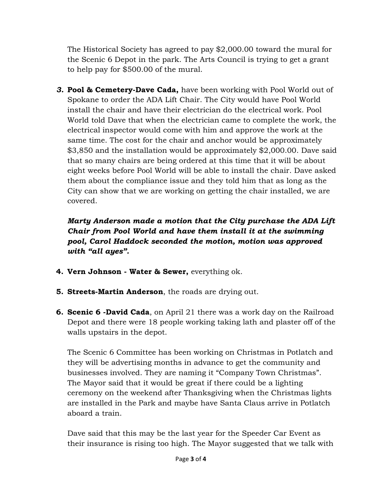The Historical Society has agreed to pay \$2,000.00 toward the mural for the Scenic 6 Depot in the park. The Arts Council is trying to get a grant to help pay for \$500.00 of the mural.

*3.* **Pool & Cemetery-Dave Cada,** have been working with Pool World out of Spokane to order the ADA Lift Chair. The City would have Pool World install the chair and have their electrician do the electrical work. Pool World told Dave that when the electrician came to complete the work, the electrical inspector would come with him and approve the work at the same time. The cost for the chair and anchor would be approximately \$3,850 and the installation would be approximately \$2,000.00. Dave said that so many chairs are being ordered at this time that it will be about eight weeks before Pool World will be able to install the chair. Dave asked them about the compliance issue and they told him that as long as the City can show that we are working on getting the chair installed, we are covered.

*Marty Anderson made a motion that the City purchase the ADA Lift Chair from Pool World and have them install it at the swimming pool, Carol Haddock seconded the motion, motion was approved with "all ayes".* 

- **4. Vern Johnson Water & Sewer,** everything ok.
- **5. Streets-Martin Anderson**, the roads are drying out.
- **6. Scenic 6 -David Cada**, on April 21 there was a work day on the Railroad Depot and there were 18 people working taking lath and plaster off of the walls upstairs in the depot.

The Scenic 6 Committee has been working on Christmas in Potlatch and they will be advertising months in advance to get the community and businesses involved. They are naming it "Company Town Christmas". The Mayor said that it would be great if there could be a lighting ceremony on the weekend after Thanksgiving when the Christmas lights are installed in the Park and maybe have Santa Claus arrive in Potlatch aboard a train.

Dave said that this may be the last year for the Speeder Car Event as their insurance is rising too high. The Mayor suggested that we talk with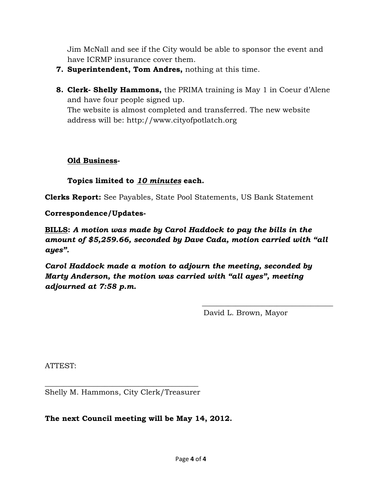Jim McNall and see if the City would be able to sponsor the event and have ICRMP insurance cover them.

- **7. Superintendent, Tom Andres,** nothing at this time.
- **8. Clerk- Shelly Hammons,** the PRIMA training is May 1 in Coeur d'Alene and have four people signed up.

The website is almost completed and transferred. The new website address will be: http://www.cityofpotlatch.org

#### **Old Business-**

## **Topics limited to** *10 minutes* **each.**

**Clerks Report:** See Payables, State Pool Statements, US Bank Statement

## **Correspondence/Updates-**

**BILLS:** *A motion was made by Carol Haddock to pay the bills in the amount of \$5,259.66, seconded by Dave Cada, motion carried with "all ayes".* 

 $\frac{1}{\sqrt{2}}$  ,  $\frac{1}{\sqrt{2}}$  ,  $\frac{1}{\sqrt{2}}$  ,  $\frac{1}{\sqrt{2}}$  ,  $\frac{1}{\sqrt{2}}$  ,  $\frac{1}{\sqrt{2}}$  ,  $\frac{1}{\sqrt{2}}$  ,  $\frac{1}{\sqrt{2}}$  ,  $\frac{1}{\sqrt{2}}$  ,  $\frac{1}{\sqrt{2}}$  ,  $\frac{1}{\sqrt{2}}$  ,  $\frac{1}{\sqrt{2}}$  ,  $\frac{1}{\sqrt{2}}$  ,  $\frac{1}{\sqrt{2}}$  ,  $\frac{1}{\sqrt{2}}$ 

*Carol Haddock made a motion to adjourn the meeting, seconded by Marty Anderson, the motion was carried with "all ayes", meeting adjourned at 7:58 p.m.* 

David L. Brown, Mayor

ATTEST:

\_\_\_\_\_\_\_\_\_\_\_\_\_\_\_\_\_\_\_\_\_\_\_\_\_\_\_\_\_\_\_\_\_\_\_\_\_\_\_\_\_ Shelly M. Hammons, City Clerk/Treasurer

## **The next Council meeting will be May 14, 2012.**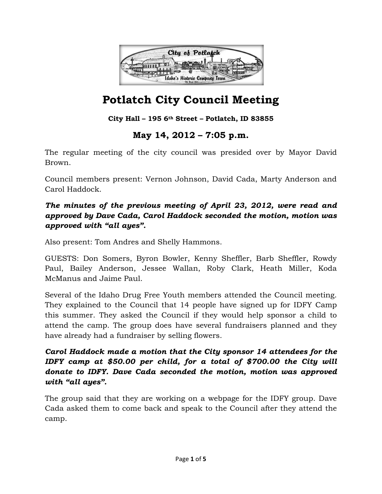![](_page_35_Picture_0.jpeg)

## **City Hall – 195 6th Street – Potlatch, ID 83855**

## **May 14, 2012 – 7:05 p.m.**

The regular meeting of the city council was presided over by Mayor David Brown.

Council members present: Vernon Johnson, David Cada, Marty Anderson and Carol Haddock.

## *The minutes of the previous meeting of April 23, 2012, were read and approved by Dave Cada, Carol Haddock seconded the motion, motion was approved with "all ayes".*

Also present: Tom Andres and Shelly Hammons.

GUESTS: Don Somers, Byron Bowler, Kenny Sheffler, Barb Sheffler, Rowdy Paul, Bailey Anderson, Jessee Wallan, Roby Clark, Heath Miller, Koda McManus and Jaime Paul.

Several of the Idaho Drug Free Youth members attended the Council meeting. They explained to the Council that 14 people have signed up for IDFY Camp this summer. They asked the Council if they would help sponsor a child to attend the camp. The group does have several fundraisers planned and they have already had a fundraiser by selling flowers.

## *Carol Haddock made a motion that the City sponsor 14 attendees for the IDFY camp at \$50.00 per child, for a total of \$700.00 the City will donate to IDFY. Dave Cada seconded the motion, motion was approved with "all ayes".*

The group said that they are working on a webpage for the IDFY group. Dave Cada asked them to come back and speak to the Council after they attend the camp.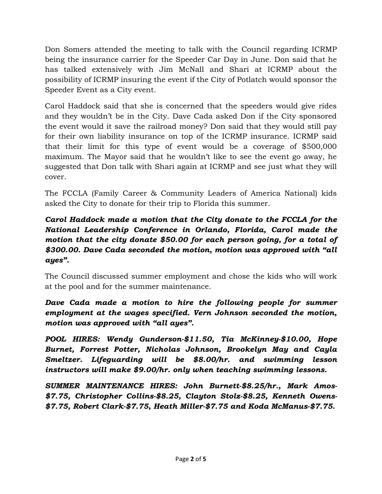Don Somers attended the meeting to talk with the Council regarding ICRMP being the insurance carrier for the Speeder Car Day in June. Don said that he has talked extensively with Jim McNall and Shari at ICRMP about the possibility of ICRMP insuring the event if the City of Potlatch would sponsor the Speeder Event as a City event.

Carol Haddock said that she is concerned that the speeders would give rides and they wouldn't be in the City. Dave Cada asked Don if the City sponsored the event would it save the railroad money? Don said that they would still pay for their own liability insurance on top of the ICRMP insurance. ICRMP said that their limit for this type of event would be a coverage of \$500,000 maximum. The Mayor said that he wouldn't like to see the event go away, he suggested that Don talk with Shari again at ICRMP and see just what they will cover.

The FCCLA (Family Career & Community Leaders of America National) kids asked the City to donate for their trip to Florida this summer.

## *Carol Haddock made a motion that the City donate to the FCCLA for the National Leadership Conference in Orlando, Florida, Carol made the motion that the city donate \$50.00 for each person going, for a total of \$300.00. Dave Cada seconded the motion, motion was approved with "all ayes".*

The Council discussed summer employment and chose the kids who will work at the pool and for the summer maintenance.

## *Dave Cada made a motion to hire the following people for summer employment at the wages specified. Vern Johnson seconded the motion, motion was approved with "all ayes".*

*POOL HIRES: Wendy Gunderson-\$11.50, Tia McKinney-\$10.00, Hope Burnet, Forrest Potter, Nicholas Johnson, Brookelyn May and Cayla Smeltzer. Lifeguarding will be \$8.00/hr. and swimming lesson instructors will make \$9.00/hr. only when teaching swimming lessons.* 

*SUMMER MAINTENANCE HIRES: John Burnett-\$8.25/hr., Mark Amos- \$7.75, Christopher Collins-\$8.25, Clayton Stolz-\$8.25, Kenneth Owens- \$7.75, Robert Clark-\$7.75, Heath Miller-\$7.75 and Koda McManus-\$7.75.*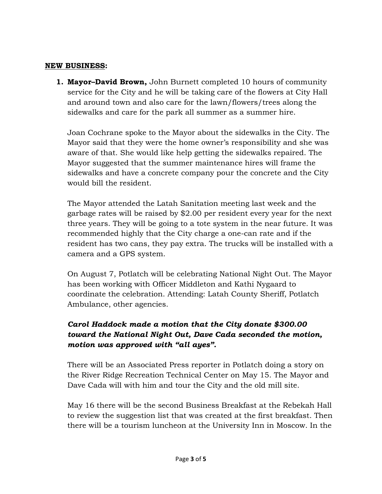#### **NEW BUSINESS:**

**1. Mayor–David Brown,** John Burnett completed 10 hours of community service for the City and he will be taking care of the flowers at City Hall and around town and also care for the lawn/flowers/trees along the sidewalks and care for the park all summer as a summer hire.

Joan Cochrane spoke to the Mayor about the sidewalks in the City. The Mayor said that they were the home owner's responsibility and she was aware of that. She would like help getting the sidewalks repaired. The Mayor suggested that the summer maintenance hires will frame the sidewalks and have a concrete company pour the concrete and the City would bill the resident.

The Mayor attended the Latah Sanitation meeting last week and the garbage rates will be raised by \$2.00 per resident every year for the next three years. They will be going to a tote system in the near future. It was recommended highly that the City charge a one-can rate and if the resident has two cans, they pay extra. The trucks will be installed with a camera and a GPS system.

On August 7, Potlatch will be celebrating National Night Out. The Mayor has been working with Officer Middleton and Kathi Nygaard to coordinate the celebration. Attending: Latah County Sheriff, Potlatch Ambulance, other agencies.

## *Carol Haddock made a motion that the City donate \$300.00 toward the National Night Out, Dave Cada seconded the motion, motion was approved with "all ayes".*

There will be an Associated Press reporter in Potlatch doing a story on the River Ridge Recreation Technical Center on May 15. The Mayor and Dave Cada will with him and tour the City and the old mill site.

May 16 there will be the second Business Breakfast at the Rebekah Hall to review the suggestion list that was created at the first breakfast. Then there will be a tourism luncheon at the University Inn in Moscow. In the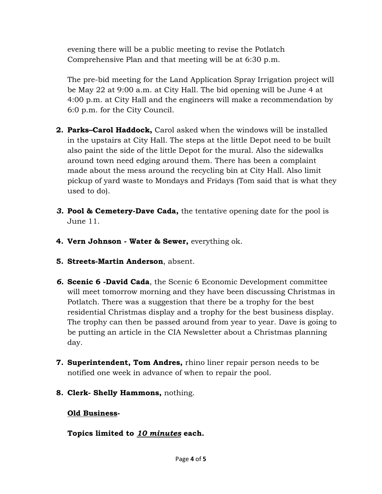evening there will be a public meeting to revise the Potlatch Comprehensive Plan and that meeting will be at 6:30 p.m.

The pre-bid meeting for the Land Application Spray Irrigation project will be May 22 at 9:00 a.m. at City Hall. The bid opening will be June 4 at 4:00 p.m. at City Hall and the engineers will make a recommendation by 6:0 p.m. for the City Council.

- **2. Parks–Carol Haddock,** Carol asked when the windows will be installed in the upstairs at City Hall. The steps at the little Depot need to be built also paint the side of the little Depot for the mural. Also the sidewalks around town need edging around them. There has been a complaint made about the mess around the recycling bin at City Hall. Also limit pickup of yard waste to Mondays and Fridays (Tom said that is what they used to do).
- *3.* **Pool & Cemetery-Dave Cada,** the tentative opening date for the pool is June 11.
- **4. Vern Johnson Water & Sewer,** everything ok.
- **5. Streets-Martin Anderson**, absent.
- *6.* **Scenic 6 -David Cada**, the Scenic 6 Economic Development committee will meet tomorrow morning and they have been discussing Christmas in Potlatch. There was a suggestion that there be a trophy for the best residential Christmas display and a trophy for the best business display. The trophy can then be passed around from year to year. Dave is going to be putting an article in the CIA Newsletter about a Christmas planning day.
- **7. Superintendent, Tom Andres,** rhino liner repair person needs to be notified one week in advance of when to repair the pool.
- **8. Clerk- Shelly Hammons,** nothing.

## **Old Business-**

## **Topics limited to** *10 minutes* **each.**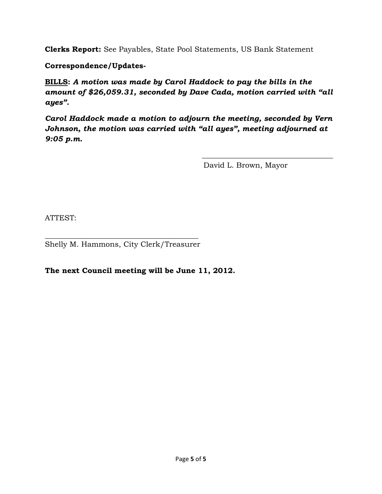**Clerks Report:** See Payables, State Pool Statements, US Bank Statement

**Correspondence/Updates-**

**BILLS:** *A motion was made by Carol Haddock to pay the bills in the amount of \$26,059.31, seconded by Dave Cada, motion carried with "all ayes".* 

*Carol Haddock made a motion to adjourn the meeting, seconded by Vern Johnson, the motion was carried with "all ayes", meeting adjourned at 9:05 p.m.* 

 $\frac{1}{\sqrt{2}}$  ,  $\frac{1}{\sqrt{2}}$  ,  $\frac{1}{\sqrt{2}}$  ,  $\frac{1}{\sqrt{2}}$  ,  $\frac{1}{\sqrt{2}}$  ,  $\frac{1}{\sqrt{2}}$  ,  $\frac{1}{\sqrt{2}}$  ,  $\frac{1}{\sqrt{2}}$  ,  $\frac{1}{\sqrt{2}}$  ,  $\frac{1}{\sqrt{2}}$  ,  $\frac{1}{\sqrt{2}}$  ,  $\frac{1}{\sqrt{2}}$  ,  $\frac{1}{\sqrt{2}}$  ,  $\frac{1}{\sqrt{2}}$  ,  $\frac{1}{\sqrt{2}}$ 

David L. Brown, Mayor

ATTEST:

 $\frac{1}{2}$  ,  $\frac{1}{2}$  ,  $\frac{1}{2}$  ,  $\frac{1}{2}$  ,  $\frac{1}{2}$  ,  $\frac{1}{2}$  ,  $\frac{1}{2}$  ,  $\frac{1}{2}$  ,  $\frac{1}{2}$  ,  $\frac{1}{2}$  ,  $\frac{1}{2}$  ,  $\frac{1}{2}$  ,  $\frac{1}{2}$  ,  $\frac{1}{2}$  ,  $\frac{1}{2}$  ,  $\frac{1}{2}$  ,  $\frac{1}{2}$  ,  $\frac{1}{2}$  ,  $\frac{1$ Shelly M. Hammons, City Clerk/Treasurer

**The next Council meeting will be June 11, 2012.**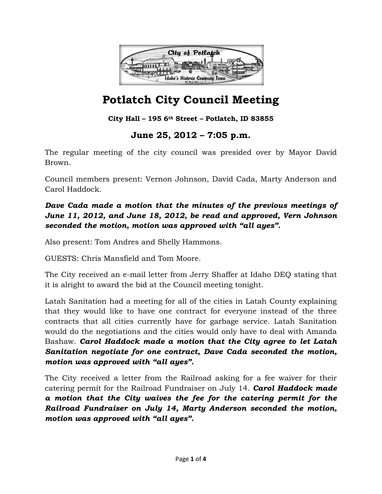

# **Potlatch City Council Meeting**

## **City Hall – 195 6th Street – Potlatch, ID 83855**

## **June 25, 2012 – 7:05 p.m.**

The regular meeting of the city council was presided over by Mayor David Brown.

Council members present: Vernon Johnson, David Cada, Marty Anderson and Carol Haddock.

*Dave Cada made a motion that the minutes of the previous meetings of June 11, 2012, and June 18, 2012, be read and approved, Vern Johnson seconded the motion, motion was approved with "all ayes".* 

Also present: Tom Andres and Shelly Hammons.

GUESTS: Chris Mansfield and Tom Moore.

The City received an e-mail letter from Jerry Shaffer at Idaho DEQ stating that it is alright to award the bid at the Council meeting tonight.

Latah Sanitation had a meeting for all of the cities in Latah County explaining that they would like to have one contract for everyone instead of the three contracts that all cities currently have for garbage service. Latah Sanitation would do the negotiations and the cities would only have to deal with Amanda Bashaw. *Carol Haddock made a motion that the City agree to let Latah Sanitation negotiate for one contract, Dave Cada seconded the motion, motion was approved with "all ayes".* 

The City received a letter from the Railroad asking for a fee waiver for their catering permit for the Railroad Fundraiser on July 14. *Carol Haddock made a motion that the City waives the fee for the catering permit for the Railroad Fundraiser on July 14, Marty Anderson seconded the motion, motion was approved with "all ayes".*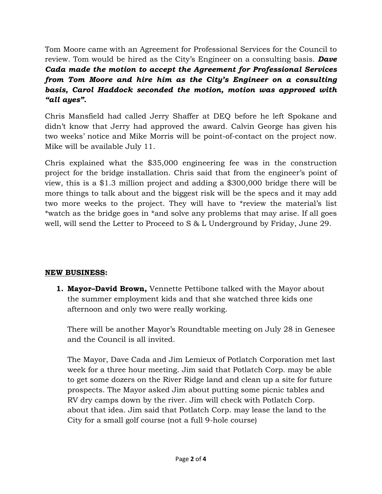Tom Moore came with an Agreement for Professional Services for the Council to review. Tom would be hired as the City's Engineer on a consulting basis. *Dave Cada made the motion to accept the Agreement for Professional Services from Tom Moore and hire him as the City's Engineer on a consulting basis, Carol Haddock seconded the motion, motion was approved with "all ayes".* 

Chris Mansfield had called Jerry Shaffer at DEQ before he left Spokane and didn't know that Jerry had approved the award. Calvin George has given his two weeks' notice and Mike Morris will be point-of-contact on the project now. Mike will be available July 11.

Chris explained what the \$35,000 engineering fee was in the construction project for the bridge installation. Chris said that from the engineer's point of view, this is a \$1.3 million project and adding a \$300,000 bridge there will be more things to talk about and the biggest risk will be the specs and it may add two more weeks to the project. They will have to \*review the material's list \*watch as the bridge goes in \*and solve any problems that may arise. If all goes well, will send the Letter to Proceed to S & L Underground by Friday, June 29.

## **NEW BUSINESS:**

**1. Mayor–David Brown,** Vennette Pettibone talked with the Mayor about the summer employment kids and that she watched three kids one afternoon and only two were really working.

There will be another Mayor's Roundtable meeting on July 28 in Genesee and the Council is all invited.

The Mayor, Dave Cada and Jim Lemieux of Potlatch Corporation met last week for a three hour meeting. Jim said that Potlatch Corp. may be able to get some dozers on the River Ridge land and clean up a site for future prospects. The Mayor asked Jim about putting some picnic tables and RV dry camps down by the river. Jim will check with Potlatch Corp. about that idea. Jim said that Potlatch Corp. may lease the land to the City for a small golf course (not a full 9-hole course)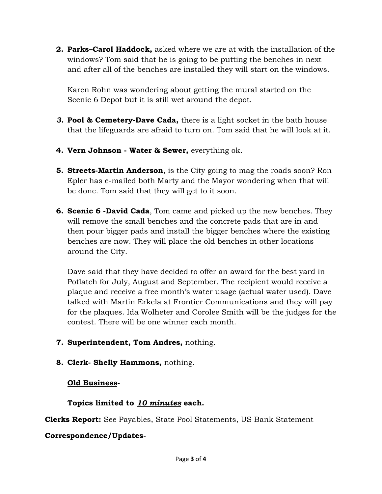**2. Parks–Carol Haddock,** asked where we are at with the installation of the windows? Tom said that he is going to be putting the benches in next and after all of the benches are installed they will start on the windows.

Karen Rohn was wondering about getting the mural started on the Scenic 6 Depot but it is still wet around the depot.

- *3.* **Pool & Cemetery-Dave Cada,** there is a light socket in the bath house that the lifeguards are afraid to turn on. Tom said that he will look at it.
- **4. Vern Johnson Water & Sewer,** everything ok.
- **5. Streets-Martin Anderson**, is the City going to mag the roads soon? Ron Epler has e-mailed both Marty and the Mayor wondering when that will be done. Tom said that they will get to it soon.
- **6. Scenic 6 -David Cada**, Tom came and picked up the new benches. They will remove the small benches and the concrete pads that are in and then pour bigger pads and install the bigger benches where the existing benches are now. They will place the old benches in other locations around the City.

Dave said that they have decided to offer an award for the best yard in Potlatch for July, August and September. The recipient would receive a plaque and receive a free month's water usage (actual water used). Dave talked with Martin Erkela at Frontier Communications and they will pay for the plaques. Ida Wolheter and Corolee Smith will be the judges for the contest. There will be one winner each month.

- **7. Superintendent, Tom Andres,** nothing.
- **8. Clerk- Shelly Hammons,** nothing.

## **Old Business-**

## **Topics limited to** *10 minutes* **each.**

**Clerks Report:** See Payables, State Pool Statements, US Bank Statement

## **Correspondence/Updates-**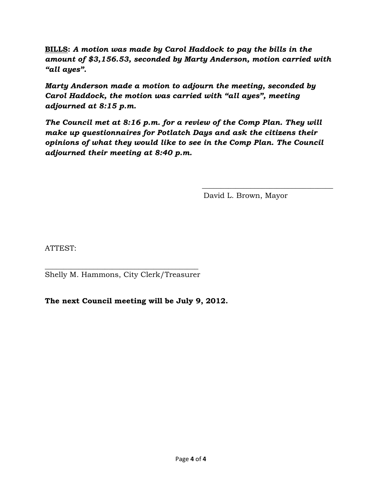**BILLS:** *A motion was made by Carol Haddock to pay the bills in the amount of \$3,156.53, seconded by Marty Anderson, motion carried with "all ayes".* 

*Marty Anderson made a motion to adjourn the meeting, seconded by Carol Haddock, the motion was carried with "all ayes", meeting adjourned at 8:15 p.m.* 

*The Council met at 8:16 p.m. for a review of the Comp Plan. They will make up questionnaires for Potlatch Days and ask the citizens their opinions of what they would like to see in the Comp Plan. The Council adjourned their meeting at 8:40 p.m.* 

 $\frac{1}{\sqrt{2}}$  ,  $\frac{1}{\sqrt{2}}$  ,  $\frac{1}{\sqrt{2}}$  ,  $\frac{1}{\sqrt{2}}$  ,  $\frac{1}{\sqrt{2}}$  ,  $\frac{1}{\sqrt{2}}$  ,  $\frac{1}{\sqrt{2}}$  ,  $\frac{1}{\sqrt{2}}$  ,  $\frac{1}{\sqrt{2}}$  ,  $\frac{1}{\sqrt{2}}$  ,  $\frac{1}{\sqrt{2}}$  ,  $\frac{1}{\sqrt{2}}$  ,  $\frac{1}{\sqrt{2}}$  ,  $\frac{1}{\sqrt{2}}$  ,  $\frac{1}{\sqrt{2}}$ 

David L. Brown, Mayor

ATTEST:

 $\frac{1}{2}$  ,  $\frac{1}{2}$  ,  $\frac{1}{2}$  ,  $\frac{1}{2}$  ,  $\frac{1}{2}$  ,  $\frac{1}{2}$  ,  $\frac{1}{2}$  ,  $\frac{1}{2}$  ,  $\frac{1}{2}$  ,  $\frac{1}{2}$  ,  $\frac{1}{2}$  ,  $\frac{1}{2}$  ,  $\frac{1}{2}$  ,  $\frac{1}{2}$  ,  $\frac{1}{2}$  ,  $\frac{1}{2}$  ,  $\frac{1}{2}$  ,  $\frac{1}{2}$  ,  $\frac{1$ Shelly M. Hammons, City Clerk/Treasurer

**The next Council meeting will be July 9, 2012.**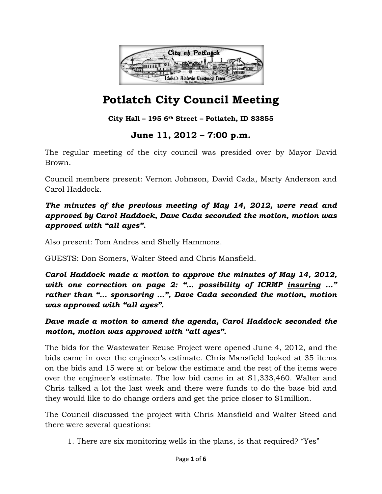

# **Potlatch City Council Meeting**

## **City Hall – 195 6th Street – Potlatch, ID 83855**

## **June 11, 2012 – 7:00 p.m.**

The regular meeting of the city council was presided over by Mayor David Brown.

Council members present: Vernon Johnson, David Cada, Marty Anderson and Carol Haddock.

*The minutes of the previous meeting of May 14, 2012, were read and approved by Carol Haddock, Dave Cada seconded the motion, motion was approved with "all ayes".* 

Also present: Tom Andres and Shelly Hammons.

GUESTS: Don Somers, Walter Steed and Chris Mansfield.

*Carol Haddock made a motion to approve the minutes of May 14, 2012, with one correction on page 2: "… possibility of ICRMP insuring …" rather than "… sponsoring …", Dave Cada seconded the motion, motion was approved with "all ayes".* 

## *Dave made a motion to amend the agenda, Carol Haddock seconded the motion, motion was approved with "all ayes".*

The bids for the Wastewater Reuse Project were opened June 4, 2012, and the bids came in over the engineer's estimate. Chris Mansfield looked at 35 items on the bids and 15 were at or below the estimate and the rest of the items were over the engineer's estimate. The low bid came in at \$1,333,460. Walter and Chris talked a lot the last week and there were funds to do the base bid and they would like to do change orders and get the price closer to \$1million.

The Council discussed the project with Chris Mansfield and Walter Steed and there were several questions:

1. There are six monitoring wells in the plans, is that required? "Yes"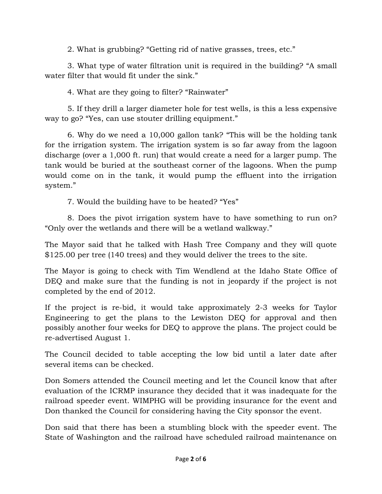2. What is grubbing? "Getting rid of native grasses, trees, etc."

3. What type of water filtration unit is required in the building? "A small water filter that would fit under the sink."

4. What are they going to filter? "Rainwater"

 5. If they drill a larger diameter hole for test wells, is this a less expensive way to go? "Yes, can use stouter drilling equipment."

6. Why do we need a 10,000 gallon tank? "This will be the holding tank for the irrigation system. The irrigation system is so far away from the lagoon discharge (over a 1,000 ft. run) that would create a need for a larger pump. The tank would be buried at the southeast corner of the lagoons. When the pump would come on in the tank, it would pump the effluent into the irrigation system."

7. Would the building have to be heated? "Yes"

8. Does the pivot irrigation system have to have something to run on? "Only over the wetlands and there will be a wetland walkway."

The Mayor said that he talked with Hash Tree Company and they will quote \$125.00 per tree (140 trees) and they would deliver the trees to the site.

The Mayor is going to check with Tim Wendlend at the Idaho State Office of DEQ and make sure that the funding is not in jeopardy if the project is not completed by the end of 2012.

If the project is re-bid, it would take approximately 2-3 weeks for Taylor Engineering to get the plans to the Lewiston DEQ for approval and then possibly another four weeks for DEQ to approve the plans. The project could be re-advertised August 1.

The Council decided to table accepting the low bid until a later date after several items can be checked.

Don Somers attended the Council meeting and let the Council know that after evaluation of the ICRMP insurance they decided that it was inadequate for the railroad speeder event. WIMPHG will be providing insurance for the event and Don thanked the Council for considering having the City sponsor the event.

Don said that there has been a stumbling block with the speeder event. The State of Washington and the railroad have scheduled railroad maintenance on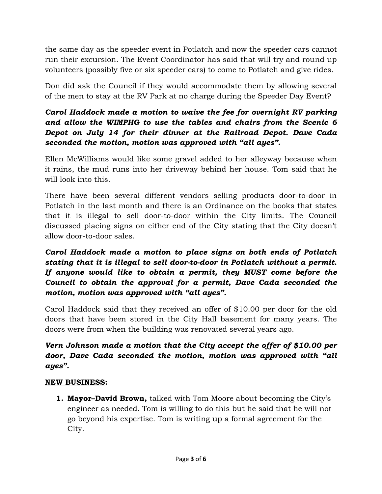the same day as the speeder event in Potlatch and now the speeder cars cannot run their excursion. The Event Coordinator has said that will try and round up volunteers (possibly five or six speeder cars) to come to Potlatch and give rides.

Don did ask the Council if they would accommodate them by allowing several of the men to stay at the RV Park at no charge during the Speeder Day Event?

## *Carol Haddock made a motion to waive the fee for overnight RV parking and allow the WIMPHG to use the tables and chairs from the Scenic 6 Depot on July 14 for their dinner at the Railroad Depot. Dave Cada seconded the motion, motion was approved with "all ayes".*

Ellen McWilliams would like some gravel added to her alleyway because when it rains, the mud runs into her driveway behind her house. Tom said that he will look into this.

There have been several different vendors selling products door-to-door in Potlatch in the last month and there is an Ordinance on the books that states that it is illegal to sell door-to-door within the City limits. The Council discussed placing signs on either end of the City stating that the City doesn't allow door-to-door sales.

*Carol Haddock made a motion to place signs on both ends of Potlatch stating that it is illegal to sell door-to-door in Potlatch without a permit. If anyone would like to obtain a permit, they MUST come before the Council to obtain the approval for a permit, Dave Cada seconded the motion, motion was approved with "all ayes".* 

Carol Haddock said that they received an offer of \$10.00 per door for the old doors that have been stored in the City Hall basement for many years. The doors were from when the building was renovated several years ago.

## *Vern Johnson made a motion that the City accept the offer of \$10.00 per door, Dave Cada seconded the motion, motion was approved with "all ayes".*

## **NEW BUSINESS:**

**1. Mayor–David Brown,** talked with Tom Moore about becoming the City's engineer as needed. Tom is willing to do this but he said that he will not go beyond his expertise. Tom is writing up a formal agreement for the City.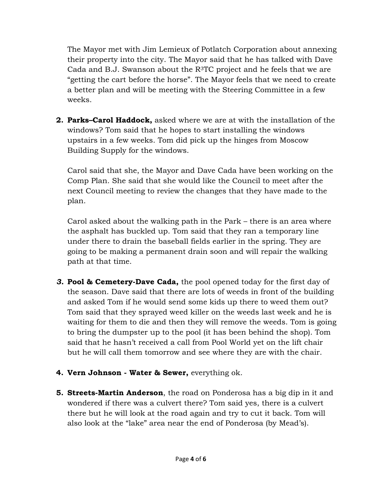The Mayor met with Jim Lemieux of Potlatch Corporation about annexing their property into the city. The Mayor said that he has talked with Dave Cada and B.J. Swanson about the  $R^3TC$  project and he feels that we are "getting the cart before the horse". The Mayor feels that we need to create a better plan and will be meeting with the Steering Committee in a few weeks.

**2. Parks–Carol Haddock,** asked where we are at with the installation of the windows? Tom said that he hopes to start installing the windows upstairs in a few weeks. Tom did pick up the hinges from Moscow Building Supply for the windows.

Carol said that she, the Mayor and Dave Cada have been working on the Comp Plan. She said that she would like the Council to meet after the next Council meeting to review the changes that they have made to the plan.

Carol asked about the walking path in the Park – there is an area where the asphalt has buckled up. Tom said that they ran a temporary line under there to drain the baseball fields earlier in the spring. They are going to be making a permanent drain soon and will repair the walking path at that time.

- *3.* **Pool & Cemetery-Dave Cada,** the pool opened today for the first day of the season. Dave said that there are lots of weeds in front of the building and asked Tom if he would send some kids up there to weed them out? Tom said that they sprayed weed killer on the weeds last week and he is waiting for them to die and then they will remove the weeds. Tom is going to bring the dumpster up to the pool (it has been behind the shop). Tom said that he hasn't received a call from Pool World yet on the lift chair but he will call them tomorrow and see where they are with the chair.
- **4. Vern Johnson Water & Sewer,** everything ok.
- **5. Streets-Martin Anderson**, the road on Ponderosa has a big dip in it and wondered if there was a culvert there? Tom said yes, there is a culvert there but he will look at the road again and try to cut it back. Tom will also look at the "lake" area near the end of Ponderosa (by Mead's).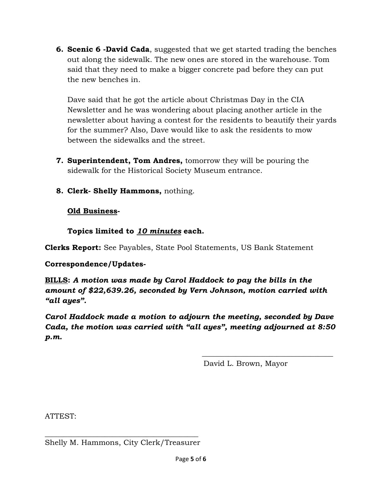**6. Scenic 6 -David Cada**, suggested that we get started trading the benches out along the sidewalk. The new ones are stored in the warehouse. Tom said that they need to make a bigger concrete pad before they can put the new benches in.

Dave said that he got the article about Christmas Day in the CIA Newsletter and he was wondering about placing another article in the newsletter about having a contest for the residents to beautify their yards for the summer? Also, Dave would like to ask the residents to mow between the sidewalks and the street.

- **7. Superintendent, Tom Andres,** tomorrow they will be pouring the sidewalk for the Historical Society Museum entrance.
- **8. Clerk- Shelly Hammons,** nothing.

## **Old Business-**

**Topics limited to** *10 minutes* **each.** 

**Clerks Report:** See Payables, State Pool Statements, US Bank Statement

## **Correspondence/Updates-**

**BILLS:** *A motion was made by Carol Haddock to pay the bills in the amount of \$22,639.26, seconded by Vern Johnson, motion carried with "all ayes".* 

*Carol Haddock made a motion to adjourn the meeting, seconded by Dave Cada, the motion was carried with "all ayes", meeting adjourned at 8:50 p.m.* 

 $\frac{1}{\sqrt{2}}$  ,  $\frac{1}{\sqrt{2}}$  ,  $\frac{1}{\sqrt{2}}$  ,  $\frac{1}{\sqrt{2}}$  ,  $\frac{1}{\sqrt{2}}$  ,  $\frac{1}{\sqrt{2}}$  ,  $\frac{1}{\sqrt{2}}$  ,  $\frac{1}{\sqrt{2}}$  ,  $\frac{1}{\sqrt{2}}$  ,  $\frac{1}{\sqrt{2}}$  ,  $\frac{1}{\sqrt{2}}$  ,  $\frac{1}{\sqrt{2}}$  ,  $\frac{1}{\sqrt{2}}$  ,  $\frac{1}{\sqrt{2}}$  ,  $\frac{1}{\sqrt{2}}$ 

David L. Brown, Mayor

ATTEST:

\_\_\_\_\_\_\_\_\_\_\_\_\_\_\_\_\_\_\_\_\_\_\_\_\_\_\_\_\_\_\_\_\_\_\_\_\_\_\_\_\_ Shelly M. Hammons, City Clerk/Treasurer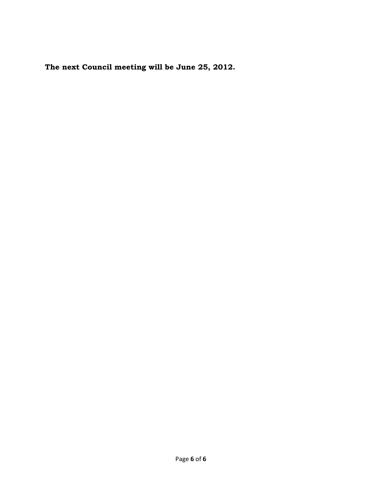**The next Council meeting will be June 25, 2012.**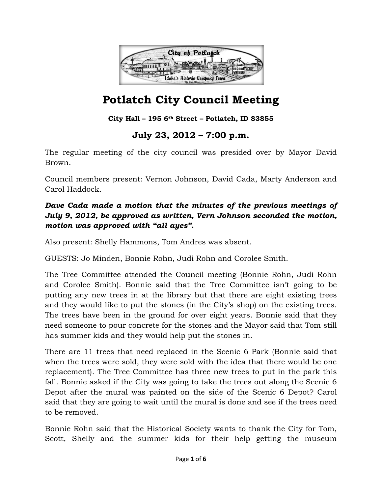

# **Potlatch City Council Meeting**

## **City Hall – 195 6th Street – Potlatch, ID 83855**

## **July 23, 2012 – 7:00 p.m.**

The regular meeting of the city council was presided over by Mayor David Brown.

Council members present: Vernon Johnson, David Cada, Marty Anderson and Carol Haddock.

## *Dave Cada made a motion that the minutes of the previous meetings of July 9, 2012, be approved as written, Vern Johnson seconded the motion, motion was approved with "all ayes".*

Also present: Shelly Hammons, Tom Andres was absent.

GUESTS: Jo Minden, Bonnie Rohn, Judi Rohn and Corolee Smith.

The Tree Committee attended the Council meeting (Bonnie Rohn, Judi Rohn and Corolee Smith). Bonnie said that the Tree Committee isn't going to be putting any new trees in at the library but that there are eight existing trees and they would like to put the stones (in the City's shop) on the existing trees. The trees have been in the ground for over eight years. Bonnie said that they need someone to pour concrete for the stones and the Mayor said that Tom still has summer kids and they would help put the stones in.

There are 11 trees that need replaced in the Scenic 6 Park (Bonnie said that when the trees were sold, they were sold with the idea that there would be one replacement). The Tree Committee has three new trees to put in the park this fall. Bonnie asked if the City was going to take the trees out along the Scenic 6 Depot after the mural was painted on the side of the Scenic 6 Depot? Carol said that they are going to wait until the mural is done and see if the trees need to be removed.

Bonnie Rohn said that the Historical Society wants to thank the City for Tom, Scott, Shelly and the summer kids for their help getting the museum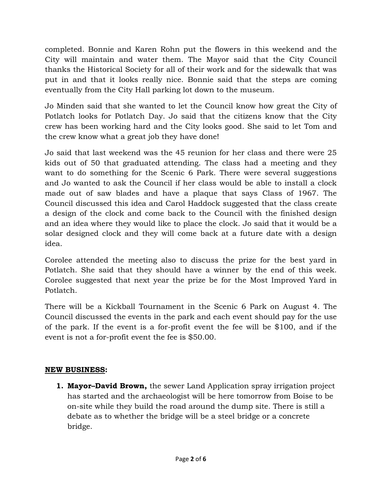completed. Bonnie and Karen Rohn put the flowers in this weekend and the City will maintain and water them. The Mayor said that the City Council thanks the Historical Society for all of their work and for the sidewalk that was put in and that it looks really nice. Bonnie said that the steps are coming eventually from the City Hall parking lot down to the museum.

Jo Minden said that she wanted to let the Council know how great the City of Potlatch looks for Potlatch Day. Jo said that the citizens know that the City crew has been working hard and the City looks good. She said to let Tom and the crew know what a great job they have done!

Jo said that last weekend was the 45 reunion for her class and there were 25 kids out of 50 that graduated attending. The class had a meeting and they want to do something for the Scenic 6 Park. There were several suggestions and Jo wanted to ask the Council if her class would be able to install a clock made out of saw blades and have a plaque that says Class of 1967. The Council discussed this idea and Carol Haddock suggested that the class create a design of the clock and come back to the Council with the finished design and an idea where they would like to place the clock. Jo said that it would be a solar designed clock and they will come back at a future date with a design idea.

Corolee attended the meeting also to discuss the prize for the best yard in Potlatch. She said that they should have a winner by the end of this week. Corolee suggested that next year the prize be for the Most Improved Yard in Potlatch.

There will be a Kickball Tournament in the Scenic 6 Park on August 4. The Council discussed the events in the park and each event should pay for the use of the park. If the event is a for-profit event the fee will be \$100, and if the event is not a for-profit event the fee is \$50.00.

#### **NEW BUSINESS:**

**1. Mayor–David Brown,** the sewer Land Application spray irrigation project has started and the archaeologist will be here tomorrow from Boise to be on-site while they build the road around the dump site. There is still a debate as to whether the bridge will be a steel bridge or a concrete bridge.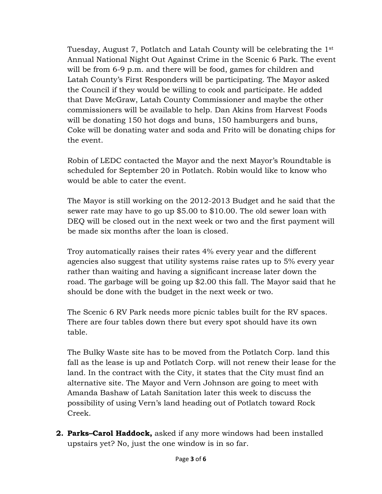Tuesday, August 7, Potlatch and Latah County will be celebrating the 1st Annual National Night Out Against Crime in the Scenic 6 Park. The event will be from 6-9 p.m. and there will be food, games for children and Latah County's First Responders will be participating. The Mayor asked the Council if they would be willing to cook and participate. He added that Dave McGraw, Latah County Commissioner and maybe the other commissioners will be available to help. Dan Akins from Harvest Foods will be donating 150 hot dogs and buns, 150 hamburgers and buns, Coke will be donating water and soda and Frito will be donating chips for the event.

Robin of LEDC contacted the Mayor and the next Mayor's Roundtable is scheduled for September 20 in Potlatch. Robin would like to know who would be able to cater the event.

The Mayor is still working on the 2012-2013 Budget and he said that the sewer rate may have to go up \$5.00 to \$10.00. The old sewer loan with DEQ will be closed out in the next week or two and the first payment will be made six months after the loan is closed.

Troy automatically raises their rates 4% every year and the different agencies also suggest that utility systems raise rates up to 5% every year rather than waiting and having a significant increase later down the road. The garbage will be going up \$2.00 this fall. The Mayor said that he should be done with the budget in the next week or two.

The Scenic 6 RV Park needs more picnic tables built for the RV spaces. There are four tables down there but every spot should have its own table.

The Bulky Waste site has to be moved from the Potlatch Corp. land this fall as the lease is up and Potlatch Corp. will not renew their lease for the land. In the contract with the City, it states that the City must find an alternative site. The Mayor and Vern Johnson are going to meet with Amanda Bashaw of Latah Sanitation later this week to discuss the possibility of using Vern's land heading out of Potlatch toward Rock Creek.

**2. Parks–Carol Haddock,** asked if any more windows had been installed upstairs yet? No, just the one window is in so far.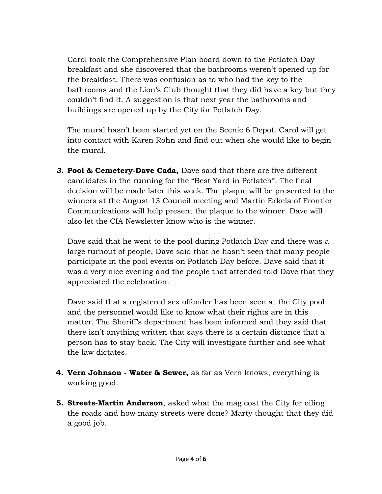Carol took the Comprehensive Plan board down to the Potlatch Day breakfast and she discovered that the bathrooms weren't opened up for the breakfast. There was confusion as to who had the key to the bathrooms and the Lion's Club thought that they did have a key but they couldn't find it. A suggestion is that next year the bathrooms and buildings are opened up by the City for Potlatch Day.

The mural hasn't been started yet on the Scenic 6 Depot. Carol will get into contact with Karen Rohn and find out when she would like to begin the mural.

*3.* **Pool & Cemetery-Dave Cada,** Dave said that there are five different candidates in the running for the "Best Yard in Potlatch". The final decision will be made later this week. The plaque will be presented to the winners at the August 13 Council meeting and Martin Erkela of Frontier Communications will help present the plaque to the winner. Dave will also let the CIA Newsletter know who is the winner.

Dave said that he went to the pool during Potlatch Day and there was a large turnout of people, Dave said that he hasn't seen that many people participate in the pool events on Potlatch Day before. Dave said that it was a very nice evening and the people that attended told Dave that they appreciated the celebration.

Dave said that a registered sex offender has been seen at the City pool and the personnel would like to know what their rights are in this matter. The Sheriff's department has been informed and they said that there isn't anything written that says there is a certain distance that a person has to stay back. The City will investigate further and see what the law dictates.

- **4. Vern Johnson Water & Sewer,** as far as Vern knows, everything is working good.
- **5. Streets-Martin Anderson**, asked what the mag cost the City for oiling the roads and how many streets were done? Marty thought that they did a good job.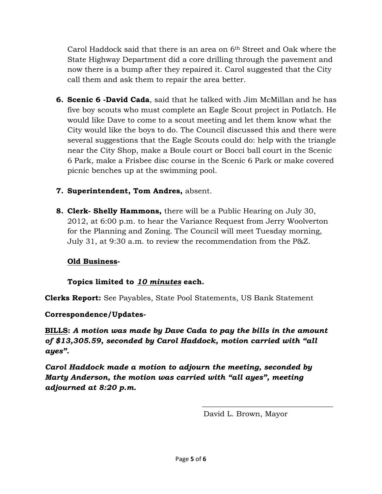Carol Haddock said that there is an area on 6th Street and Oak where the State Highway Department did a core drilling through the pavement and now there is a bump after they repaired it. Carol suggested that the City call them and ask them to repair the area better.

- **6. Scenic 6 -David Cada**, said that he talked with Jim McMillan and he has five boy scouts who must complete an Eagle Scout project in Potlatch. He would like Dave to come to a scout meeting and let them know what the City would like the boys to do. The Council discussed this and there were several suggestions that the Eagle Scouts could do: help with the triangle near the City Shop, make a Boule court or Bocci ball court in the Scenic 6 Park, make a Frisbee disc course in the Scenic 6 Park or make covered picnic benches up at the swimming pool.
- **7. Superintendent, Tom Andres,** absent.
- **8. Clerk- Shelly Hammons,** there will be a Public Hearing on July 30, 2012, at 6:00 p.m. to hear the Variance Request from Jerry Woolverton for the Planning and Zoning. The Council will meet Tuesday morning, July 31, at 9:30 a.m. to review the recommendation from the P&Z.

## **Old Business-**

## **Topics limited to** *10 minutes* **each.**

**Clerks Report:** See Payables, State Pool Statements, US Bank Statement

## **Correspondence/Updates-**

**BILLS:** *A motion was made by Dave Cada to pay the bills in the amount of \$13,305.59, seconded by Carol Haddock, motion carried with "all ayes".* 

*Carol Haddock made a motion to adjourn the meeting, seconded by Marty Anderson, the motion was carried with "all ayes", meeting adjourned at 8:20 p.m.* 

David L. Brown, Mayor

 $\frac{1}{\sqrt{2}}$  ,  $\frac{1}{\sqrt{2}}$  ,  $\frac{1}{\sqrt{2}}$  ,  $\frac{1}{\sqrt{2}}$  ,  $\frac{1}{\sqrt{2}}$  ,  $\frac{1}{\sqrt{2}}$  ,  $\frac{1}{\sqrt{2}}$  ,  $\frac{1}{\sqrt{2}}$  ,  $\frac{1}{\sqrt{2}}$  ,  $\frac{1}{\sqrt{2}}$  ,  $\frac{1}{\sqrt{2}}$  ,  $\frac{1}{\sqrt{2}}$  ,  $\frac{1}{\sqrt{2}}$  ,  $\frac{1}{\sqrt{2}}$  ,  $\frac{1}{\sqrt{2}}$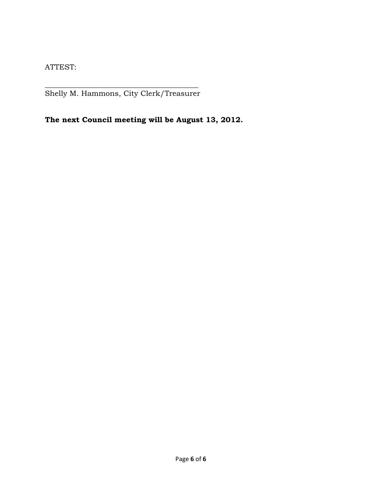ATTEST:

\_\_\_\_\_\_\_\_\_\_\_\_\_\_\_\_\_\_\_\_\_\_\_\_\_\_\_\_\_\_\_\_\_\_\_\_\_\_\_\_\_ Shelly M. Hammons, City Clerk/Treasurer

**The next Council meeting will be August 13, 2012.**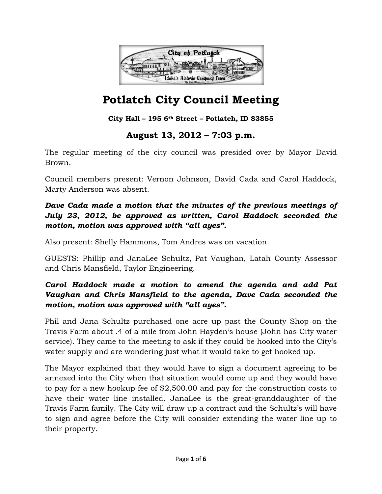

# **Potlatch City Council Meeting**

## **City Hall – 195 6th Street – Potlatch, ID 83855**

## **August 13, 2012 – 7:03 p.m.**

The regular meeting of the city council was presided over by Mayor David Brown.

Council members present: Vernon Johnson, David Cada and Carol Haddock, Marty Anderson was absent.

## *Dave Cada made a motion that the minutes of the previous meetings of July 23, 2012, be approved as written, Carol Haddock seconded the motion, motion was approved with "all ayes".*

Also present: Shelly Hammons, Tom Andres was on vacation.

GUESTS: Phillip and JanaLee Schultz, Pat Vaughan, Latah County Assessor and Chris Mansfield, Taylor Engineering.

## *Carol Haddock made a motion to amend the agenda and add Pat Vaughan and Chris Mansfield to the agenda, Dave Cada seconded the motion, motion was approved with "all ayes".*

Phil and Jana Schultz purchased one acre up past the County Shop on the Travis Farm about .4 of a mile from John Hayden's house (John has City water service). They came to the meeting to ask if they could be hooked into the City's water supply and are wondering just what it would take to get hooked up.

The Mayor explained that they would have to sign a document agreeing to be annexed into the City when that situation would come up and they would have to pay for a new hookup fee of \$2,500.00 and pay for the construction costs to have their water line installed. JanaLee is the great-granddaughter of the Travis Farm family. The City will draw up a contract and the Schultz's will have to sign and agree before the City will consider extending the water line up to their property.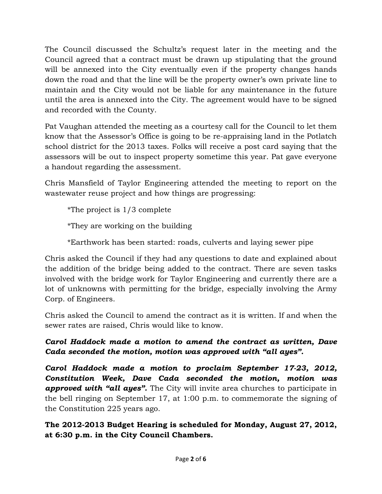The Council discussed the Schultz's request later in the meeting and the Council agreed that a contract must be drawn up stipulating that the ground will be annexed into the City eventually even if the property changes hands down the road and that the line will be the property owner's own private line to maintain and the City would not be liable for any maintenance in the future until the area is annexed into the City. The agreement would have to be signed and recorded with the County.

Pat Vaughan attended the meeting as a courtesy call for the Council to let them know that the Assessor's Office is going to be re-appraising land in the Potlatch school district for the 2013 taxes. Folks will receive a post card saying that the assessors will be out to inspect property sometime this year. Pat gave everyone a handout regarding the assessment.

Chris Mansfield of Taylor Engineering attended the meeting to report on the wastewater reuse project and how things are progressing:

\*The project is 1/3 complete

\*They are working on the building

\*Earthwork has been started: roads, culverts and laying sewer pipe

Chris asked the Council if they had any questions to date and explained about the addition of the bridge being added to the contract. There are seven tasks involved with the bridge work for Taylor Engineering and currently there are a lot of unknowns with permitting for the bridge, especially involving the Army Corp. of Engineers.

Chris asked the Council to amend the contract as it is written. If and when the sewer rates are raised, Chris would like to know.

*Carol Haddock made a motion to amend the contract as written, Dave Cada seconded the motion, motion was approved with "all ayes".* 

*Carol Haddock made a motion to proclaim September 17-23, 2012, Constitution Week, Dave Cada seconded the motion, motion was approved with "all ayes".* The City will invite area churches to participate in the bell ringing on September 17, at 1:00 p.m. to commemorate the signing of the Constitution 225 years ago.

**The 2012-2013 Budget Hearing is scheduled for Monday, August 27, 2012, at 6:30 p.m. in the City Council Chambers.**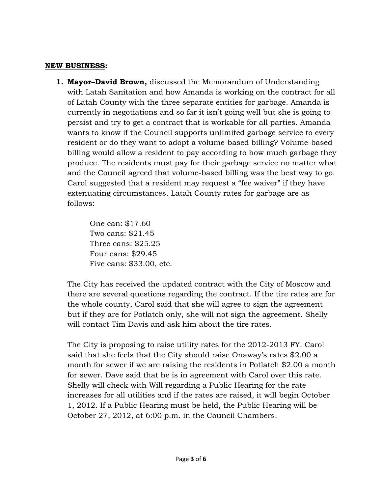#### **NEW BUSINESS:**

**1. Mayor–David Brown,** discussed the Memorandum of Understanding with Latah Sanitation and how Amanda is working on the contract for all of Latah County with the three separate entities for garbage. Amanda is currently in negotiations and so far it isn't going well but she is going to persist and try to get a contract that is workable for all parties. Amanda wants to know if the Council supports unlimited garbage service to every resident or do they want to adopt a volume-based billing? Volume-based billing would allow a resident to pay according to how much garbage they produce. The residents must pay for their garbage service no matter what and the Council agreed that volume-based billing was the best way to go. Carol suggested that a resident may request a "fee waiver" if they have extenuating circumstances. Latah County rates for garbage are as follows:

> One can: \$17.60 Two cans: \$21.45 Three cans: \$25.25 Four cans: \$29.45 Five cans: \$33.00, etc.

The City has received the updated contract with the City of Moscow and there are several questions regarding the contract. If the tire rates are for the whole county, Carol said that she will agree to sign the agreement but if they are for Potlatch only, she will not sign the agreement. Shelly will contact Tim Davis and ask him about the tire rates.

The City is proposing to raise utility rates for the 2012-2013 FY. Carol said that she feels that the City should raise Onaway's rates \$2.00 a month for sewer if we are raising the residents in Potlatch \$2.00 a month for sewer. Dave said that he is in agreement with Carol over this rate. Shelly will check with Will regarding a Public Hearing for the rate increases for all utilities and if the rates are raised, it will begin October 1, 2012. If a Public Hearing must be held, the Public Hearing will be October 27, 2012, at 6:00 p.m. in the Council Chambers.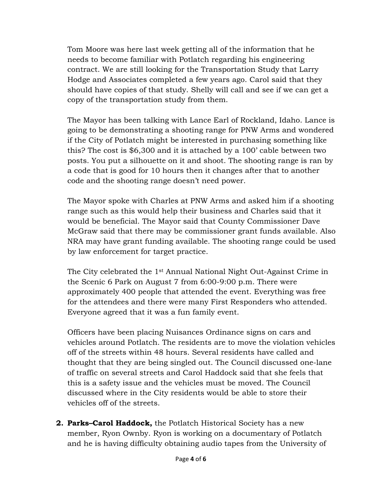Tom Moore was here last week getting all of the information that he needs to become familiar with Potlatch regarding his engineering contract. We are still looking for the Transportation Study that Larry Hodge and Associates completed a few years ago. Carol said that they should have copies of that study. Shelly will call and see if we can get a copy of the transportation study from them.

The Mayor has been talking with Lance Earl of Rockland, Idaho. Lance is going to be demonstrating a shooting range for PNW Arms and wondered if the City of Potlatch might be interested in purchasing something like this? The cost is \$6,300 and it is attached by a 100' cable between two posts. You put a silhouette on it and shoot. The shooting range is ran by a code that is good for 10 hours then it changes after that to another code and the shooting range doesn't need power.

The Mayor spoke with Charles at PNW Arms and asked him if a shooting range such as this would help their business and Charles said that it would be beneficial. The Mayor said that County Commissioner Dave McGraw said that there may be commissioner grant funds available. Also NRA may have grant funding available. The shooting range could be used by law enforcement for target practice.

The City celebrated the 1st Annual National Night Out-Against Crime in the Scenic 6 Park on August 7 from 6:00-9:00 p.m. There were approximately 400 people that attended the event. Everything was free for the attendees and there were many First Responders who attended. Everyone agreed that it was a fun family event.

Officers have been placing Nuisances Ordinance signs on cars and vehicles around Potlatch. The residents are to move the violation vehicles off of the streets within 48 hours. Several residents have called and thought that they are being singled out. The Council discussed one-lane of traffic on several streets and Carol Haddock said that she feels that this is a safety issue and the vehicles must be moved. The Council discussed where in the City residents would be able to store their vehicles off of the streets.

**2. Parks–Carol Haddock,** the Potlatch Historical Society has a new member, Ryon Ownby. Ryon is working on a documentary of Potlatch and he is having difficulty obtaining audio tapes from the University of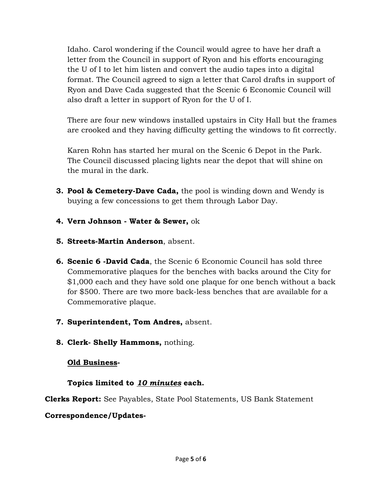Idaho. Carol wondering if the Council would agree to have her draft a letter from the Council in support of Ryon and his efforts encouraging the U of I to let him listen and convert the audio tapes into a digital format. The Council agreed to sign a letter that Carol drafts in support of Ryon and Dave Cada suggested that the Scenic 6 Economic Council will also draft a letter in support of Ryon for the U of I.

There are four new windows installed upstairs in City Hall but the frames are crooked and they having difficulty getting the windows to fit correctly.

Karen Rohn has started her mural on the Scenic 6 Depot in the Park. The Council discussed placing lights near the depot that will shine on the mural in the dark.

- **3. Pool & Cemetery-Dave Cada,** the pool is winding down and Wendy is buying a few concessions to get them through Labor Day.
- **4. Vern Johnson Water & Sewer,** ok
- **5. Streets-Martin Anderson**, absent.
- **6. Scenic 6 -David Cada**, the Scenic 6 Economic Council has sold three Commemorative plaques for the benches with backs around the City for \$1,000 each and they have sold one plaque for one bench without a back for \$500. There are two more back-less benches that are available for a Commemorative plaque.
- **7. Superintendent, Tom Andres,** absent.
- **8. Clerk- Shelly Hammons,** nothing.

#### **Old Business-**

## **Topics limited to** *10 minutes* **each.**

**Clerks Report:** See Payables, State Pool Statements, US Bank Statement

## **Correspondence/Updates-**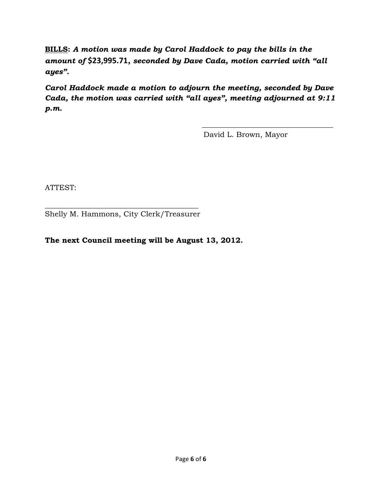**BILLS:** *A motion was made by Carol Haddock to pay the bills in the amount of* **\$23,995.71***, seconded by Dave Cada, motion carried with "all ayes".* 

*Carol Haddock made a motion to adjourn the meeting, seconded by Dave Cada, the motion was carried with "all ayes", meeting adjourned at 9:11 p.m.* 

 $\frac{1}{\sqrt{2}}$  ,  $\frac{1}{\sqrt{2}}$  ,  $\frac{1}{\sqrt{2}}$  ,  $\frac{1}{\sqrt{2}}$  ,  $\frac{1}{\sqrt{2}}$  ,  $\frac{1}{\sqrt{2}}$  ,  $\frac{1}{\sqrt{2}}$  ,  $\frac{1}{\sqrt{2}}$  ,  $\frac{1}{\sqrt{2}}$  ,  $\frac{1}{\sqrt{2}}$  ,  $\frac{1}{\sqrt{2}}$  ,  $\frac{1}{\sqrt{2}}$  ,  $\frac{1}{\sqrt{2}}$  ,  $\frac{1}{\sqrt{2}}$  ,  $\frac{1}{\sqrt{2}}$ 

David L. Brown, Mayor

ATTEST:

\_\_\_\_\_\_\_\_\_\_\_\_\_\_\_\_\_\_\_\_\_\_\_\_\_\_\_\_\_\_\_\_\_\_\_\_\_\_\_\_\_ Shelly M. Hammons, City Clerk/Treasurer

#### **The next Council meeting will be August 13, 2012.**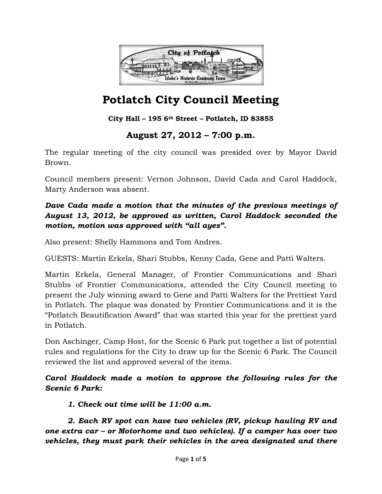

# **Potlatch City Council Meeting**

#### **City Hall – 195 6th Street – Potlatch, ID 83855**

## **August 27, 2012 – 7:00 p.m.**

The regular meeting of the city council was presided over by Mayor David Brown.

Council members present: Vernon Johnson, David Cada and Carol Haddock, Marty Anderson was absent.

## *Dave Cada made a motion that the minutes of the previous meetings of August 13, 2012, be approved as written, Carol Haddock seconded the motion, motion was approved with "all ayes".*

Also present: Shelly Hammons and Tom Andres.

GUESTS: Martin Erkela, Shari Stubbs, Kenny Cada, Gene and Patti Walters.

Martin Erkela, General Manager, of Frontier Communications and Shari Stubbs of Frontier Communications, attended the City Council meeting to present the July winning award to Gene and Patti Walters for the Prettiest Yard in Potlatch. The plaque was donated by Frontier Communications and it is the "Potlatch Beautification Award" that was started this year for the prettiest yard in Potlatch.

Don Aschinger, Camp Host, for the Scenic 6 Park put together a list of potential rules and regulations for the City to draw up for the Scenic 6 Park. The Council reviewed the list and approved several of the items.

## *Carol Haddock made a motion to approve the following rules for the Scenic 6 Park:*

 *1. Check out time will be 11:00 a.m.* 

*2. Each RV spot can have two vehicles (RV, pickup hauling RV and one extra car – or Motorhome and two vehicles). If a camper has over two vehicles, they must park their vehicles in the area designated and there*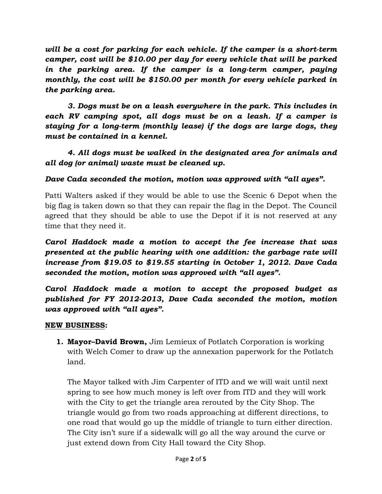*will be a cost for parking for each vehicle. If the camper is a short-term camper, cost will be \$10.00 per day for every vehicle that will be parked in the parking area. If the camper is a long-term camper, paying monthly, the cost will be \$150.00 per month for every vehicle parked in the parking area.* 

 *3. Dogs must be on a leash everywhere in the park. This includes in each RV camping spot, all dogs must be on a leash. If a camper is staying for a long-term (monthly lease) if the dogs are large dogs, they must be contained in a kennel.* 

## *4. All dogs must be walked in the designated area for animals and all dog (or animal) waste must be cleaned up.*

## *Dave Cada seconded the motion, motion was approved with "all ayes".*

Patti Walters asked if they would be able to use the Scenic 6 Depot when the big flag is taken down so that they can repair the flag in the Depot. The Council agreed that they should be able to use the Depot if it is not reserved at any time that they need it.

*Carol Haddock made a motion to accept the fee increase that was presented at the public hearing with one addition: the garbage rate will increase from \$19.05 to \$19.55 starting in October 1, 2012. Dave Cada seconded the motion, motion was approved with "all ayes".* 

*Carol Haddock made a motion to accept the proposed budget as published for FY 2012-2013, Dave Cada seconded the motion, motion was approved with "all ayes".* 

#### **NEW BUSINESS:**

**1. Mayor–David Brown,** Jim Lemieux of Potlatch Corporation is working with Welch Comer to draw up the annexation paperwork for the Potlatch land.

The Mayor talked with Jim Carpenter of ITD and we will wait until next spring to see how much money is left over from ITD and they will work with the City to get the triangle area rerouted by the City Shop. The triangle would go from two roads approaching at different directions, to one road that would go up the middle of triangle to turn either direction. The City isn't sure if a sidewalk will go all the way around the curve or just extend down from City Hall toward the City Shop.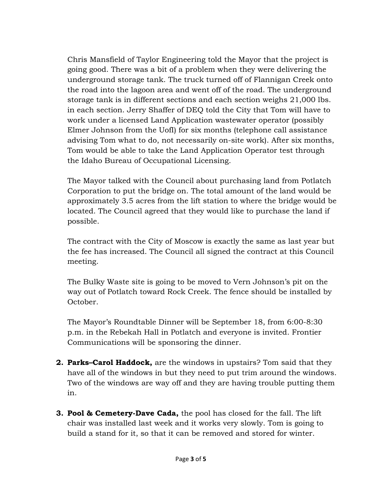Chris Mansfield of Taylor Engineering told the Mayor that the project is going good. There was a bit of a problem when they were delivering the underground storage tank. The truck turned off of Flannigan Creek onto the road into the lagoon area and went off of the road. The underground storage tank is in different sections and each section weighs 21,000 lbs. in each section. Jerry Shaffer of DEQ told the City that Tom will have to work under a licensed Land Application wastewater operator (possibly Elmer Johnson from the UofI) for six months (telephone call assistance advising Tom what to do, not necessarily on-site work). After six months, Tom would be able to take the Land Application Operator test through the Idaho Bureau of Occupational Licensing.

The Mayor talked with the Council about purchasing land from Potlatch Corporation to put the bridge on. The total amount of the land would be approximately 3.5 acres from the lift station to where the bridge would be located. The Council agreed that they would like to purchase the land if possible.

The contract with the City of Moscow is exactly the same as last year but the fee has increased. The Council all signed the contract at this Council meeting.

The Bulky Waste site is going to be moved to Vern Johnson's pit on the way out of Potlatch toward Rock Creek. The fence should be installed by October.

The Mayor's Roundtable Dinner will be September 18, from 6:00-8:30 p.m. in the Rebekah Hall in Potlatch and everyone is invited. Frontier Communications will be sponsoring the dinner.

- **2. Parks–Carol Haddock,** are the windows in upstairs? Tom said that they have all of the windows in but they need to put trim around the windows. Two of the windows are way off and they are having trouble putting them in.
- **3. Pool & Cemetery-Dave Cada,** the pool has closed for the fall. The lift chair was installed last week and it works very slowly. Tom is going to build a stand for it, so that it can be removed and stored for winter.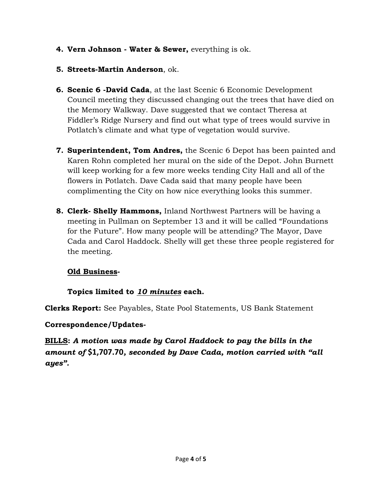**4. Vern Johnson - Water & Sewer,** everything is ok.

## **5. Streets-Martin Anderson**, ok.

- **6. Scenic 6 -David Cada**, at the last Scenic 6 Economic Development Council meeting they discussed changing out the trees that have died on the Memory Walkway. Dave suggested that we contact Theresa at Fiddler's Ridge Nursery and find out what type of trees would survive in Potlatch's climate and what type of vegetation would survive.
- **7. Superintendent, Tom Andres,** the Scenic 6 Depot has been painted and Karen Rohn completed her mural on the side of the Depot. John Burnett will keep working for a few more weeks tending City Hall and all of the flowers in Potlatch. Dave Cada said that many people have been complimenting the City on how nice everything looks this summer.
- **8. Clerk- Shelly Hammons,** Inland Northwest Partners will be having a meeting in Pullman on September 13 and it will be called "Foundations for the Future". How many people will be attending? The Mayor, Dave Cada and Carol Haddock. Shelly will get these three people registered for the meeting.

## **Old Business-**

## **Topics limited to** *10 minutes* **each.**

**Clerks Report:** See Payables, State Pool Statements, US Bank Statement

## **Correspondence/Updates-**

**BILLS:** *A motion was made by Carol Haddock to pay the bills in the amount of* **\$1,707.70***, seconded by Dave Cada, motion carried with "all ayes".*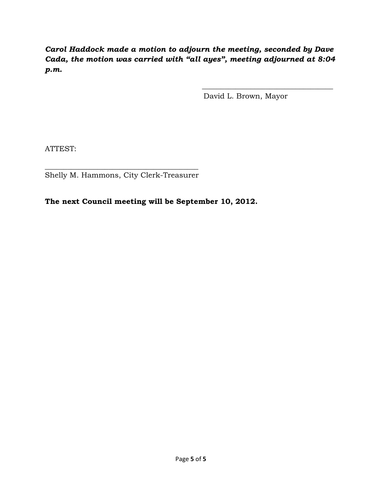*Carol Haddock made a motion to adjourn the meeting, seconded by Dave Cada, the motion was carried with "all ayes", meeting adjourned at 8:04 p.m.* 

 $\frac{1}{\sqrt{2}}$  ,  $\frac{1}{\sqrt{2}}$  ,  $\frac{1}{\sqrt{2}}$  ,  $\frac{1}{\sqrt{2}}$  ,  $\frac{1}{\sqrt{2}}$  ,  $\frac{1}{\sqrt{2}}$  ,  $\frac{1}{\sqrt{2}}$  ,  $\frac{1}{\sqrt{2}}$  ,  $\frac{1}{\sqrt{2}}$  ,  $\frac{1}{\sqrt{2}}$  ,  $\frac{1}{\sqrt{2}}$  ,  $\frac{1}{\sqrt{2}}$  ,  $\frac{1}{\sqrt{2}}$  ,  $\frac{1}{\sqrt{2}}$  ,  $\frac{1}{\sqrt{2}}$ 

David L. Brown, Mayor

ATTEST:

 $\frac{1}{2}$  ,  $\frac{1}{2}$  ,  $\frac{1}{2}$  ,  $\frac{1}{2}$  ,  $\frac{1}{2}$  ,  $\frac{1}{2}$  ,  $\frac{1}{2}$  ,  $\frac{1}{2}$  ,  $\frac{1}{2}$  ,  $\frac{1}{2}$  ,  $\frac{1}{2}$  ,  $\frac{1}{2}$  ,  $\frac{1}{2}$  ,  $\frac{1}{2}$  ,  $\frac{1}{2}$  ,  $\frac{1}{2}$  ,  $\frac{1}{2}$  ,  $\frac{1}{2}$  ,  $\frac{1$ Shelly M. Hammons, City Clerk-Treasurer

**The next Council meeting will be September 10, 2012.**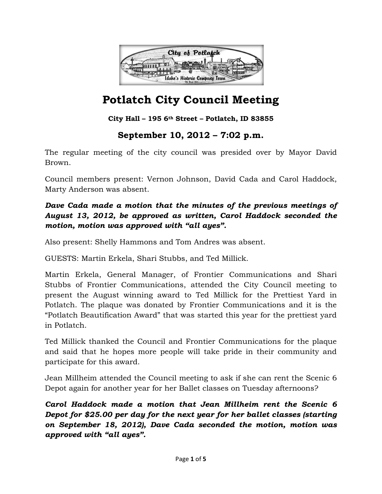

# **Potlatch City Council Meeting**

**City Hall – 195 6th Street – Potlatch, ID 83855**

## **September 10, 2012 – 7:02 p.m.**

The regular meeting of the city council was presided over by Mayor David Brown.

Council members present: Vernon Johnson, David Cada and Carol Haddock, Marty Anderson was absent.

## *Dave Cada made a motion that the minutes of the previous meetings of August 13, 2012, be approved as written, Carol Haddock seconded the motion, motion was approved with "all ayes".*

Also present: Shelly Hammons and Tom Andres was absent.

GUESTS: Martin Erkela, Shari Stubbs, and Ted Millick.

Martin Erkela, General Manager, of Frontier Communications and Shari Stubbs of Frontier Communications, attended the City Council meeting to present the August winning award to Ted Millick for the Prettiest Yard in Potlatch. The plaque was donated by Frontier Communications and it is the "Potlatch Beautification Award" that was started this year for the prettiest yard in Potlatch.

Ted Millick thanked the Council and Frontier Communications for the plaque and said that he hopes more people will take pride in their community and participate for this award.

Jean Millheim attended the Council meeting to ask if she can rent the Scenic 6 Depot again for another year for her Ballet classes on Tuesday afternoons?

*Carol Haddock made a motion that Jean Millheim rent the Scenic 6 Depot for \$25.00 per day for the next year for her ballet classes (starting on September 18, 2012), Dave Cada seconded the motion, motion was approved with "all ayes".*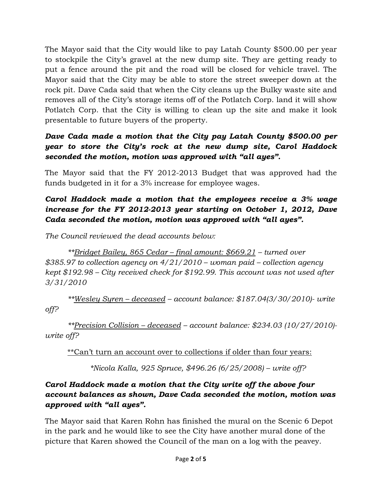The Mayor said that the City would like to pay Latah County \$500.00 per year to stockpile the City's gravel at the new dump site. They are getting ready to put a fence around the pit and the road will be closed for vehicle travel. The Mayor said that the City may be able to store the street sweeper down at the rock pit. Dave Cada said that when the City cleans up the Bulky waste site and removes all of the City's storage items off of the Potlatch Corp. land it will show Potlatch Corp. that the City is willing to clean up the site and make it look presentable to future buyers of the property.

## *Dave Cada made a motion that the City pay Latah County \$500.00 per year to store the City's rock at the new dump site, Carol Haddock seconded the motion, motion was approved with "all ayes".*

The Mayor said that the FY 2012-2013 Budget that was approved had the funds budgeted in it for a 3% increase for employee wages.

## *Carol Haddock made a motion that the employees receive a 3% wage increase for the FY 2012-2013 year starting on October 1, 2012, Dave Cada seconded the motion, motion was approved with "all ayes".*

*The Council reviewed the dead accounts below:* 

 *\*\*Bridget Bailey, 865 Cedar – final amount: \$669.21 – turned over \$385.97 to collection agency on 4/21/2010 – woman paid – collection agency kept \$192.98 – City received check for \$192.99. This account was not used after 3/31/2010* 

 *\*\*Wesley Syren – deceased – account balance: \$187.04(3/30/2010)- write off?*

 *\*\*Precision Collision – deceased – account balance: \$234.03 (10/27/2010) write off?*

\*\*Can't turn an account over to collections if older than four years:

 *\*Nicola Kalla, 925 Spruce, \$496.26 (6/25/2008) – write off?*

## *Carol Haddock made a motion that the City write off the above four account balances as shown, Dave Cada seconded the motion, motion was approved with "all ayes".*

The Mayor said that Karen Rohn has finished the mural on the Scenic 6 Depot in the park and he would like to see the City have another mural done of the picture that Karen showed the Council of the man on a log with the peavey.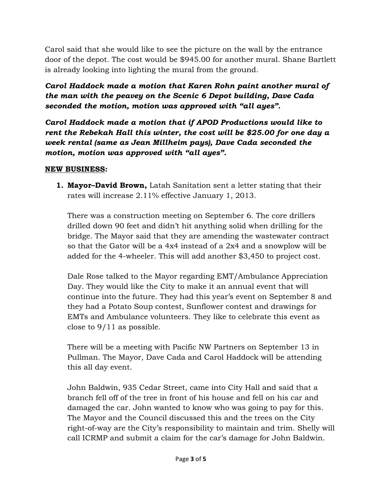Carol said that she would like to see the picture on the wall by the entrance door of the depot. The cost would be \$945.00 for another mural. Shane Bartlett is already looking into lighting the mural from the ground.

*Carol Haddock made a motion that Karen Rohn paint another mural of the man with the peavey on the Scenic 6 Depot building, Dave Cada seconded the motion, motion was approved with "all ayes".* 

*Carol Haddock made a motion that if APOD Productions would like to rent the Rebekah Hall this winter, the cost will be \$25.00 for one day a week rental (same as Jean Millheim pays), Dave Cada seconded the motion, motion was approved with "all ayes".* 

#### **NEW BUSINESS:**

**1. Mayor–David Brown,** Latah Sanitation sent a letter stating that their rates will increase 2.11% effective January 1, 2013.

There was a construction meeting on September 6. The core drillers drilled down 90 feet and didn't hit anything solid when drilling for the bridge. The Mayor said that they are amending the wastewater contract so that the Gator will be a 4x4 instead of a 2x4 and a snowplow will be added for the 4-wheeler. This will add another \$3,450 to project cost.

Dale Rose talked to the Mayor regarding EMT/Ambulance Appreciation Day. They would like the City to make it an annual event that will continue into the future. They had this year's event on September 8 and they had a Potato Soup contest, Sunflower contest and drawings for EMTs and Ambulance volunteers. They like to celebrate this event as close to 9/11 as possible.

There will be a meeting with Pacific NW Partners on September 13 in Pullman. The Mayor, Dave Cada and Carol Haddock will be attending this all day event.

John Baldwin, 935 Cedar Street, came into City Hall and said that a branch fell off of the tree in front of his house and fell on his car and damaged the car. John wanted to know who was going to pay for this. The Mayor and the Council discussed this and the trees on the City right-of-way are the City's responsibility to maintain and trim. Shelly will call ICRMP and submit a claim for the car's damage for John Baldwin.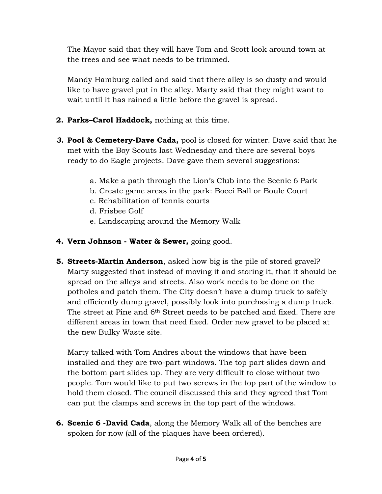The Mayor said that they will have Tom and Scott look around town at the trees and see what needs to be trimmed.

Mandy Hamburg called and said that there alley is so dusty and would like to have gravel put in the alley. Marty said that they might want to wait until it has rained a little before the gravel is spread.

- **2. Parks–Carol Haddock,** nothing at this time.
- *3.* **Pool & Cemetery-Dave Cada,** pool is closed for winter. Dave said that he met with the Boy Scouts last Wednesday and there are several boys ready to do Eagle projects. Dave gave them several suggestions:
	- a. Make a path through the Lion's Club into the Scenic 6 Park
	- b. Create game areas in the park: Bocci Ball or Boule Court
	- c. Rehabilitation of tennis courts
	- d. Frisbee Golf
	- e. Landscaping around the Memory Walk
- **4. Vern Johnson Water & Sewer,** going good.
- **5. Streets-Martin Anderson**, asked how big is the pile of stored gravel? Marty suggested that instead of moving it and storing it, that it should be spread on the alleys and streets. Also work needs to be done on the potholes and patch them. The City doesn't have a dump truck to safely and efficiently dump gravel, possibly look into purchasing a dump truck. The street at Pine and 6<sup>th</sup> Street needs to be patched and fixed. There are different areas in town that need fixed. Order new gravel to be placed at the new Bulky Waste site.

Marty talked with Tom Andres about the windows that have been installed and they are two-part windows. The top part slides down and the bottom part slides up. They are very difficult to close without two people. Tom would like to put two screws in the top part of the window to hold them closed. The council discussed this and they agreed that Tom can put the clamps and screws in the top part of the windows.

**6. Scenic 6 -David Cada**, along the Memory Walk all of the benches are spoken for now (all of the plaques have been ordered).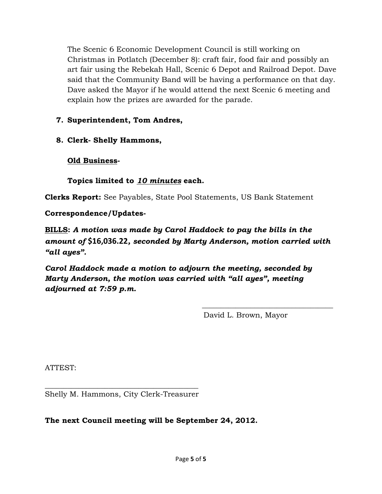The Scenic 6 Economic Development Council is still working on Christmas in Potlatch (December 8): craft fair, food fair and possibly an art fair using the Rebekah Hall, Scenic 6 Depot and Railroad Depot. Dave said that the Community Band will be having a performance on that day. Dave asked the Mayor if he would attend the next Scenic 6 meeting and explain how the prizes are awarded for the parade.

- **7. Superintendent, Tom Andres,**
- **8. Clerk- Shelly Hammons,**

**Old Business-**

**Topics limited to** *10 minutes* **each.** 

**Clerks Report:** See Payables, State Pool Statements, US Bank Statement

**Correspondence/Updates-**

**BILLS:** *A motion was made by Carol Haddock to pay the bills in the amount of* **\$16,036.22***, seconded by Marty Anderson, motion carried with "all ayes".* 

 $\frac{1}{\sqrt{2}}$  ,  $\frac{1}{\sqrt{2}}$  ,  $\frac{1}{\sqrt{2}}$  ,  $\frac{1}{\sqrt{2}}$  ,  $\frac{1}{\sqrt{2}}$  ,  $\frac{1}{\sqrt{2}}$  ,  $\frac{1}{\sqrt{2}}$  ,  $\frac{1}{\sqrt{2}}$  ,  $\frac{1}{\sqrt{2}}$  ,  $\frac{1}{\sqrt{2}}$  ,  $\frac{1}{\sqrt{2}}$  ,  $\frac{1}{\sqrt{2}}$  ,  $\frac{1}{\sqrt{2}}$  ,  $\frac{1}{\sqrt{2}}$  ,  $\frac{1}{\sqrt{2}}$ 

*Carol Haddock made a motion to adjourn the meeting, seconded by Marty Anderson, the motion was carried with "all ayes", meeting adjourned at 7:59 p.m.* 

David L. Brown, Mayor

ATTEST:

 $\frac{1}{2}$  ,  $\frac{1}{2}$  ,  $\frac{1}{2}$  ,  $\frac{1}{2}$  ,  $\frac{1}{2}$  ,  $\frac{1}{2}$  ,  $\frac{1}{2}$  ,  $\frac{1}{2}$  ,  $\frac{1}{2}$  ,  $\frac{1}{2}$  ,  $\frac{1}{2}$  ,  $\frac{1}{2}$  ,  $\frac{1}{2}$  ,  $\frac{1}{2}$  ,  $\frac{1}{2}$  ,  $\frac{1}{2}$  ,  $\frac{1}{2}$  ,  $\frac{1}{2}$  ,  $\frac{1$ Shelly M. Hammons, City Clerk-Treasurer

**The next Council meeting will be September 24, 2012.**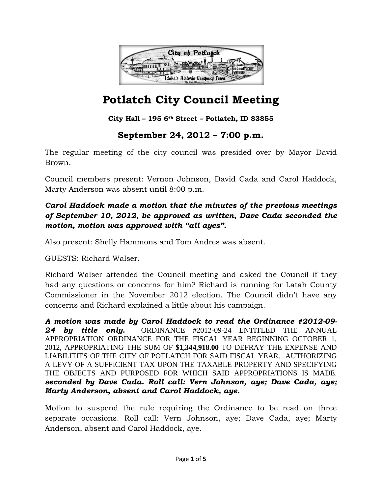

**City Hall – 195 6th Street – Potlatch, ID 83855**

## **September 24, 2012 – 7:00 p.m.**

The regular meeting of the city council was presided over by Mayor David Brown.

Council members present: Vernon Johnson, David Cada and Carol Haddock, Marty Anderson was absent until 8:00 p.m.

### *Carol Haddock made a motion that the minutes of the previous meetings of September 10, 2012, be approved as written, Dave Cada seconded the motion, motion was approved with "all ayes".*

Also present: Shelly Hammons and Tom Andres was absent.

GUESTS: Richard Walser.

Richard Walser attended the Council meeting and asked the Council if they had any questions or concerns for him? Richard is running for Latah County Commissioner in the November 2012 election. The Council didn't have any concerns and Richard explained a little about his campaign.

*A motion was made by Carol Haddock to read the Ordinance #2012-09- 24 by title only.* ORDINANCE #2012-09-24 ENTITLED THE ANNUAL APPROPRIATION ORDINANCE FOR THE FISCAL YEAR BEGINNING OCTOBER 1, 2012, APPROPRIATING THE SUM OF **\$1,344,918.00** TO DEFRAY THE EXPENSE AND LIABILITIES OF THE CITY OF POTLATCH FOR SAID FISCAL YEAR. AUTHORIZING A LEVY OF A SUFFICIENT TAX UPON THE TAXABLE PROPERTY AND SPECIFYING THE OBJECTS AND PURPOSED FOR WHICH SAID APPROPRIATIONS IS MADE. *seconded by Dave Cada. Roll call: Vern Johnson, aye; Dave Cada, aye; Marty Anderson, absent and Carol Haddock, aye.* 

Motion to suspend the rule requiring the Ordinance to be read on three separate occasions. Roll call: Vern Johnson, aye; Dave Cada, aye; Marty Anderson, absent and Carol Haddock, aye.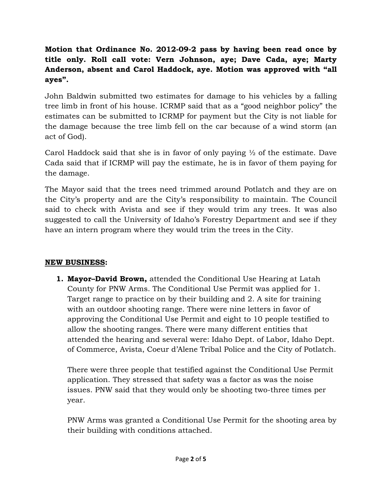## **Motion that Ordinance No. 2012-09-2 pass by having been read once by title only. Roll call vote: Vern Johnson, aye; Dave Cada, aye; Marty Anderson, absent and Carol Haddock, aye. Motion was approved with "all ayes".**

John Baldwin submitted two estimates for damage to his vehicles by a falling tree limb in front of his house. ICRMP said that as a "good neighbor policy" the estimates can be submitted to ICRMP for payment but the City is not liable for the damage because the tree limb fell on the car because of a wind storm (an act of God).

Carol Haddock said that she is in favor of only paying  $\frac{1}{2}$  of the estimate. Dave Cada said that if ICRMP will pay the estimate, he is in favor of them paying for the damage.

The Mayor said that the trees need trimmed around Potlatch and they are on the City's property and are the City's responsibility to maintain. The Council said to check with Avista and see if they would trim any trees. It was also suggested to call the University of Idaho's Forestry Department and see if they have an intern program where they would trim the trees in the City.

### **NEW BUSINESS:**

**1. Mayor–David Brown,** attended the Conditional Use Hearing at Latah County for PNW Arms. The Conditional Use Permit was applied for 1. Target range to practice on by their building and 2. A site for training with an outdoor shooting range. There were nine letters in favor of approving the Conditional Use Permit and eight to 10 people testified to allow the shooting ranges. There were many different entities that attended the hearing and several were: Idaho Dept. of Labor, Idaho Dept. of Commerce, Avista, Coeur d'Alene Tribal Police and the City of Potlatch.

There were three people that testified against the Conditional Use Permit application. They stressed that safety was a factor as was the noise issues. PNW said that they would only be shooting two-three times per year.

PNW Arms was granted a Conditional Use Permit for the shooting area by their building with conditions attached.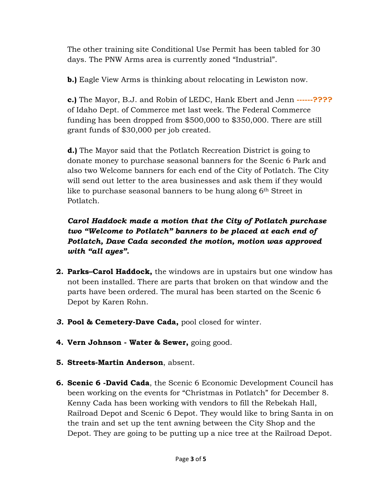The other training site Conditional Use Permit has been tabled for 30 days. The PNW Arms area is currently zoned "Industrial".

**b.)** Eagle View Arms is thinking about relocating in Lewiston now.

**c.)** The Mayor, B.J. and Robin of LEDC, Hank Ebert and Jenn **------????**  of Idaho Dept. of Commerce met last week. The Federal Commerce funding has been dropped from \$500,000 to \$350,000. There are still grant funds of \$30,000 per job created.

**d.)** The Mayor said that the Potlatch Recreation District is going to donate money to purchase seasonal banners for the Scenic 6 Park and also two Welcome banners for each end of the City of Potlatch. The City will send out letter to the area businesses and ask them if they would like to purchase seasonal banners to be hung along 6<sup>th</sup> Street in Potlatch.

*Carol Haddock made a motion that the City of Potlatch purchase two "Welcome to Potlatch" banners to be placed at each end of Potlatch, Dave Cada seconded the motion, motion was approved with "all ayes".* 

- **2. Parks–Carol Haddock,** the windows are in upstairs but one window has not been installed. There are parts that broken on that window and the parts have been ordered. The mural has been started on the Scenic 6 Depot by Karen Rohn.
- *3.* **Pool & Cemetery-Dave Cada,** pool closed for winter.
- **4. Vern Johnson Water & Sewer,** going good.
- **5. Streets-Martin Anderson**, absent.
- **6. Scenic 6 -David Cada**, the Scenic 6 Economic Development Council has been working on the events for "Christmas in Potlatch" for December 8. Kenny Cada has been working with vendors to fill the Rebekah Hall, Railroad Depot and Scenic 6 Depot. They would like to bring Santa in on the train and set up the tent awning between the City Shop and the Depot. They are going to be putting up a nice tree at the Railroad Depot.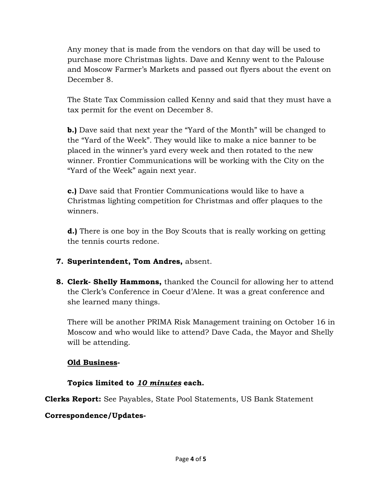Any money that is made from the vendors on that day will be used to purchase more Christmas lights. Dave and Kenny went to the Palouse and Moscow Farmer's Markets and passed out flyers about the event on December 8.

The State Tax Commission called Kenny and said that they must have a tax permit for the event on December 8.

**b.)** Dave said that next year the "Yard of the Month" will be changed to the "Yard of the Week". They would like to make a nice banner to be placed in the winner's yard every week and then rotated to the new winner. Frontier Communications will be working with the City on the "Yard of the Week" again next year.

**c.)** Dave said that Frontier Communications would like to have a Christmas lighting competition for Christmas and offer plaques to the winners.

**d.)** There is one boy in the Boy Scouts that is really working on getting the tennis courts redone.

- **7. Superintendent, Tom Andres,** absent.
- **8. Clerk- Shelly Hammons,** thanked the Council for allowing her to attend the Clerk's Conference in Coeur d'Alene. It was a great conference and she learned many things.

There will be another PRIMA Risk Management training on October 16 in Moscow and who would like to attend? Dave Cada, the Mayor and Shelly will be attending.

#### **Old Business-**

### **Topics limited to** *10 minutes* **each.**

**Clerks Report:** See Payables, State Pool Statements, US Bank Statement

### **Correspondence/Updates-**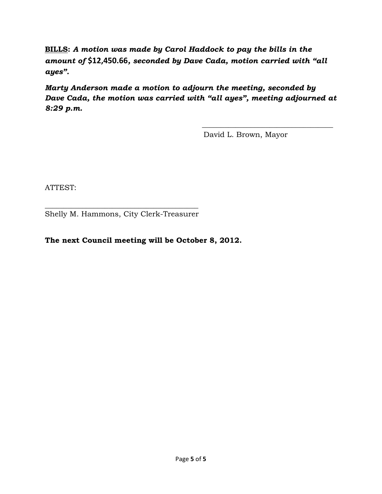**BILLS:** *A motion was made by Carol Haddock to pay the bills in the amount of* **\$12,450.66***, seconded by Dave Cada, motion carried with "all ayes".* 

*Marty Anderson made a motion to adjourn the meeting, seconded by Dave Cada, the motion was carried with "all ayes", meeting adjourned at 8:29 p.m.* 

 $\frac{1}{\sqrt{2}}$  ,  $\frac{1}{\sqrt{2}}$  ,  $\frac{1}{\sqrt{2}}$  ,  $\frac{1}{\sqrt{2}}$  ,  $\frac{1}{\sqrt{2}}$  ,  $\frac{1}{\sqrt{2}}$  ,  $\frac{1}{\sqrt{2}}$  ,  $\frac{1}{\sqrt{2}}$  ,  $\frac{1}{\sqrt{2}}$  ,  $\frac{1}{\sqrt{2}}$  ,  $\frac{1}{\sqrt{2}}$  ,  $\frac{1}{\sqrt{2}}$  ,  $\frac{1}{\sqrt{2}}$  ,  $\frac{1}{\sqrt{2}}$  ,  $\frac{1}{\sqrt{2}}$ 

David L. Brown, Mayor

ATTEST:

\_\_\_\_\_\_\_\_\_\_\_\_\_\_\_\_\_\_\_\_\_\_\_\_\_\_\_\_\_\_\_\_\_\_\_\_\_\_\_\_\_ Shelly M. Hammons, City Clerk-Treasurer

#### **The next Council meeting will be October 8, 2012.**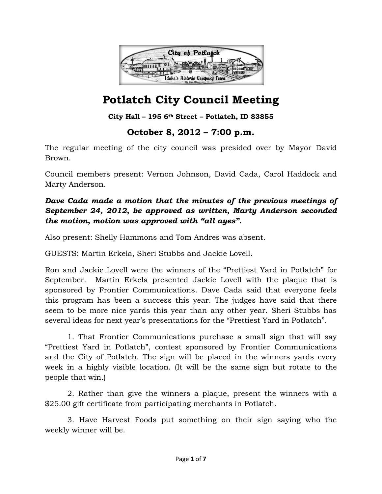

### **City Hall – 195 6th Street – Potlatch, ID 83855**

## **October 8, 2012 – 7:00 p.m.**

The regular meeting of the city council was presided over by Mayor David Brown.

Council members present: Vernon Johnson, David Cada, Carol Haddock and Marty Anderson.

## *Dave Cada made a motion that the minutes of the previous meetings of September 24, 2012, be approved as written, Marty Anderson seconded the motion, motion was approved with "all ayes".*

Also present: Shelly Hammons and Tom Andres was absent.

GUESTS: Martin Erkela, Sheri Stubbs and Jackie Lovell.

Ron and Jackie Lovell were the winners of the "Prettiest Yard in Potlatch" for September. Martin Erkela presented Jackie Lovell with the plaque that is sponsored by Frontier Communications. Dave Cada said that everyone feels this program has been a success this year. The judges have said that there seem to be more nice yards this year than any other year. Sheri Stubbs has several ideas for next year's presentations for the "Prettiest Yard in Potlatch".

1. That Frontier Communications purchase a small sign that will say "Prettiest Yard in Potlatch", contest sponsored by Frontier Communications and the City of Potlatch. The sign will be placed in the winners yards every week in a highly visible location. (It will be the same sign but rotate to the people that win.)

2. Rather than give the winners a plaque, present the winners with a \$25.00 gift certificate from participating merchants in Potlatch.

3. Have Harvest Foods put something on their sign saying who the weekly winner will be.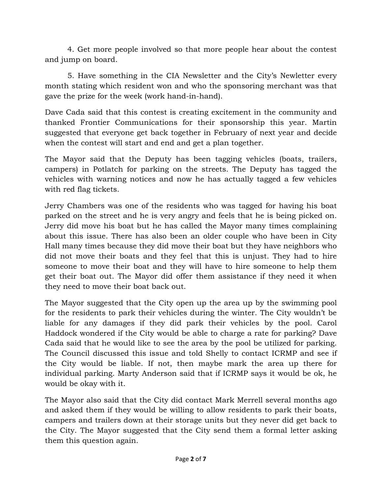4. Get more people involved so that more people hear about the contest and jump on board.

5. Have something in the CIA Newsletter and the City's Newletter every month stating which resident won and who the sponsoring merchant was that gave the prize for the week (work hand-in-hand).

Dave Cada said that this contest is creating excitement in the community and thanked Frontier Communications for their sponsorship this year. Martin suggested that everyone get back together in February of next year and decide when the contest will start and end and get a plan together.

The Mayor said that the Deputy has been tagging vehicles (boats, trailers, campers) in Potlatch for parking on the streets. The Deputy has tagged the vehicles with warning notices and now he has actually tagged a few vehicles with red flag tickets.

Jerry Chambers was one of the residents who was tagged for having his boat parked on the street and he is very angry and feels that he is being picked on. Jerry did move his boat but he has called the Mayor many times complaining about this issue. There has also been an older couple who have been in City Hall many times because they did move their boat but they have neighbors who did not move their boats and they feel that this is unjust. They had to hire someone to move their boat and they will have to hire someone to help them get their boat out. The Mayor did offer them assistance if they need it when they need to move their boat back out.

The Mayor suggested that the City open up the area up by the swimming pool for the residents to park their vehicles during the winter. The City wouldn't be liable for any damages if they did park their vehicles by the pool. Carol Haddock wondered if the City would be able to charge a rate for parking? Dave Cada said that he would like to see the area by the pool be utilized for parking. The Council discussed this issue and told Shelly to contact ICRMP and see if the City would be liable. If not, then maybe mark the area up there for individual parking. Marty Anderson said that if ICRMP says it would be ok, he would be okay with it.

The Mayor also said that the City did contact Mark Merrell several months ago and asked them if they would be willing to allow residents to park their boats, campers and trailers down at their storage units but they never did get back to the City. The Mayor suggested that the City send them a formal letter asking them this question again.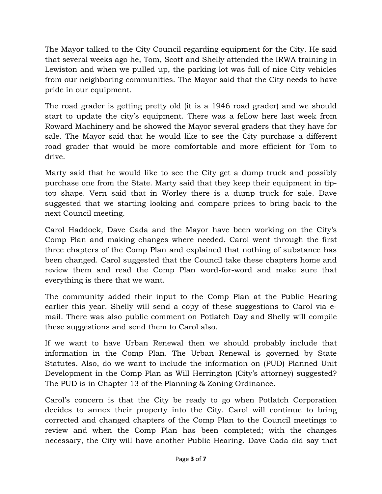The Mayor talked to the City Council regarding equipment for the City. He said that several weeks ago he, Tom, Scott and Shelly attended the IRWA training in Lewiston and when we pulled up, the parking lot was full of nice City vehicles from our neighboring communities. The Mayor said that the City needs to have pride in our equipment.

The road grader is getting pretty old (it is a 1946 road grader) and we should start to update the city's equipment. There was a fellow here last week from Roward Machinery and he showed the Mayor several graders that they have for sale. The Mayor said that he would like to see the City purchase a different road grader that would be more comfortable and more efficient for Tom to drive.

Marty said that he would like to see the City get a dump truck and possibly purchase one from the State. Marty said that they keep their equipment in tiptop shape. Vern said that in Worley there is a dump truck for sale. Dave suggested that we starting looking and compare prices to bring back to the next Council meeting.

Carol Haddock, Dave Cada and the Mayor have been working on the City's Comp Plan and making changes where needed. Carol went through the first three chapters of the Comp Plan and explained that nothing of substance has been changed. Carol suggested that the Council take these chapters home and review them and read the Comp Plan word-for-word and make sure that everything is there that we want.

The community added their input to the Comp Plan at the Public Hearing earlier this year. Shelly will send a copy of these suggestions to Carol via email. There was also public comment on Potlatch Day and Shelly will compile these suggestions and send them to Carol also.

If we want to have Urban Renewal then we should probably include that information in the Comp Plan. The Urban Renewal is governed by State Statutes. Also, do we want to include the information on (PUD) Planned Unit Development in the Comp Plan as Will Herrington (City's attorney) suggested? The PUD is in Chapter 13 of the Planning & Zoning Ordinance.

Carol's concern is that the City be ready to go when Potlatch Corporation decides to annex their property into the City. Carol will continue to bring corrected and changed chapters of the Comp Plan to the Council meetings to review and when the Comp Plan has been completed; with the changes necessary, the City will have another Public Hearing. Dave Cada did say that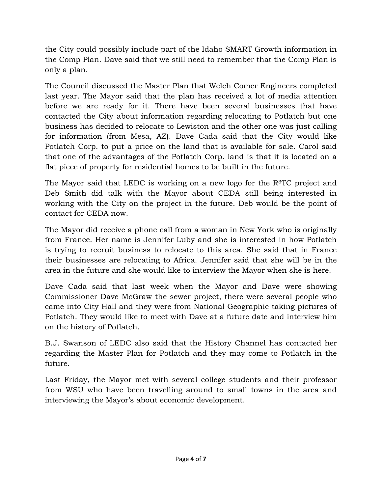the City could possibly include part of the Idaho SMART Growth information in the Comp Plan. Dave said that we still need to remember that the Comp Plan is only a plan.

The Council discussed the Master Plan that Welch Comer Engineers completed last year. The Mayor said that the plan has received a lot of media attention before we are ready for it. There have been several businesses that have contacted the City about information regarding relocating to Potlatch but one business has decided to relocate to Lewiston and the other one was just calling for information (from Mesa, AZ). Dave Cada said that the City would like Potlatch Corp. to put a price on the land that is available for sale. Carol said that one of the advantages of the Potlatch Corp. land is that it is located on a flat piece of property for residential homes to be built in the future.

The Mayor said that LEDC is working on a new logo for the  $R<sup>3</sup>TC$  project and Deb Smith did talk with the Mayor about CEDA still being interested in working with the City on the project in the future. Deb would be the point of contact for CEDA now.

The Mayor did receive a phone call from a woman in New York who is originally from France. Her name is Jennifer Luby and she is interested in how Potlatch is trying to recruit business to relocate to this area. She said that in France their businesses are relocating to Africa. Jennifer said that she will be in the area in the future and she would like to interview the Mayor when she is here.

Dave Cada said that last week when the Mayor and Dave were showing Commissioner Dave McGraw the sewer project, there were several people who came into City Hall and they were from National Geographic taking pictures of Potlatch. They would like to meet with Dave at a future date and interview him on the history of Potlatch.

B.J. Swanson of LEDC also said that the History Channel has contacted her regarding the Master Plan for Potlatch and they may come to Potlatch in the future.

Last Friday, the Mayor met with several college students and their professor from WSU who have been travelling around to small towns in the area and interviewing the Mayor's about economic development.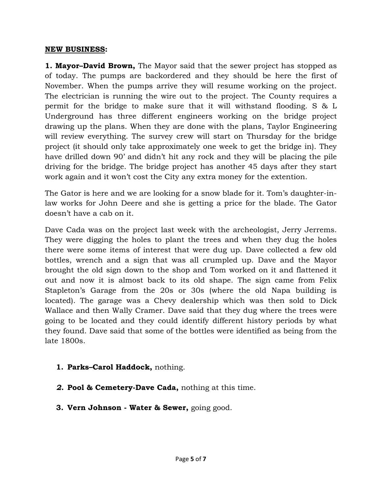#### **NEW BUSINESS:**

**1. Mayor–David Brown,** The Mayor said that the sewer project has stopped as of today. The pumps are backordered and they should be here the first of November. When the pumps arrive they will resume working on the project. The electrician is running the wire out to the project. The County requires a permit for the bridge to make sure that it will withstand flooding. S & L Underground has three different engineers working on the bridge project drawing up the plans. When they are done with the plans, Taylor Engineering will review everything. The survey crew will start on Thursday for the bridge project (it should only take approximately one week to get the bridge in). They have drilled down 90' and didn't hit any rock and they will be placing the pile driving for the bridge. The bridge project has another 45 days after they start work again and it won't cost the City any extra money for the extention.

The Gator is here and we are looking for a snow blade for it. Tom's daughter-inlaw works for John Deere and she is getting a price for the blade. The Gator doesn't have a cab on it.

Dave Cada was on the project last week with the archeologist, Jerry Jerrems. They were digging the holes to plant the trees and when they dug the holes there were some items of interest that were dug up. Dave collected a few old bottles, wrench and a sign that was all crumpled up. Dave and the Mayor brought the old sign down to the shop and Tom worked on it and flattened it out and now it is almost back to its old shape. The sign came from Felix Stapleton's Garage from the 20s or 30s (where the old Napa building is located). The garage was a Chevy dealership which was then sold to Dick Wallace and then Wally Cramer. Dave said that they dug where the trees were going to be located and they could identify different history periods by what they found. Dave said that some of the bottles were identified as being from the late 1800s.

- **1. Parks–Carol Haddock,** nothing.
- *2.* **Pool & Cemetery-Dave Cada,** nothing at this time.
- **3. Vern Johnson Water & Sewer,** going good.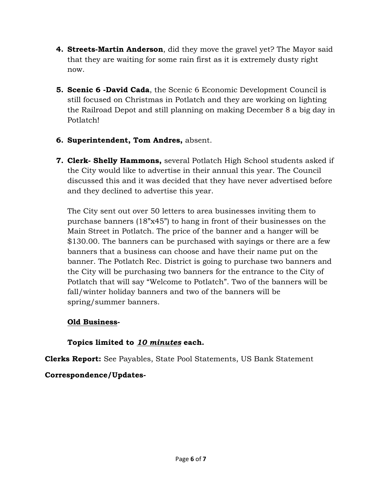- **4. Streets-Martin Anderson**, did they move the gravel yet? The Mayor said that they are waiting for some rain first as it is extremely dusty right now.
- **5. Scenic 6 -David Cada**, the Scenic 6 Economic Development Council is still focused on Christmas in Potlatch and they are working on lighting the Railroad Depot and still planning on making December 8 a big day in Potlatch!
- **6. Superintendent, Tom Andres,** absent.
- **7. Clerk- Shelly Hammons,** several Potlatch High School students asked if the City would like to advertise in their annual this year. The Council discussed this and it was decided that they have never advertised before and they declined to advertise this year.

The City sent out over 50 letters to area businesses inviting them to purchase banners (18"x45") to hang in front of their businesses on the Main Street in Potlatch. The price of the banner and a hanger will be \$130.00. The banners can be purchased with sayings or there are a few banners that a business can choose and have their name put on the banner. The Potlatch Rec. District is going to purchase two banners and the City will be purchasing two banners for the entrance to the City of Potlatch that will say "Welcome to Potlatch". Two of the banners will be fall/winter holiday banners and two of the banners will be spring/summer banners.

### **Old Business-**

## **Topics limited to** *10 minutes* **each.**

**Clerks Report:** See Payables, State Pool Statements, US Bank Statement

## **Correspondence/Updates-**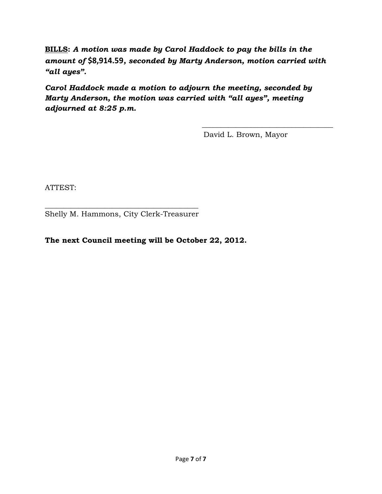**BILLS:** *A motion was made by Carol Haddock to pay the bills in the amount of* **\$8,914.59***, seconded by Marty Anderson, motion carried with "all ayes".* 

*Carol Haddock made a motion to adjourn the meeting, seconded by Marty Anderson, the motion was carried with "all ayes", meeting adjourned at 8:25 p.m.* 

 $\frac{1}{\sqrt{2}}$  ,  $\frac{1}{\sqrt{2}}$  ,  $\frac{1}{\sqrt{2}}$  ,  $\frac{1}{\sqrt{2}}$  ,  $\frac{1}{\sqrt{2}}$  ,  $\frac{1}{\sqrt{2}}$  ,  $\frac{1}{\sqrt{2}}$  ,  $\frac{1}{\sqrt{2}}$  ,  $\frac{1}{\sqrt{2}}$  ,  $\frac{1}{\sqrt{2}}$  ,  $\frac{1}{\sqrt{2}}$  ,  $\frac{1}{\sqrt{2}}$  ,  $\frac{1}{\sqrt{2}}$  ,  $\frac{1}{\sqrt{2}}$  ,  $\frac{1}{\sqrt{2}}$ 

David L. Brown, Mayor

ATTEST:

\_\_\_\_\_\_\_\_\_\_\_\_\_\_\_\_\_\_\_\_\_\_\_\_\_\_\_\_\_\_\_\_\_\_\_\_\_\_\_\_\_ Shelly M. Hammons, City Clerk-Treasurer

#### **The next Council meeting will be October 22, 2012.**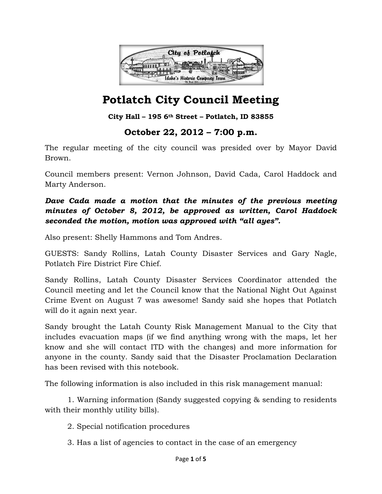

### **City Hall – 195 6th Street – Potlatch, ID 83855**

## **October 22, 2012 – 7:00 p.m.**

The regular meeting of the city council was presided over by Mayor David Brown.

Council members present: Vernon Johnson, David Cada, Carol Haddock and Marty Anderson.

### *Dave Cada made a motion that the minutes of the previous meeting minutes of October 8, 2012, be approved as written, Carol Haddock seconded the motion, motion was approved with "all ayes".*

Also present: Shelly Hammons and Tom Andres.

GUESTS: Sandy Rollins, Latah County Disaster Services and Gary Nagle, Potlatch Fire District Fire Chief.

Sandy Rollins, Latah County Disaster Services Coordinator attended the Council meeting and let the Council know that the National Night Out Against Crime Event on August 7 was awesome! Sandy said she hopes that Potlatch will do it again next year.

Sandy brought the Latah County Risk Management Manual to the City that includes evacuation maps (if we find anything wrong with the maps, let her know and she will contact ITD with the changes) and more information for anyone in the county. Sandy said that the Disaster Proclamation Declaration has been revised with this notebook.

The following information is also included in this risk management manual:

 1. Warning information (Sandy suggested copying & sending to residents with their monthly utility bills).

2. Special notification procedures

3. Has a list of agencies to contact in the case of an emergency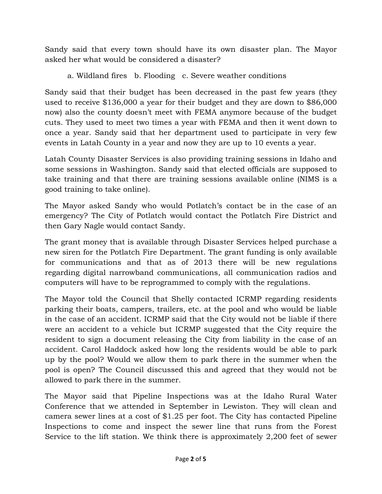Sandy said that every town should have its own disaster plan. The Mayor asked her what would be considered a disaster?

a. Wildland fires b. Flooding c. Severe weather conditions

Sandy said that their budget has been decreased in the past few years (they used to receive \$136,000 a year for their budget and they are down to \$86,000 now) also the county doesn't meet with FEMA anymore because of the budget cuts. They used to meet two times a year with FEMA and then it went down to once a year. Sandy said that her department used to participate in very few events in Latah County in a year and now they are up to 10 events a year.

Latah County Disaster Services is also providing training sessions in Idaho and some sessions in Washington. Sandy said that elected officials are supposed to take training and that there are training sessions available online (NIMS is a good training to take online).

The Mayor asked Sandy who would Potlatch's contact be in the case of an emergency? The City of Potlatch would contact the Potlatch Fire District and then Gary Nagle would contact Sandy.

The grant money that is available through Disaster Services helped purchase a new siren for the Potlatch Fire Department. The grant funding is only available for communications and that as of 2013 there will be new regulations regarding digital narrowband communications, all communication radios and computers will have to be reprogrammed to comply with the regulations.

The Mayor told the Council that Shelly contacted ICRMP regarding residents parking their boats, campers, trailers, etc. at the pool and who would be liable in the case of an accident. ICRMP said that the City would not be liable if there were an accident to a vehicle but ICRMP suggested that the City require the resident to sign a document releasing the City from liability in the case of an accident. Carol Haddock asked how long the residents would be able to park up by the pool? Would we allow them to park there in the summer when the pool is open? The Council discussed this and agreed that they would not be allowed to park there in the summer.

The Mayor said that Pipeline Inspections was at the Idaho Rural Water Conference that we attended in September in Lewiston. They will clean and camera sewer lines at a cost of \$1.25 per foot. The City has contacted Pipeline Inspections to come and inspect the sewer line that runs from the Forest Service to the lift station. We think there is approximately 2,200 feet of sewer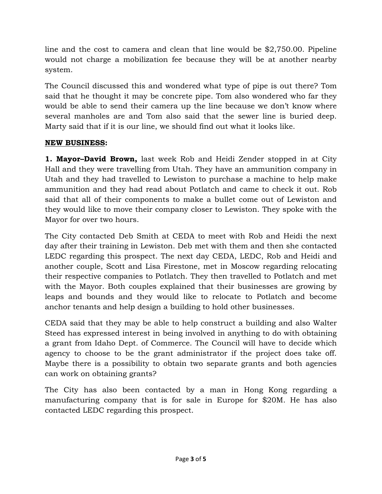line and the cost to camera and clean that line would be \$2,750.00. Pipeline would not charge a mobilization fee because they will be at another nearby system.

The Council discussed this and wondered what type of pipe is out there? Tom said that he thought it may be concrete pipe. Tom also wondered who far they would be able to send their camera up the line because we don't know where several manholes are and Tom also said that the sewer line is buried deep. Marty said that if it is our line, we should find out what it looks like.

### **NEW BUSINESS:**

**1. Mayor–David Brown,** last week Rob and Heidi Zender stopped in at City Hall and they were travelling from Utah. They have an ammunition company in Utah and they had travelled to Lewiston to purchase a machine to help make ammunition and they had read about Potlatch and came to check it out. Rob said that all of their components to make a bullet come out of Lewiston and they would like to move their company closer to Lewiston. They spoke with the Mayor for over two hours.

The City contacted Deb Smith at CEDA to meet with Rob and Heidi the next day after their training in Lewiston. Deb met with them and then she contacted LEDC regarding this prospect. The next day CEDA, LEDC, Rob and Heidi and another couple, Scott and Lisa Firestone, met in Moscow regarding relocating their respective companies to Potlatch. They then travelled to Potlatch and met with the Mayor. Both couples explained that their businesses are growing by leaps and bounds and they would like to relocate to Potlatch and become anchor tenants and help design a building to hold other businesses.

CEDA said that they may be able to help construct a building and also Walter Steed has expressed interest in being involved in anything to do with obtaining a grant from Idaho Dept. of Commerce. The Council will have to decide which agency to choose to be the grant administrator if the project does take off. Maybe there is a possibility to obtain two separate grants and both agencies can work on obtaining grants?

The City has also been contacted by a man in Hong Kong regarding a manufacturing company that is for sale in Europe for \$20M. He has also contacted LEDC regarding this prospect.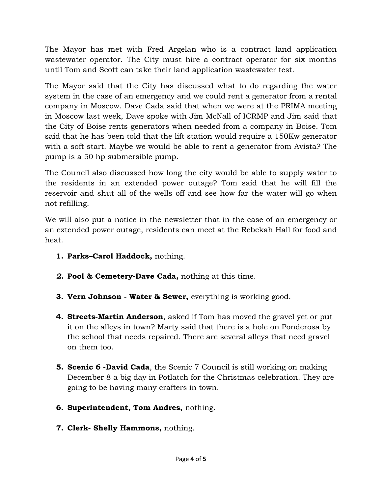The Mayor has met with Fred Argelan who is a contract land application wastewater operator. The City must hire a contract operator for six months until Tom and Scott can take their land application wastewater test.

The Mayor said that the City has discussed what to do regarding the water system in the case of an emergency and we could rent a generator from a rental company in Moscow. Dave Cada said that when we were at the PRIMA meeting in Moscow last week, Dave spoke with Jim McNall of ICRMP and Jim said that the City of Boise rents generators when needed from a company in Boise. Tom said that he has been told that the lift station would require a 150Kw generator with a soft start. Maybe we would be able to rent a generator from Avista? The pump is a 50 hp submersible pump.

The Council also discussed how long the city would be able to supply water to the residents in an extended power outage? Tom said that he will fill the reservoir and shut all of the wells off and see how far the water will go when not refilling.

We will also put a notice in the newsletter that in the case of an emergency or an extended power outage, residents can meet at the Rebekah Hall for food and heat.

- **1. Parks–Carol Haddock,** nothing.
- *2.* **Pool & Cemetery-Dave Cada,** nothing at this time.
- **3. Vern Johnson Water & Sewer,** everything is working good.
- **4. Streets-Martin Anderson**, asked if Tom has moved the gravel yet or put it on the alleys in town? Marty said that there is a hole on Ponderosa by the school that needs repaired. There are several alleys that need gravel on them too.
- **5. Scenic 6 -David Cada**, the Scenic 7 Council is still working on making December 8 a big day in Potlatch for the Christmas celebration. They are going to be having many crafters in town.
- **6. Superintendent, Tom Andres,** nothing.
- **7. Clerk- Shelly Hammons,** nothing.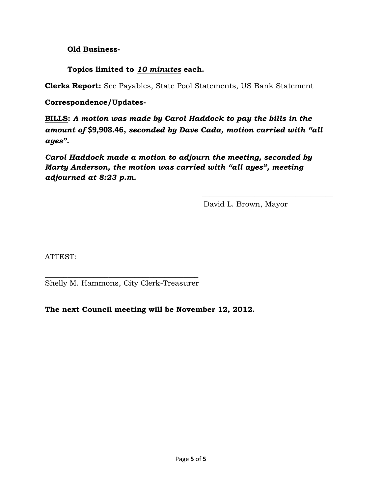#### **Old Business-**

### **Topics limited to** *10 minutes* **each.**

**Clerks Report:** See Payables, State Pool Statements, US Bank Statement

#### **Correspondence/Updates-**

**BILLS:** *A motion was made by Carol Haddock to pay the bills in the amount of* **\$9,908.46***, seconded by Dave Cada, motion carried with "all ayes".* 

*Carol Haddock made a motion to adjourn the meeting, seconded by Marty Anderson, the motion was carried with "all ayes", meeting adjourned at 8:23 p.m.* 

 $\frac{1}{\sqrt{2}}$  ,  $\frac{1}{\sqrt{2}}$  ,  $\frac{1}{\sqrt{2}}$  ,  $\frac{1}{\sqrt{2}}$  ,  $\frac{1}{\sqrt{2}}$  ,  $\frac{1}{\sqrt{2}}$  ,  $\frac{1}{\sqrt{2}}$  ,  $\frac{1}{\sqrt{2}}$  ,  $\frac{1}{\sqrt{2}}$  ,  $\frac{1}{\sqrt{2}}$  ,  $\frac{1}{\sqrt{2}}$  ,  $\frac{1}{\sqrt{2}}$  ,  $\frac{1}{\sqrt{2}}$  ,  $\frac{1}{\sqrt{2}}$  ,  $\frac{1}{\sqrt{2}}$ 

David L. Brown, Mayor

ATTEST:

\_\_\_\_\_\_\_\_\_\_\_\_\_\_\_\_\_\_\_\_\_\_\_\_\_\_\_\_\_\_\_\_\_\_\_\_\_\_\_\_\_ Shelly M. Hammons, City Clerk-Treasurer

**The next Council meeting will be November 12, 2012.**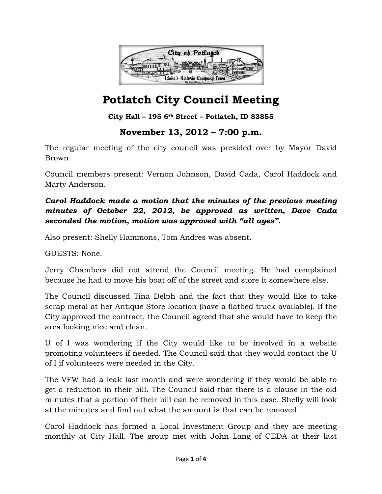

**City Hall – 195 6th Street – Potlatch, ID 83855**

## **November 13, 2012 – 7:00 p.m.**

The regular meeting of the city council was presided over by Mayor David Brown.

Council members present: Vernon Johnson, David Cada, Carol Haddock and Marty Anderson.

### *Carol Haddock made a motion that the minutes of the previous meeting minutes of October 22, 2012, be approved as written, Dave Cada seconded the motion, motion was approved with "all ayes".*

Also present: Shelly Hammons, Tom Andres was absent.

GUESTS: None.

Jerry Chambers did not attend the Council meeting. He had complained because he had to move his boat off of the street and store it somewhere else.

The Council discussed Tina Delph and the fact that they would like to take scrap metal at her Antique Store location (have a flatbed truck available). If the City approved the contract, the Council agreed that she would have to keep the area looking nice and clean.

U of I was wondering if the City would like to be involved in a website promoting volunteers if needed. The Council said that they would contact the U of I if volunteers were needed in the City.

The VFW had a leak last month and were wondering if they would be able to get a reduction in their bill. The Council said that there is a clause in the old minutes that a portion of their bill can be removed in this case. Shelly will look at the minutes and find out what the amount is that can be removed.

Carol Haddock has formed a Local Investment Group and they are meeting monthly at City Hall. The group met with John Lang of CEDA at their last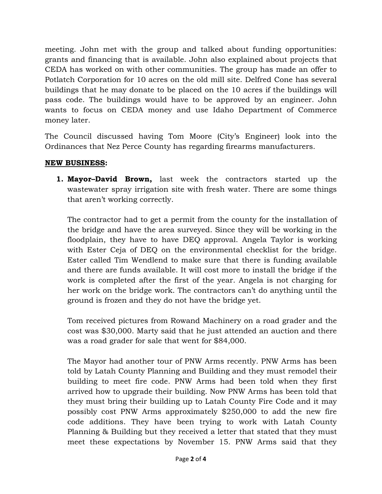meeting. John met with the group and talked about funding opportunities: grants and financing that is available. John also explained about projects that CEDA has worked on with other communities. The group has made an offer to Potlatch Corporation for 10 acres on the old mill site. Delfred Cone has several buildings that he may donate to be placed on the 10 acres if the buildings will pass code. The buildings would have to be approved by an engineer. John wants to focus on CEDA money and use Idaho Department of Commerce money later.

The Council discussed having Tom Moore (City's Engineer) look into the Ordinances that Nez Perce County has regarding firearms manufacturers.

### **NEW BUSINESS:**

**1. Mayor–David Brown,** last week the contractors started up the wastewater spray irrigation site with fresh water. There are some things that aren't working correctly.

The contractor had to get a permit from the county for the installation of the bridge and have the area surveyed. Since they will be working in the floodplain, they have to have DEQ approval. Angela Taylor is working with Ester Ceja of DEQ on the environmental checklist for the bridge. Ester called Tim Wendlend to make sure that there is funding available and there are funds available. It will cost more to install the bridge if the work is completed after the first of the year. Angela is not charging for her work on the bridge work. The contractors can't do anything until the ground is frozen and they do not have the bridge yet.

Tom received pictures from Rowand Machinery on a road grader and the cost was \$30,000. Marty said that he just attended an auction and there was a road grader for sale that went for \$84,000.

The Mayor had another tour of PNW Arms recently. PNW Arms has been told by Latah County Planning and Building and they must remodel their building to meet fire code. PNW Arms had been told when they first arrived how to upgrade their building. Now PNW Arms has been told that they must bring their building up to Latah County Fire Code and it may possibly cost PNW Arms approximately \$250,000 to add the new fire code additions. They have been trying to work with Latah County Planning & Building but they received a letter that stated that they must meet these expectations by November 15. PNW Arms said that they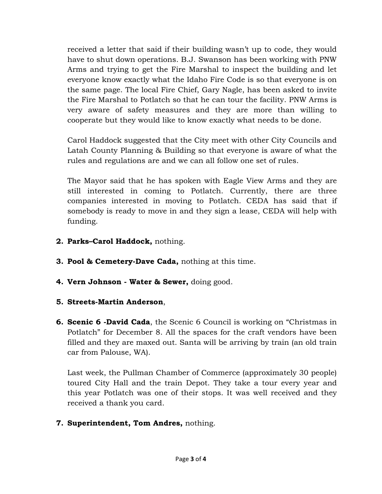received a letter that said if their building wasn't up to code, they would have to shut down operations. B.J. Swanson has been working with PNW Arms and trying to get the Fire Marshal to inspect the building and let everyone know exactly what the Idaho Fire Code is so that everyone is on the same page. The local Fire Chief, Gary Nagle, has been asked to invite the Fire Marshal to Potlatch so that he can tour the facility. PNW Arms is very aware of safety measures and they are more than willing to cooperate but they would like to know exactly what needs to be done.

Carol Haddock suggested that the City meet with other City Councils and Latah County Planning & Building so that everyone is aware of what the rules and regulations are and we can all follow one set of rules.

The Mayor said that he has spoken with Eagle View Arms and they are still interested in coming to Potlatch. Currently, there are three companies interested in moving to Potlatch. CEDA has said that if somebody is ready to move in and they sign a lease, CEDA will help with funding.

- **2. Parks–Carol Haddock,** nothing.
- **3. Pool & Cemetery-Dave Cada,** nothing at this time.
- **4. Vern Johnson Water & Sewer,** doing good.
- **5. Streets-Martin Anderson**,
- **6. Scenic 6 -David Cada**, the Scenic 6 Council is working on "Christmas in Potlatch" for December 8. All the spaces for the craft vendors have been filled and they are maxed out. Santa will be arriving by train (an old train car from Palouse, WA).

Last week, the Pullman Chamber of Commerce (approximately 30 people) toured City Hall and the train Depot. They take a tour every year and this year Potlatch was one of their stops. It was well received and they received a thank you card.

**7. Superintendent, Tom Andres,** nothing.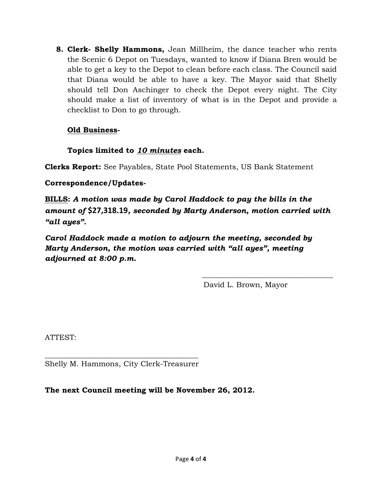**8. Clerk- Shelly Hammons,** Jean Millheim, the dance teacher who rents the Scenic 6 Depot on Tuesdays, wanted to know if Diana Bren would be able to get a key to the Depot to clean before each class. The Council said that Diana would be able to have a key. The Mayor said that Shelly should tell Don Aschinger to check the Depot every night. The City should make a list of inventory of what is in the Depot and provide a checklist to Don to go through.

### **Old Business-**

### **Topics limited to** *10 minutes* **each.**

**Clerks Report:** See Payables, State Pool Statements, US Bank Statement

#### **Correspondence/Updates-**

**BILLS:** *A motion was made by Carol Haddock to pay the bills in the amount of* **\$27,318.19***, seconded by Marty Anderson, motion carried with "all ayes".* 

 $\frac{1}{\sqrt{2}}$  ,  $\frac{1}{\sqrt{2}}$  ,  $\frac{1}{\sqrt{2}}$  ,  $\frac{1}{\sqrt{2}}$  ,  $\frac{1}{\sqrt{2}}$  ,  $\frac{1}{\sqrt{2}}$  ,  $\frac{1}{\sqrt{2}}$  ,  $\frac{1}{\sqrt{2}}$  ,  $\frac{1}{\sqrt{2}}$  ,  $\frac{1}{\sqrt{2}}$  ,  $\frac{1}{\sqrt{2}}$  ,  $\frac{1}{\sqrt{2}}$  ,  $\frac{1}{\sqrt{2}}$  ,  $\frac{1}{\sqrt{2}}$  ,  $\frac{1}{\sqrt{2}}$ 

*Carol Haddock made a motion to adjourn the meeting, seconded by Marty Anderson, the motion was carried with "all ayes", meeting adjourned at 8:00 p.m.* 

David L. Brown, Mayor

ATTEST:

 $\frac{1}{2}$  ,  $\frac{1}{2}$  ,  $\frac{1}{2}$  ,  $\frac{1}{2}$  ,  $\frac{1}{2}$  ,  $\frac{1}{2}$  ,  $\frac{1}{2}$  ,  $\frac{1}{2}$  ,  $\frac{1}{2}$  ,  $\frac{1}{2}$  ,  $\frac{1}{2}$  ,  $\frac{1}{2}$  ,  $\frac{1}{2}$  ,  $\frac{1}{2}$  ,  $\frac{1}{2}$  ,  $\frac{1}{2}$  ,  $\frac{1}{2}$  ,  $\frac{1}{2}$  ,  $\frac{1$ Shelly M. Hammons, City Clerk-Treasurer

**The next Council meeting will be November 26, 2012.**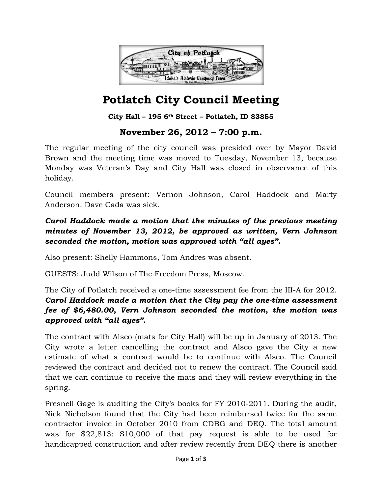

### **City Hall – 195 6th Street – Potlatch, ID 83855**

## **November 26, 2012 – 7:00 p.m.**

The regular meeting of the city council was presided over by Mayor David Brown and the meeting time was moved to Tuesday, November 13, because Monday was Veteran's Day and City Hall was closed in observance of this holiday.

Council members present: Vernon Johnson, Carol Haddock and Marty Anderson. Dave Cada was sick.

### *Carol Haddock made a motion that the minutes of the previous meeting minutes of November 13, 2012, be approved as written, Vern Johnson seconded the motion, motion was approved with "all ayes".*

Also present: Shelly Hammons, Tom Andres was absent.

GUESTS: Judd Wilson of The Freedom Press, Moscow.

The City of Potlatch received a one-time assessment fee from the III-A for 2012. *Carol Haddock made a motion that the City pay the one-time assessment fee of \$6,480.00, Vern Johnson seconded the motion, the motion was approved with "all ayes".* 

The contract with Alsco (mats for City Hall) will be up in January of 2013. The City wrote a letter cancelling the contract and Alsco gave the City a new estimate of what a contract would be to continue with Alsco. The Council reviewed the contract and decided not to renew the contract. The Council said that we can continue to receive the mats and they will review everything in the spring.

Presnell Gage is auditing the City's books for FY 2010-2011. During the audit, Nick Nicholson found that the City had been reimbursed twice for the same contractor invoice in October 2010 from CDBG and DEQ. The total amount was for \$22,813: \$10,000 of that pay request is able to be used for handicapped construction and after review recently from DEQ there is another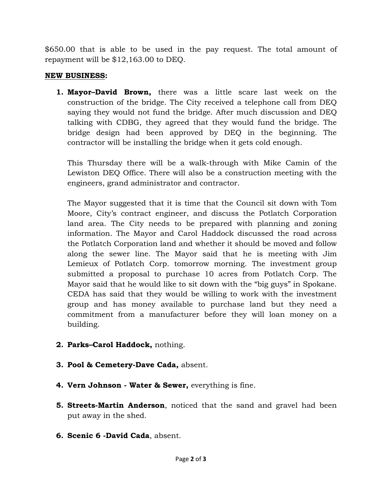\$650.00 that is able to be used in the pay request. The total amount of repayment will be \$12,163.00 to DEQ.

#### **NEW BUSINESS:**

**1. Mayor–David Brown,** there was a little scare last week on the construction of the bridge. The City received a telephone call from DEQ saying they would not fund the bridge. After much discussion and DEQ talking with CDBG, they agreed that they would fund the bridge. The bridge design had been approved by DEQ in the beginning. The contractor will be installing the bridge when it gets cold enough.

This Thursday there will be a walk-through with Mike Camin of the Lewiston DEQ Office. There will also be a construction meeting with the engineers, grand administrator and contractor.

The Mayor suggested that it is time that the Council sit down with Tom Moore, City's contract engineer, and discuss the Potlatch Corporation land area. The City needs to be prepared with planning and zoning information. The Mayor and Carol Haddock discussed the road across the Potlatch Corporation land and whether it should be moved and follow along the sewer line. The Mayor said that he is meeting with Jim Lemieux of Potlatch Corp. tomorrow morning. The investment group submitted a proposal to purchase 10 acres from Potlatch Corp. The Mayor said that he would like to sit down with the "big guys" in Spokane. CEDA has said that they would be willing to work with the investment group and has money available to purchase land but they need a commitment from a manufacturer before they will loan money on a building.

- **2. Parks–Carol Haddock,** nothing.
- **3. Pool & Cemetery-Dave Cada,** absent.
- **4. Vern Johnson Water & Sewer,** everything is fine.
- **5. Streets-Martin Anderson**, noticed that the sand and gravel had been put away in the shed.
- **6. Scenic 6 -David Cada**, absent.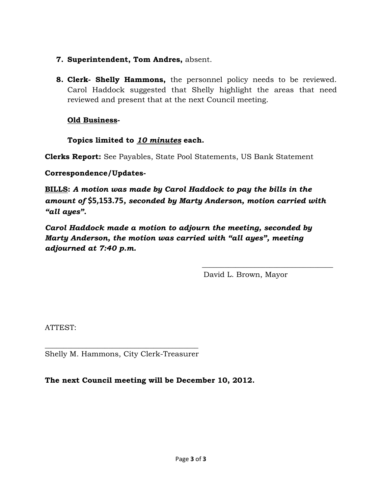- **7. Superintendent, Tom Andres,** absent.
- **8. Clerk- Shelly Hammons,** the personnel policy needs to be reviewed. Carol Haddock suggested that Shelly highlight the areas that need reviewed and present that at the next Council meeting.

#### **Old Business-**

#### **Topics limited to** *10 minutes* **each.**

**Clerks Report:** See Payables, State Pool Statements, US Bank Statement

#### **Correspondence/Updates-**

**BILLS:** *A motion was made by Carol Haddock to pay the bills in the amount of* **\$5,153.75***, seconded by Marty Anderson, motion carried with "all ayes".* 

*Carol Haddock made a motion to adjourn the meeting, seconded by Marty Anderson, the motion was carried with "all ayes", meeting adjourned at 7:40 p.m.* 

 $\frac{1}{\sqrt{2}}$  ,  $\frac{1}{\sqrt{2}}$  ,  $\frac{1}{\sqrt{2}}$  ,  $\frac{1}{\sqrt{2}}$  ,  $\frac{1}{\sqrt{2}}$  ,  $\frac{1}{\sqrt{2}}$  ,  $\frac{1}{\sqrt{2}}$  ,  $\frac{1}{\sqrt{2}}$  ,  $\frac{1}{\sqrt{2}}$  ,  $\frac{1}{\sqrt{2}}$  ,  $\frac{1}{\sqrt{2}}$  ,  $\frac{1}{\sqrt{2}}$  ,  $\frac{1}{\sqrt{2}}$  ,  $\frac{1}{\sqrt{2}}$  ,  $\frac{1}{\sqrt{2}}$ 

David L. Brown, Mayor

ATTEST:

 $\frac{1}{2}$  ,  $\frac{1}{2}$  ,  $\frac{1}{2}$  ,  $\frac{1}{2}$  ,  $\frac{1}{2}$  ,  $\frac{1}{2}$  ,  $\frac{1}{2}$  ,  $\frac{1}{2}$  ,  $\frac{1}{2}$  ,  $\frac{1}{2}$  ,  $\frac{1}{2}$  ,  $\frac{1}{2}$  ,  $\frac{1}{2}$  ,  $\frac{1}{2}$  ,  $\frac{1}{2}$  ,  $\frac{1}{2}$  ,  $\frac{1}{2}$  ,  $\frac{1}{2}$  ,  $\frac{1$ Shelly M. Hammons, City Clerk-Treasurer

**The next Council meeting will be December 10, 2012.**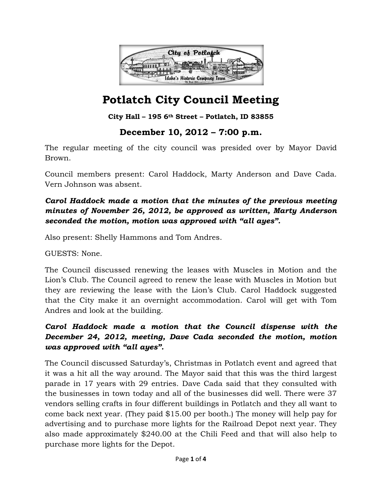

**City Hall – 195 6th Street – Potlatch, ID 83855**

## **December 10, 2012 – 7:00 p.m.**

The regular meeting of the city council was presided over by Mayor David Brown.

Council members present: Carol Haddock, Marty Anderson and Dave Cada. Vern Johnson was absent.

## *Carol Haddock made a motion that the minutes of the previous meeting minutes of November 26, 2012, be approved as written, Marty Anderson seconded the motion, motion was approved with "all ayes".*

Also present: Shelly Hammons and Tom Andres.

GUESTS: None.

The Council discussed renewing the leases with Muscles in Motion and the Lion's Club. The Council agreed to renew the lease with Muscles in Motion but they are reviewing the lease with the Lion's Club. Carol Haddock suggested that the City make it an overnight accommodation. Carol will get with Tom Andres and look at the building.

## *Carol Haddock made a motion that the Council dispense with the December 24, 2012, meeting, Dave Cada seconded the motion, motion was approved with "all ayes".*

The Council discussed Saturday's, Christmas in Potlatch event and agreed that it was a hit all the way around. The Mayor said that this was the third largest parade in 17 years with 29 entries. Dave Cada said that they consulted with the businesses in town today and all of the businesses did well. There were 37 vendors selling crafts in four different buildings in Potlatch and they all want to come back next year. (They paid \$15.00 per booth.) The money will help pay for advertising and to purchase more lights for the Railroad Depot next year. They also made approximately \$240.00 at the Chili Feed and that will also help to purchase more lights for the Depot.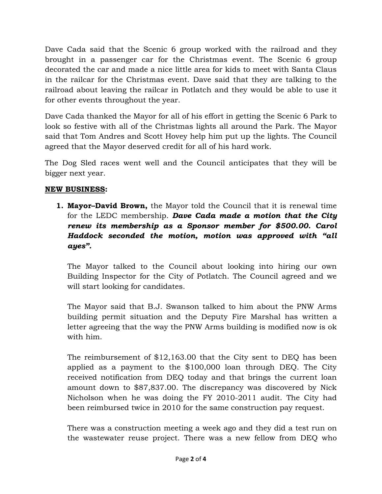Dave Cada said that the Scenic 6 group worked with the railroad and they brought in a passenger car for the Christmas event. The Scenic 6 group decorated the car and made a nice little area for kids to meet with Santa Claus in the railcar for the Christmas event. Dave said that they are talking to the railroad about leaving the railcar in Potlatch and they would be able to use it for other events throughout the year.

Dave Cada thanked the Mayor for all of his effort in getting the Scenic 6 Park to look so festive with all of the Christmas lights all around the Park. The Mayor said that Tom Andres and Scott Hovey help him put up the lights. The Council agreed that the Mayor deserved credit for all of his hard work.

The Dog Sled races went well and the Council anticipates that they will be bigger next year.

#### **NEW BUSINESS:**

**1. Mayor–David Brown,** the Mayor told the Council that it is renewal time for the LEDC membership. *Dave Cada made a motion that the City renew its membership as a Sponsor member for \$500.00. Carol Haddock seconded the motion, motion was approved with "all ayes".*

The Mayor talked to the Council about looking into hiring our own Building Inspector for the City of Potlatch. The Council agreed and we will start looking for candidates.

The Mayor said that B.J. Swanson talked to him about the PNW Arms building permit situation and the Deputy Fire Marshal has written a letter agreeing that the way the PNW Arms building is modified now is ok with him.

The reimbursement of \$12,163.00 that the City sent to DEQ has been applied as a payment to the \$100,000 loan through DEQ. The City received notification from DEQ today and that brings the current loan amount down to \$87,837.00. The discrepancy was discovered by Nick Nicholson when he was doing the FY 2010-2011 audit. The City had been reimbursed twice in 2010 for the same construction pay request.

There was a construction meeting a week ago and they did a test run on the wastewater reuse project. There was a new fellow from DEQ who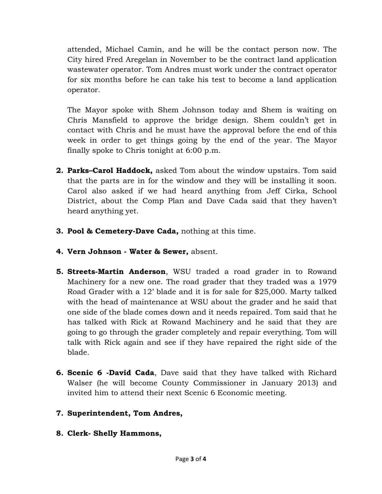attended, Michael Camin, and he will be the contact person now. The City hired Fred Aregelan in November to be the contract land application wastewater operator. Tom Andres must work under the contract operator for six months before he can take his test to become a land application operator.

The Mayor spoke with Shem Johnson today and Shem is waiting on Chris Mansfield to approve the bridge design. Shem couldn't get in contact with Chris and he must have the approval before the end of this week in order to get things going by the end of the year. The Mayor finally spoke to Chris tonight at 6:00 p.m.

- **2. Parks–Carol Haddock,** asked Tom about the window upstairs. Tom said that the parts are in for the window and they will be installing it soon. Carol also asked if we had heard anything from Jeff Cirka, School District, about the Comp Plan and Dave Cada said that they haven't heard anything yet.
- **3. Pool & Cemetery-Dave Cada,** nothing at this time.
- **4. Vern Johnson Water & Sewer,** absent.
- **5. Streets-Martin Anderson**, WSU traded a road grader in to Rowand Machinery for a new one. The road grader that they traded was a 1979 Road Grader with a 12' blade and it is for sale for \$25,000. Marty talked with the head of maintenance at WSU about the grader and he said that one side of the blade comes down and it needs repaired. Tom said that he has talked with Rick at Rowand Machinery and he said that they are going to go through the grader completely and repair everything. Tom will talk with Rick again and see if they have repaired the right side of the blade.
- **6. Scenic 6 -David Cada**, Dave said that they have talked with Richard Walser (he will become County Commissioner in January 2013) and invited him to attend their next Scenic 6 Economic meeting.
- **7. Superintendent, Tom Andres,**
- **8. Clerk- Shelly Hammons,**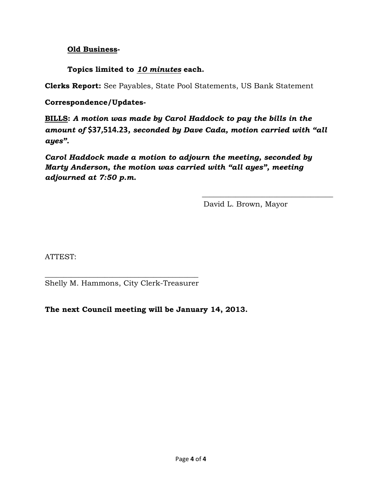#### **Old Business-**

### **Topics limited to** *10 minutes* **each.**

**Clerks Report:** See Payables, State Pool Statements, US Bank Statement

#### **Correspondence/Updates-**

**BILLS:** *A motion was made by Carol Haddock to pay the bills in the amount of* **\$37,514.23***, seconded by Dave Cada, motion carried with "all ayes".* 

*Carol Haddock made a motion to adjourn the meeting, seconded by Marty Anderson, the motion was carried with "all ayes", meeting adjourned at 7:50 p.m.* 

 $\frac{1}{\sqrt{2}}$  ,  $\frac{1}{\sqrt{2}}$  ,  $\frac{1}{\sqrt{2}}$  ,  $\frac{1}{\sqrt{2}}$  ,  $\frac{1}{\sqrt{2}}$  ,  $\frac{1}{\sqrt{2}}$  ,  $\frac{1}{\sqrt{2}}$  ,  $\frac{1}{\sqrt{2}}$  ,  $\frac{1}{\sqrt{2}}$  ,  $\frac{1}{\sqrt{2}}$  ,  $\frac{1}{\sqrt{2}}$  ,  $\frac{1}{\sqrt{2}}$  ,  $\frac{1}{\sqrt{2}}$  ,  $\frac{1}{\sqrt{2}}$  ,  $\frac{1}{\sqrt{2}}$ 

David L. Brown, Mayor

ATTEST:

\_\_\_\_\_\_\_\_\_\_\_\_\_\_\_\_\_\_\_\_\_\_\_\_\_\_\_\_\_\_\_\_\_\_\_\_\_\_\_\_\_ Shelly M. Hammons, City Clerk-Treasurer

**The next Council meeting will be January 14, 2013.**